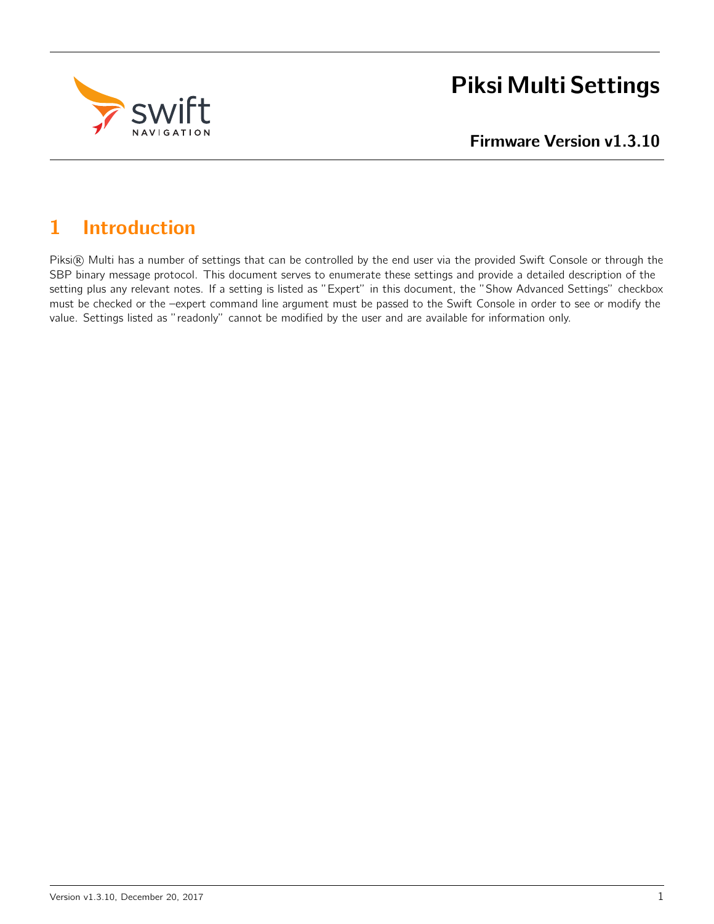

# Piksi Multi Settings

Firmware Version v1.3.10

# 1 Introduction

Piksi® Multi has a number of settings that can be controlled by the end user via the provided Swift Console or through the SBP binary message protocol. This document serves to enumerate these settings and provide a detailed description of the setting plus any relevant notes. If a setting is listed as "Expert" in this document, the "Show Advanced Settings" checkbox must be checked or the –expert command line argument must be passed to the Swift Console in order to see or modify the value. Settings listed as "readonly" cannot be modified by the user and are available for information only.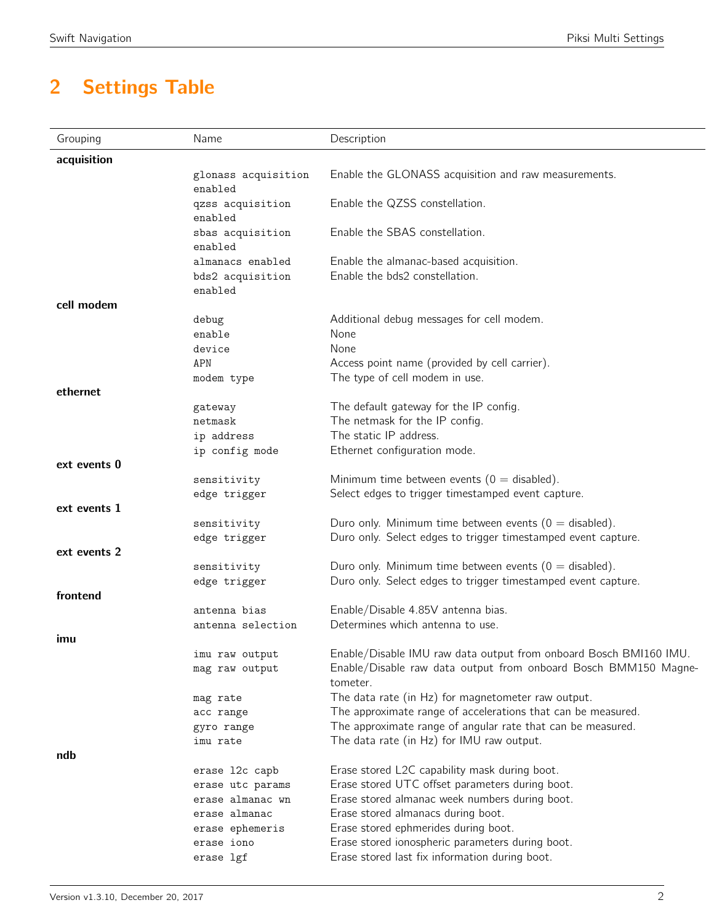# 2 Settings Table

| acquisition<br>Enable the GLONASS acquisition and raw measurements.<br>glonass acquisition<br>enabled<br>Enable the QZSS constellation.<br>qzss acquisition<br>enabled<br>Enable the SBAS constellation.<br>sbas acquisition<br>enabled<br>Enable the almanac-based acquisition.<br>almanacs enabled<br>Enable the bds2 constellation.<br>bds2 acquisition<br>enabled<br>cell modem<br>Additional debug messages for cell modem.<br>debug<br>None<br>enable<br>None<br>device<br>Access point name (provided by cell carrier).<br>APN<br>The type of cell modem in use.<br>modem type<br>ethernet<br>The default gateway for the IP config.<br>gateway<br>The netmask for the IP config.<br>netmask<br>The static IP address.<br>ip address<br>Ethernet configuration mode.<br>ip config mode<br>ext events 0<br>Minimum time between events ( $0 =$ disabled).<br>sensitivity<br>Select edges to trigger timestamped event capture.<br>edge trigger<br>ext events 1<br>Duro only. Minimum time between events ( $0 =$ disabled).<br>sensitivity<br>Duro only. Select edges to trigger timestamped event capture.<br>edge trigger<br>ext events 2<br>Duro only. Minimum time between events ( $0 =$ disabled).<br>sensitivity<br>Duro only. Select edges to trigger timestamped event capture.<br>edge trigger<br>frontend<br>Enable/Disable 4.85V antenna bias.<br>antenna bias<br>Determines which antenna to use.<br>antenna selection<br>imu<br>Enable/Disable IMU raw data output from onboard Bosch BMI160 IMU.<br>imu raw output<br>Enable/Disable raw data output from onboard Bosch BMM150 Magne-<br>mag raw output<br>tometer.<br>The data rate (in Hz) for magnetometer raw output.<br>mag rate<br>The approximate range of accelerations that can be measured.<br>acc range<br>The approximate range of angular rate that can be measured.<br>gyro range<br>The data rate (in Hz) for IMU raw output.<br>imu rate<br>ndb<br>Erase stored L2C capability mask during boot.<br>erase 12c capb<br>Erase stored UTC offset parameters during boot.<br>erase utc params<br>Erase stored almanac week numbers during boot.<br>erase almanac wn<br>Erase stored almanacs during boot.<br>erase almanac<br>Erase stored ephmerides during boot.<br>erase ephemeris<br>Erase stored ionospheric parameters during boot.<br>erase iono<br>Erase stored last fix information during boot.<br>erase lgf | Grouping | Name | Description |
|---------------------------------------------------------------------------------------------------------------------------------------------------------------------------------------------------------------------------------------------------------------------------------------------------------------------------------------------------------------------------------------------------------------------------------------------------------------------------------------------------------------------------------------------------------------------------------------------------------------------------------------------------------------------------------------------------------------------------------------------------------------------------------------------------------------------------------------------------------------------------------------------------------------------------------------------------------------------------------------------------------------------------------------------------------------------------------------------------------------------------------------------------------------------------------------------------------------------------------------------------------------------------------------------------------------------------------------------------------------------------------------------------------------------------------------------------------------------------------------------------------------------------------------------------------------------------------------------------------------------------------------------------------------------------------------------------------------------------------------------------------------------------------------------------------------------------------------------------------------------------------------------------------------------------------------------------------------------------------------------------------------------------------------------------------------------------------------------------------------------------------------------------------------------------------------------------------------------------------------------------------------------------------------------------------------------------------------------------------------------------------------------------------|----------|------|-------------|
|                                                                                                                                                                                                                                                                                                                                                                                                                                                                                                                                                                                                                                                                                                                                                                                                                                                                                                                                                                                                                                                                                                                                                                                                                                                                                                                                                                                                                                                                                                                                                                                                                                                                                                                                                                                                                                                                                                                                                                                                                                                                                                                                                                                                                                                                                                                                                                                                         |          |      |             |
|                                                                                                                                                                                                                                                                                                                                                                                                                                                                                                                                                                                                                                                                                                                                                                                                                                                                                                                                                                                                                                                                                                                                                                                                                                                                                                                                                                                                                                                                                                                                                                                                                                                                                                                                                                                                                                                                                                                                                                                                                                                                                                                                                                                                                                                                                                                                                                                                         |          |      |             |
|                                                                                                                                                                                                                                                                                                                                                                                                                                                                                                                                                                                                                                                                                                                                                                                                                                                                                                                                                                                                                                                                                                                                                                                                                                                                                                                                                                                                                                                                                                                                                                                                                                                                                                                                                                                                                                                                                                                                                                                                                                                                                                                                                                                                                                                                                                                                                                                                         |          |      |             |
|                                                                                                                                                                                                                                                                                                                                                                                                                                                                                                                                                                                                                                                                                                                                                                                                                                                                                                                                                                                                                                                                                                                                                                                                                                                                                                                                                                                                                                                                                                                                                                                                                                                                                                                                                                                                                                                                                                                                                                                                                                                                                                                                                                                                                                                                                                                                                                                                         |          |      |             |
|                                                                                                                                                                                                                                                                                                                                                                                                                                                                                                                                                                                                                                                                                                                                                                                                                                                                                                                                                                                                                                                                                                                                                                                                                                                                                                                                                                                                                                                                                                                                                                                                                                                                                                                                                                                                                                                                                                                                                                                                                                                                                                                                                                                                                                                                                                                                                                                                         |          |      |             |
|                                                                                                                                                                                                                                                                                                                                                                                                                                                                                                                                                                                                                                                                                                                                                                                                                                                                                                                                                                                                                                                                                                                                                                                                                                                                                                                                                                                                                                                                                                                                                                                                                                                                                                                                                                                                                                                                                                                                                                                                                                                                                                                                                                                                                                                                                                                                                                                                         |          |      |             |
|                                                                                                                                                                                                                                                                                                                                                                                                                                                                                                                                                                                                                                                                                                                                                                                                                                                                                                                                                                                                                                                                                                                                                                                                                                                                                                                                                                                                                                                                                                                                                                                                                                                                                                                                                                                                                                                                                                                                                                                                                                                                                                                                                                                                                                                                                                                                                                                                         |          |      |             |
|                                                                                                                                                                                                                                                                                                                                                                                                                                                                                                                                                                                                                                                                                                                                                                                                                                                                                                                                                                                                                                                                                                                                                                                                                                                                                                                                                                                                                                                                                                                                                                                                                                                                                                                                                                                                                                                                                                                                                                                                                                                                                                                                                                                                                                                                                                                                                                                                         |          |      |             |
|                                                                                                                                                                                                                                                                                                                                                                                                                                                                                                                                                                                                                                                                                                                                                                                                                                                                                                                                                                                                                                                                                                                                                                                                                                                                                                                                                                                                                                                                                                                                                                                                                                                                                                                                                                                                                                                                                                                                                                                                                                                                                                                                                                                                                                                                                                                                                                                                         |          |      |             |
|                                                                                                                                                                                                                                                                                                                                                                                                                                                                                                                                                                                                                                                                                                                                                                                                                                                                                                                                                                                                                                                                                                                                                                                                                                                                                                                                                                                                                                                                                                                                                                                                                                                                                                                                                                                                                                                                                                                                                                                                                                                                                                                                                                                                                                                                                                                                                                                                         |          |      |             |
|                                                                                                                                                                                                                                                                                                                                                                                                                                                                                                                                                                                                                                                                                                                                                                                                                                                                                                                                                                                                                                                                                                                                                                                                                                                                                                                                                                                                                                                                                                                                                                                                                                                                                                                                                                                                                                                                                                                                                                                                                                                                                                                                                                                                                                                                                                                                                                                                         |          |      |             |
|                                                                                                                                                                                                                                                                                                                                                                                                                                                                                                                                                                                                                                                                                                                                                                                                                                                                                                                                                                                                                                                                                                                                                                                                                                                                                                                                                                                                                                                                                                                                                                                                                                                                                                                                                                                                                                                                                                                                                                                                                                                                                                                                                                                                                                                                                                                                                                                                         |          |      |             |
|                                                                                                                                                                                                                                                                                                                                                                                                                                                                                                                                                                                                                                                                                                                                                                                                                                                                                                                                                                                                                                                                                                                                                                                                                                                                                                                                                                                                                                                                                                                                                                                                                                                                                                                                                                                                                                                                                                                                                                                                                                                                                                                                                                                                                                                                                                                                                                                                         |          |      |             |
|                                                                                                                                                                                                                                                                                                                                                                                                                                                                                                                                                                                                                                                                                                                                                                                                                                                                                                                                                                                                                                                                                                                                                                                                                                                                                                                                                                                                                                                                                                                                                                                                                                                                                                                                                                                                                                                                                                                                                                                                                                                                                                                                                                                                                                                                                                                                                                                                         |          |      |             |
|                                                                                                                                                                                                                                                                                                                                                                                                                                                                                                                                                                                                                                                                                                                                                                                                                                                                                                                                                                                                                                                                                                                                                                                                                                                                                                                                                                                                                                                                                                                                                                                                                                                                                                                                                                                                                                                                                                                                                                                                                                                                                                                                                                                                                                                                                                                                                                                                         |          |      |             |
|                                                                                                                                                                                                                                                                                                                                                                                                                                                                                                                                                                                                                                                                                                                                                                                                                                                                                                                                                                                                                                                                                                                                                                                                                                                                                                                                                                                                                                                                                                                                                                                                                                                                                                                                                                                                                                                                                                                                                                                                                                                                                                                                                                                                                                                                                                                                                                                                         |          |      |             |
|                                                                                                                                                                                                                                                                                                                                                                                                                                                                                                                                                                                                                                                                                                                                                                                                                                                                                                                                                                                                                                                                                                                                                                                                                                                                                                                                                                                                                                                                                                                                                                                                                                                                                                                                                                                                                                                                                                                                                                                                                                                                                                                                                                                                                                                                                                                                                                                                         |          |      |             |
|                                                                                                                                                                                                                                                                                                                                                                                                                                                                                                                                                                                                                                                                                                                                                                                                                                                                                                                                                                                                                                                                                                                                                                                                                                                                                                                                                                                                                                                                                                                                                                                                                                                                                                                                                                                                                                                                                                                                                                                                                                                                                                                                                                                                                                                                                                                                                                                                         |          |      |             |
|                                                                                                                                                                                                                                                                                                                                                                                                                                                                                                                                                                                                                                                                                                                                                                                                                                                                                                                                                                                                                                                                                                                                                                                                                                                                                                                                                                                                                                                                                                                                                                                                                                                                                                                                                                                                                                                                                                                                                                                                                                                                                                                                                                                                                                                                                                                                                                                                         |          |      |             |
|                                                                                                                                                                                                                                                                                                                                                                                                                                                                                                                                                                                                                                                                                                                                                                                                                                                                                                                                                                                                                                                                                                                                                                                                                                                                                                                                                                                                                                                                                                                                                                                                                                                                                                                                                                                                                                                                                                                                                                                                                                                                                                                                                                                                                                                                                                                                                                                                         |          |      |             |
|                                                                                                                                                                                                                                                                                                                                                                                                                                                                                                                                                                                                                                                                                                                                                                                                                                                                                                                                                                                                                                                                                                                                                                                                                                                                                                                                                                                                                                                                                                                                                                                                                                                                                                                                                                                                                                                                                                                                                                                                                                                                                                                                                                                                                                                                                                                                                                                                         |          |      |             |
|                                                                                                                                                                                                                                                                                                                                                                                                                                                                                                                                                                                                                                                                                                                                                                                                                                                                                                                                                                                                                                                                                                                                                                                                                                                                                                                                                                                                                                                                                                                                                                                                                                                                                                                                                                                                                                                                                                                                                                                                                                                                                                                                                                                                                                                                                                                                                                                                         |          |      |             |
|                                                                                                                                                                                                                                                                                                                                                                                                                                                                                                                                                                                                                                                                                                                                                                                                                                                                                                                                                                                                                                                                                                                                                                                                                                                                                                                                                                                                                                                                                                                                                                                                                                                                                                                                                                                                                                                                                                                                                                                                                                                                                                                                                                                                                                                                                                                                                                                                         |          |      |             |
|                                                                                                                                                                                                                                                                                                                                                                                                                                                                                                                                                                                                                                                                                                                                                                                                                                                                                                                                                                                                                                                                                                                                                                                                                                                                                                                                                                                                                                                                                                                                                                                                                                                                                                                                                                                                                                                                                                                                                                                                                                                                                                                                                                                                                                                                                                                                                                                                         |          |      |             |
|                                                                                                                                                                                                                                                                                                                                                                                                                                                                                                                                                                                                                                                                                                                                                                                                                                                                                                                                                                                                                                                                                                                                                                                                                                                                                                                                                                                                                                                                                                                                                                                                                                                                                                                                                                                                                                                                                                                                                                                                                                                                                                                                                                                                                                                                                                                                                                                                         |          |      |             |
|                                                                                                                                                                                                                                                                                                                                                                                                                                                                                                                                                                                                                                                                                                                                                                                                                                                                                                                                                                                                                                                                                                                                                                                                                                                                                                                                                                                                                                                                                                                                                                                                                                                                                                                                                                                                                                                                                                                                                                                                                                                                                                                                                                                                                                                                                                                                                                                                         |          |      |             |
|                                                                                                                                                                                                                                                                                                                                                                                                                                                                                                                                                                                                                                                                                                                                                                                                                                                                                                                                                                                                                                                                                                                                                                                                                                                                                                                                                                                                                                                                                                                                                                                                                                                                                                                                                                                                                                                                                                                                                                                                                                                                                                                                                                                                                                                                                                                                                                                                         |          |      |             |
|                                                                                                                                                                                                                                                                                                                                                                                                                                                                                                                                                                                                                                                                                                                                                                                                                                                                                                                                                                                                                                                                                                                                                                                                                                                                                                                                                                                                                                                                                                                                                                                                                                                                                                                                                                                                                                                                                                                                                                                                                                                                                                                                                                                                                                                                                                                                                                                                         |          |      |             |
|                                                                                                                                                                                                                                                                                                                                                                                                                                                                                                                                                                                                                                                                                                                                                                                                                                                                                                                                                                                                                                                                                                                                                                                                                                                                                                                                                                                                                                                                                                                                                                                                                                                                                                                                                                                                                                                                                                                                                                                                                                                                                                                                                                                                                                                                                                                                                                                                         |          |      |             |
|                                                                                                                                                                                                                                                                                                                                                                                                                                                                                                                                                                                                                                                                                                                                                                                                                                                                                                                                                                                                                                                                                                                                                                                                                                                                                                                                                                                                                                                                                                                                                                                                                                                                                                                                                                                                                                                                                                                                                                                                                                                                                                                                                                                                                                                                                                                                                                                                         |          |      |             |
|                                                                                                                                                                                                                                                                                                                                                                                                                                                                                                                                                                                                                                                                                                                                                                                                                                                                                                                                                                                                                                                                                                                                                                                                                                                                                                                                                                                                                                                                                                                                                                                                                                                                                                                                                                                                                                                                                                                                                                                                                                                                                                                                                                                                                                                                                                                                                                                                         |          |      |             |
|                                                                                                                                                                                                                                                                                                                                                                                                                                                                                                                                                                                                                                                                                                                                                                                                                                                                                                                                                                                                                                                                                                                                                                                                                                                                                                                                                                                                                                                                                                                                                                                                                                                                                                                                                                                                                                                                                                                                                                                                                                                                                                                                                                                                                                                                                                                                                                                                         |          |      |             |
|                                                                                                                                                                                                                                                                                                                                                                                                                                                                                                                                                                                                                                                                                                                                                                                                                                                                                                                                                                                                                                                                                                                                                                                                                                                                                                                                                                                                                                                                                                                                                                                                                                                                                                                                                                                                                                                                                                                                                                                                                                                                                                                                                                                                                                                                                                                                                                                                         |          |      |             |
|                                                                                                                                                                                                                                                                                                                                                                                                                                                                                                                                                                                                                                                                                                                                                                                                                                                                                                                                                                                                                                                                                                                                                                                                                                                                                                                                                                                                                                                                                                                                                                                                                                                                                                                                                                                                                                                                                                                                                                                                                                                                                                                                                                                                                                                                                                                                                                                                         |          |      |             |
|                                                                                                                                                                                                                                                                                                                                                                                                                                                                                                                                                                                                                                                                                                                                                                                                                                                                                                                                                                                                                                                                                                                                                                                                                                                                                                                                                                                                                                                                                                                                                                                                                                                                                                                                                                                                                                                                                                                                                                                                                                                                                                                                                                                                                                                                                                                                                                                                         |          |      |             |
|                                                                                                                                                                                                                                                                                                                                                                                                                                                                                                                                                                                                                                                                                                                                                                                                                                                                                                                                                                                                                                                                                                                                                                                                                                                                                                                                                                                                                                                                                                                                                                                                                                                                                                                                                                                                                                                                                                                                                                                                                                                                                                                                                                                                                                                                                                                                                                                                         |          |      |             |
|                                                                                                                                                                                                                                                                                                                                                                                                                                                                                                                                                                                                                                                                                                                                                                                                                                                                                                                                                                                                                                                                                                                                                                                                                                                                                                                                                                                                                                                                                                                                                                                                                                                                                                                                                                                                                                                                                                                                                                                                                                                                                                                                                                                                                                                                                                                                                                                                         |          |      |             |
|                                                                                                                                                                                                                                                                                                                                                                                                                                                                                                                                                                                                                                                                                                                                                                                                                                                                                                                                                                                                                                                                                                                                                                                                                                                                                                                                                                                                                                                                                                                                                                                                                                                                                                                                                                                                                                                                                                                                                                                                                                                                                                                                                                                                                                                                                                                                                                                                         |          |      |             |
|                                                                                                                                                                                                                                                                                                                                                                                                                                                                                                                                                                                                                                                                                                                                                                                                                                                                                                                                                                                                                                                                                                                                                                                                                                                                                                                                                                                                                                                                                                                                                                                                                                                                                                                                                                                                                                                                                                                                                                                                                                                                                                                                                                                                                                                                                                                                                                                                         |          |      |             |
|                                                                                                                                                                                                                                                                                                                                                                                                                                                                                                                                                                                                                                                                                                                                                                                                                                                                                                                                                                                                                                                                                                                                                                                                                                                                                                                                                                                                                                                                                                                                                                                                                                                                                                                                                                                                                                                                                                                                                                                                                                                                                                                                                                                                                                                                                                                                                                                                         |          |      |             |
|                                                                                                                                                                                                                                                                                                                                                                                                                                                                                                                                                                                                                                                                                                                                                                                                                                                                                                                                                                                                                                                                                                                                                                                                                                                                                                                                                                                                                                                                                                                                                                                                                                                                                                                                                                                                                                                                                                                                                                                                                                                                                                                                                                                                                                                                                                                                                                                                         |          |      |             |
|                                                                                                                                                                                                                                                                                                                                                                                                                                                                                                                                                                                                                                                                                                                                                                                                                                                                                                                                                                                                                                                                                                                                                                                                                                                                                                                                                                                                                                                                                                                                                                                                                                                                                                                                                                                                                                                                                                                                                                                                                                                                                                                                                                                                                                                                                                                                                                                                         |          |      |             |
|                                                                                                                                                                                                                                                                                                                                                                                                                                                                                                                                                                                                                                                                                                                                                                                                                                                                                                                                                                                                                                                                                                                                                                                                                                                                                                                                                                                                                                                                                                                                                                                                                                                                                                                                                                                                                                                                                                                                                                                                                                                                                                                                                                                                                                                                                                                                                                                                         |          |      |             |
|                                                                                                                                                                                                                                                                                                                                                                                                                                                                                                                                                                                                                                                                                                                                                                                                                                                                                                                                                                                                                                                                                                                                                                                                                                                                                                                                                                                                                                                                                                                                                                                                                                                                                                                                                                                                                                                                                                                                                                                                                                                                                                                                                                                                                                                                                                                                                                                                         |          |      |             |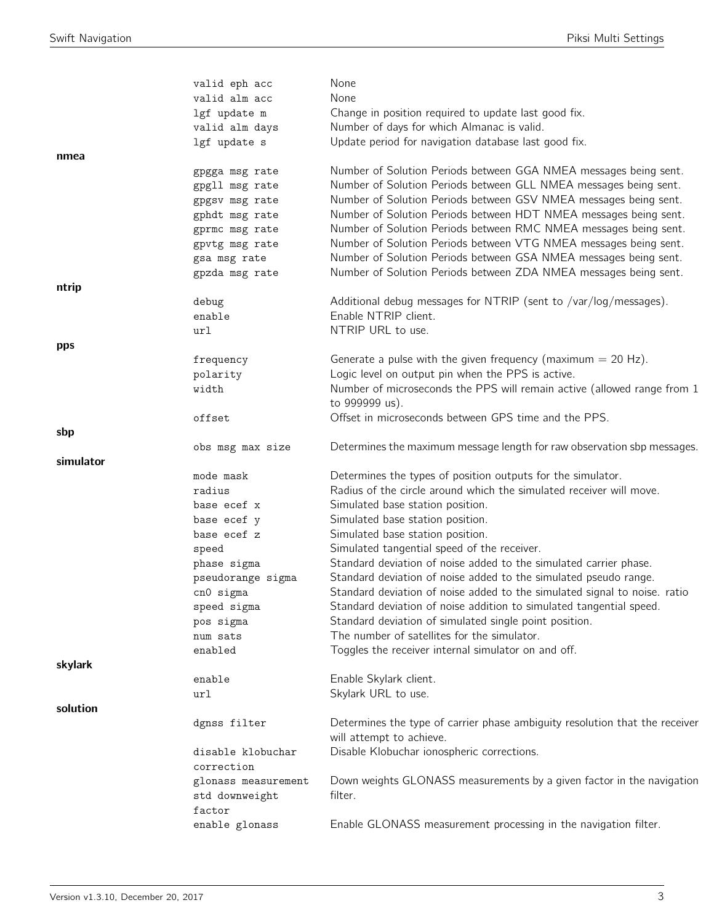|           | valid eph acc            | None                                                                        |
|-----------|--------------------------|-----------------------------------------------------------------------------|
|           | valid alm acc            | None                                                                        |
|           | lgf update m             | Change in position required to update last good fix.                        |
|           | valid alm days           | Number of days for which Almanac is valid.                                  |
|           | lgf update s             | Update period for navigation database last good fix.                        |
| nmea      |                          |                                                                             |
|           | gpgga msg rate           | Number of Solution Periods between GGA NMEA messages being sent.            |
|           | gpgll msg rate           | Number of Solution Periods between GLL NMEA messages being sent.            |
|           | gpgsv msg rate           | Number of Solution Periods between GSV NMEA messages being sent.            |
|           | gphdt msg rate           | Number of Solution Periods between HDT NMEA messages being sent.            |
|           | gprmc msg rate           | Number of Solution Periods between RMC NMEA messages being sent.            |
|           | gpvtg msg rate           | Number of Solution Periods between VTG NMEA messages being sent.            |
|           | gsa msg rate             | Number of Solution Periods between GSA NMEA messages being sent.            |
|           | gpzda msg rate           | Number of Solution Periods between ZDA NMEA messages being sent.            |
| ntrip     |                          |                                                                             |
|           | debug                    | Additional debug messages for NTRIP (sent to /var/log/messages).            |
|           | enable                   | Enable NTRIP client.                                                        |
|           | url                      | NTRIP URL to use.                                                           |
| pps       |                          |                                                                             |
|           | frequency                | Generate a pulse with the given frequency (maximum $= 20$ Hz).              |
|           | polarity                 | Logic level on output pin when the PPS is active.                           |
|           | width                    | Number of microseconds the PPS will remain active (allowed range from 1     |
|           |                          | to 999999 us).                                                              |
|           | offset                   | Offset in microseconds between GPS time and the PPS.                        |
| sbp       |                          |                                                                             |
|           | obs msg max size         | Determines the maximum message length for raw observation sbp messages.     |
|           |                          |                                                                             |
| simulator |                          |                                                                             |
|           | mode mask                | Determines the types of position outputs for the simulator.                 |
|           | radius                   | Radius of the circle around which the simulated receiver will move.         |
|           | base ecef x              | Simulated base station position.                                            |
|           | base ecef y              | Simulated base station position.                                            |
|           | base ecef z              | Simulated base station position.                                            |
|           | speed                    | Simulated tangential speed of the receiver.                                 |
|           | phase sigma              | Standard deviation of noise added to the simulated carrier phase.           |
|           | pseudorange sigma        | Standard deviation of noise added to the simulated pseudo range.            |
|           | cnO sigma                | Standard deviation of noise added to the simulated signal to noise. ratio   |
|           | speed sigma              | Standard deviation of noise addition to simulated tangential speed.         |
|           | pos sigma                | Standard deviation of simulated single point position.                      |
|           | num sats                 | The number of satellites for the simulator.                                 |
|           | enabled                  | Toggles the receiver internal simulator on and off.                         |
| skylark   |                          |                                                                             |
|           | enable                   | Enable Skylark client.                                                      |
|           | url                      | Skylark URL to use.                                                         |
| solution  |                          |                                                                             |
|           | dgnss filter             | Determines the type of carrier phase ambiguity resolution that the receiver |
|           |                          | will attempt to achieve.                                                    |
|           | disable klobuchar        | Disable Klobuchar ionospheric corrections.                                  |
|           | correction               |                                                                             |
|           | glonass measurement      | Down weights GLONASS measurements by a given factor in the navigation       |
|           | std downweight           | filter.                                                                     |
|           | factor<br>enable glonass | Enable GLONASS measurement processing in the navigation filter.             |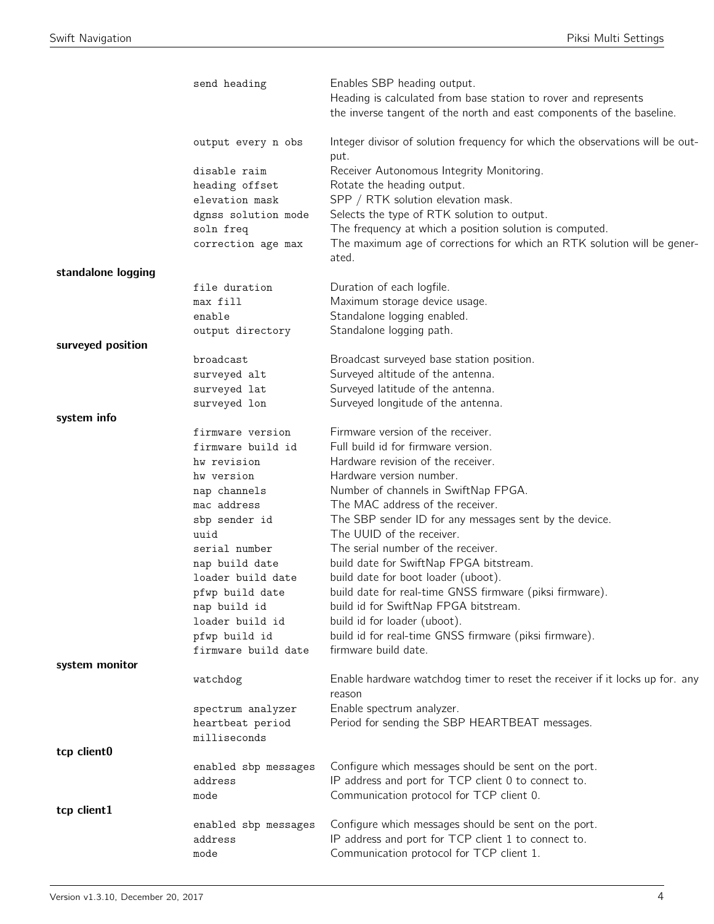|                    | send heading                     | Enables SBP heading output.<br>Heading is calculated from base station to rover and represents<br>the inverse tangent of the north and east components of the baseline. |
|--------------------|----------------------------------|-------------------------------------------------------------------------------------------------------------------------------------------------------------------------|
|                    | output every n obs               | Integer divisor of solution frequency for which the observations will be out-<br>put.                                                                                   |
|                    | disable raim                     | Receiver Autonomous Integrity Monitoring.                                                                                                                               |
|                    | heading offset                   | Rotate the heading output.                                                                                                                                              |
|                    | elevation mask                   | SPP / RTK solution elevation mask.                                                                                                                                      |
|                    | dgnss solution mode              | Selects the type of RTK solution to output.                                                                                                                             |
|                    | soln freq                        | The frequency at which a position solution is computed.                                                                                                                 |
|                    | correction age max               | The maximum age of corrections for which an RTK solution will be gener-<br>ated.                                                                                        |
| standalone logging |                                  |                                                                                                                                                                         |
|                    | file duration                    | Duration of each logfile.                                                                                                                                               |
|                    | max fill                         | Maximum storage device usage.                                                                                                                                           |
|                    | enable                           | Standalone logging enabled.                                                                                                                                             |
|                    | output directory                 | Standalone logging path.                                                                                                                                                |
| surveyed position  |                                  |                                                                                                                                                                         |
|                    | broadcast                        | Broadcast surveyed base station position.                                                                                                                               |
|                    | surveyed alt                     | Surveyed altitude of the antenna.                                                                                                                                       |
|                    | surveyed lat                     | Surveyed latitude of the antenna.                                                                                                                                       |
| system info        | surveyed lon                     | Surveyed longitude of the antenna.                                                                                                                                      |
|                    | firmware version                 | Firmware version of the receiver.                                                                                                                                       |
|                    | firmware build id                | Full build id for firmware version.                                                                                                                                     |
|                    | hw revision                      | Hardware revision of the receiver.                                                                                                                                      |
|                    | hw version                       | Hardware version number.                                                                                                                                                |
|                    | nap channels                     | Number of channels in SwiftNap FPGA.                                                                                                                                    |
|                    | mac address                      | The MAC address of the receiver.                                                                                                                                        |
|                    | sbp sender id                    | The SBP sender ID for any messages sent by the device.                                                                                                                  |
|                    | uuid                             | The UUID of the receiver.                                                                                                                                               |
|                    | serial number                    | The serial number of the receiver.                                                                                                                                      |
|                    | nap build date                   | build date for SwiftNap FPGA bitstream.                                                                                                                                 |
|                    | loader build date                | build date for boot loader (uboot).                                                                                                                                     |
|                    | pfwp build date                  | build date for real-time GNSS firmware (piksi firmware).                                                                                                                |
|                    | nap build id                     | build id for SwiftNap FPGA bitstream.                                                                                                                                   |
|                    | loader build id<br>pfwp build id | build id for loader (uboot).<br>build id for real-time GNSS firmware (piksi firmware).                                                                                  |
|                    | firmware build date              | firmware build date.                                                                                                                                                    |
| system monitor     |                                  |                                                                                                                                                                         |
|                    | watchdog                         | Enable hardware watchdog timer to reset the receiver if it locks up for. any<br>reason                                                                                  |
|                    | spectrum analyzer                | Enable spectrum analyzer.                                                                                                                                               |
|                    | heartbeat period                 | Period for sending the SBP HEARTBEAT messages.                                                                                                                          |
|                    | milliseconds                     |                                                                                                                                                                         |
| tcp client0        |                                  |                                                                                                                                                                         |
|                    | enabled sbp messages             | Configure which messages should be sent on the port.                                                                                                                    |
|                    | address                          | IP address and port for TCP client 0 to connect to.                                                                                                                     |
| tcp client1        | mode                             | Communication protocol for TCP client 0.                                                                                                                                |
|                    | enabled sbp messages             | Configure which messages should be sent on the port.                                                                                                                    |
|                    | address                          | IP address and port for TCP client 1 to connect to.                                                                                                                     |
|                    | mode                             | Communication protocol for TCP client 1.                                                                                                                                |
|                    |                                  |                                                                                                                                                                         |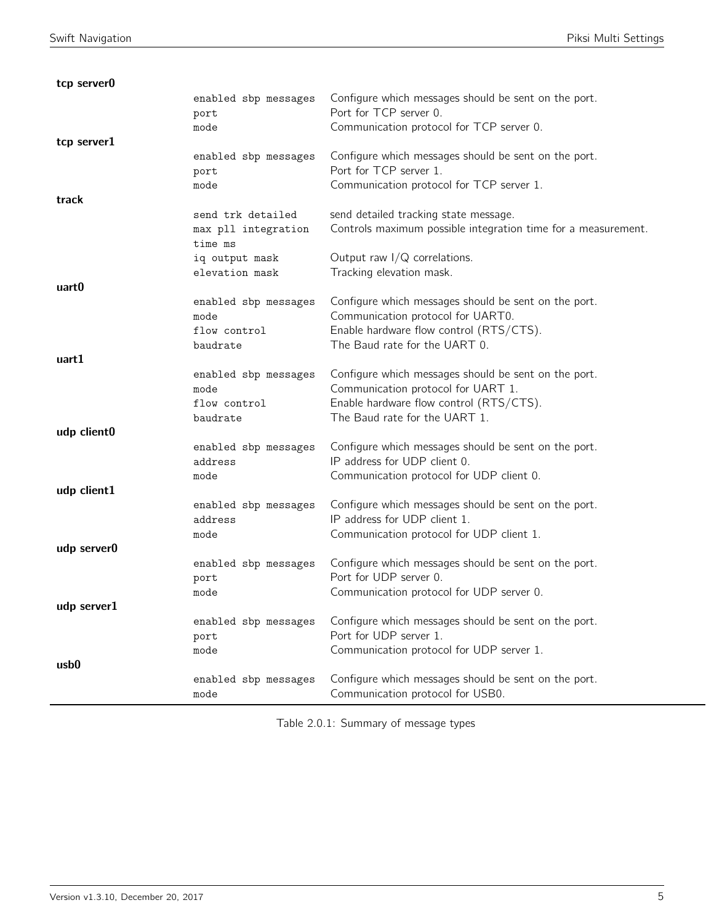| tcp server0 |                              |                                                                                      |
|-------------|------------------------------|--------------------------------------------------------------------------------------|
|             | enabled sbp messages         | Configure which messages should be sent on the port.                                 |
|             | port                         | Port for TCP server 0.                                                               |
|             | mode                         | Communication protocol for TCP server 0.                                             |
| tcp server1 |                              |                                                                                      |
|             | enabled sbp messages         | Configure which messages should be sent on the port.                                 |
|             | port                         | Port for TCP server 1.                                                               |
|             | mode                         | Communication protocol for TCP server 1.                                             |
| track       |                              |                                                                                      |
|             | send trk detailed            | send detailed tracking state message.                                                |
|             | max pll integration          | Controls maximum possible integration time for a measurement.                        |
|             | time ms                      |                                                                                      |
|             | iq output mask               | Output raw $I/Q$ correlations.                                                       |
|             | elevation mask               | Tracking elevation mask.                                                             |
| uart0       |                              |                                                                                      |
|             | enabled sbp messages         | Configure which messages should be sent on the port.                                 |
|             | mode                         | Communication protocol for UART0.                                                    |
|             | flow control                 | Enable hardware flow control (RTS/CTS).                                              |
|             | baudrate                     | The Baud rate for the UART 0.                                                        |
| uart1       |                              |                                                                                      |
|             | enabled sbp messages         | Configure which messages should be sent on the port.                                 |
|             | mode                         | Communication protocol for UART 1.                                                   |
|             | flow control                 | Enable hardware flow control (RTS/CTS).                                              |
|             | baudrate                     | The Baud rate for the UART 1.                                                        |
| udp client0 |                              |                                                                                      |
|             | enabled sbp messages         | Configure which messages should be sent on the port.                                 |
|             | address                      | IP address for UDP client 0.                                                         |
|             | mode                         | Communication protocol for UDP client 0.                                             |
| udp client1 |                              |                                                                                      |
|             | enabled sbp messages         | Configure which messages should be sent on the port.<br>IP address for UDP client 1. |
|             | address                      | Communication protocol for UDP client 1.                                             |
| udp server0 | mode                         |                                                                                      |
|             |                              | Configure which messages should be sent on the port.                                 |
|             | enabled sbp messages<br>port | Port for UDP server 0.                                                               |
|             | mode                         | Communication protocol for UDP server 0.                                             |
| udp server1 |                              |                                                                                      |
|             | enabled sbp messages         | Configure which messages should be sent on the port.                                 |
|             | port                         | Port for UDP server 1.                                                               |
|             | mode                         | Communication protocol for UDP server 1.                                             |
| usb0        |                              |                                                                                      |
|             | enabled sbp messages         | Configure which messages should be sent on the port.                                 |
|             | mode                         | Communication protocol for USB0.                                                     |

Table 2.0.1: Summary of message types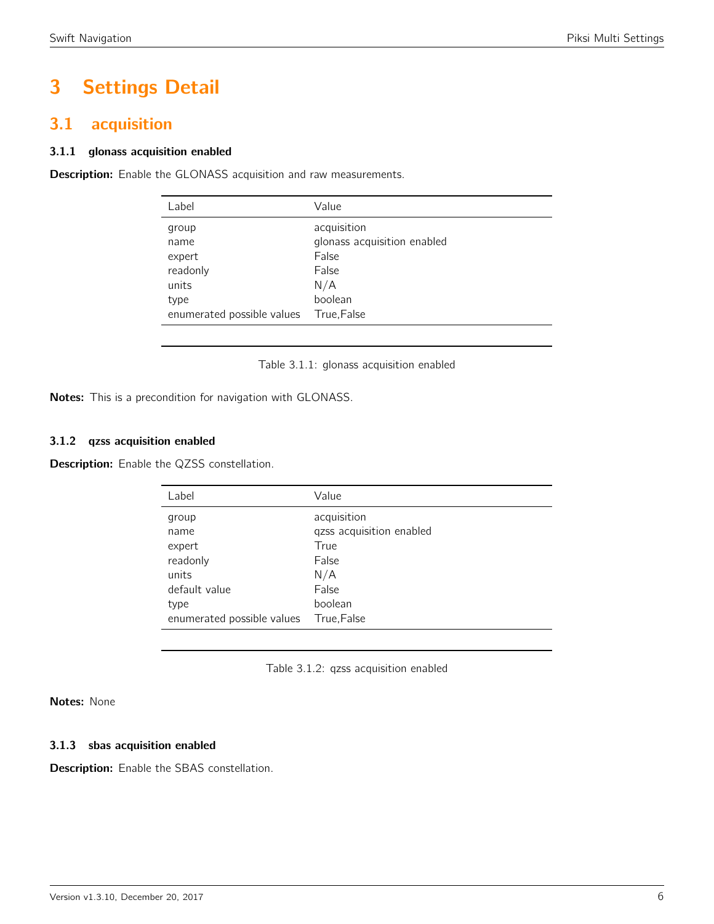# 3 Settings Detail

# <span id="page-5-0"></span>3.1 acquisition

### 3.1.1 glonass acquisition enabled

<span id="page-5-1"></span>**Description:** Enable the GLONASS acquisition and raw measurements.

| Label                                                                              | Value                                                                                         |
|------------------------------------------------------------------------------------|-----------------------------------------------------------------------------------------------|
| group<br>name<br>expert<br>readonly<br>units<br>type<br>enumerated possible values | acquisition<br>glonass acquisition enabled<br>False<br>False<br>N/A<br>boolean<br>True, False |
|                                                                                    |                                                                                               |

Table 3.1.1: glonass acquisition enabled

Notes: This is a precondition for navigation with GLONASS.

### 3.1.2 qzss acquisition enabled

<span id="page-5-2"></span>Description: Enable the QZSS constellation.

| Label                      | Value                    |
|----------------------------|--------------------------|
| group                      | acquisition              |
| name                       | qzss acquisition enabled |
| expert                     | True                     |
| readonly                   | False                    |
| units                      | N/A                      |
| default value              | False                    |
| type                       | boolean                  |
| enumerated possible values | True,False               |

Table 3.1.2: qzss acquisition enabled

Notes: None

### 3.1.3 sbas acquisition enabled

Description: Enable the SBAS constellation.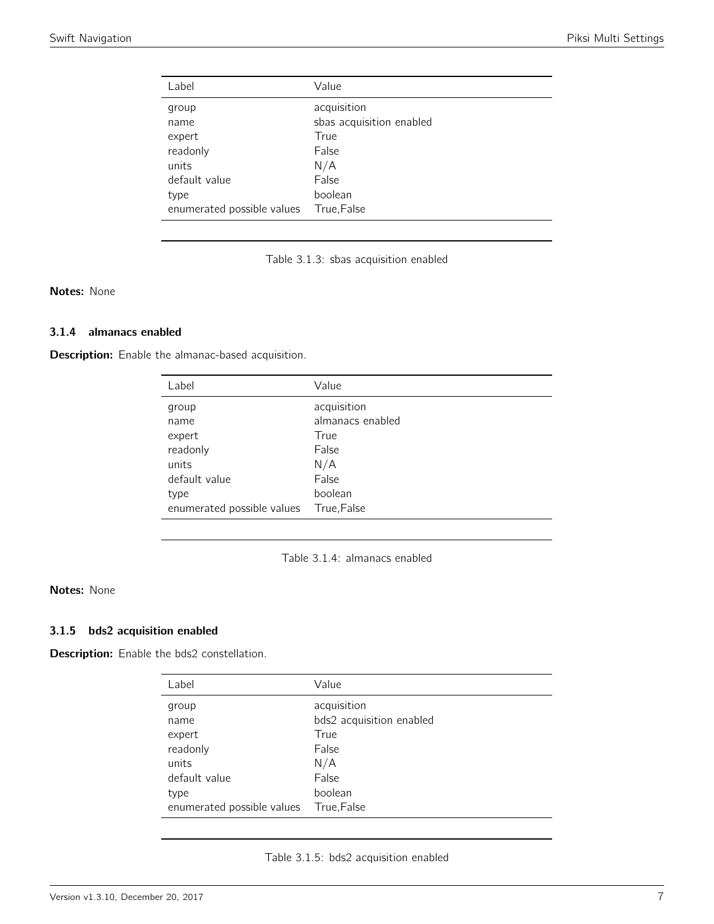<span id="page-6-0"></span>

| Label                      | Value                    |
|----------------------------|--------------------------|
| group                      | acquisition              |
| name                       | sbas acquisition enabled |
| expert                     | True                     |
| readonly                   | False                    |
| units                      | N/A                      |
| default value              | False                    |
| type                       | boolean                  |
| enumerated possible values | True, False              |

Table 3.1.3: sbas acquisition enabled

Notes: None

### 3.1.4 almanacs enabled

<span id="page-6-1"></span>Description: Enable the almanac-based acquisition.

| Label                      | Value            |
|----------------------------|------------------|
| group                      | acquisition      |
| name                       | almanacs enabled |
| expert                     | True             |
| readonly                   | False            |
| units                      | N/A              |
| default value              | False            |
| type                       | boolean          |
| enumerated possible values | True, False      |

Table 3.1.4: almanacs enabled

# Notes: None

# 3.1.5 bds2 acquisition enabled

Description: Enable the bds2 constellation.

| Label                      | Value                    |
|----------------------------|--------------------------|
| group                      | acquisition              |
| name                       | bds2 acquisition enabled |
| expert                     | True                     |
| readonly                   | False                    |
| units                      | N/A                      |
| default value              | False                    |
| type                       | boolean                  |
| enumerated possible values | True, False              |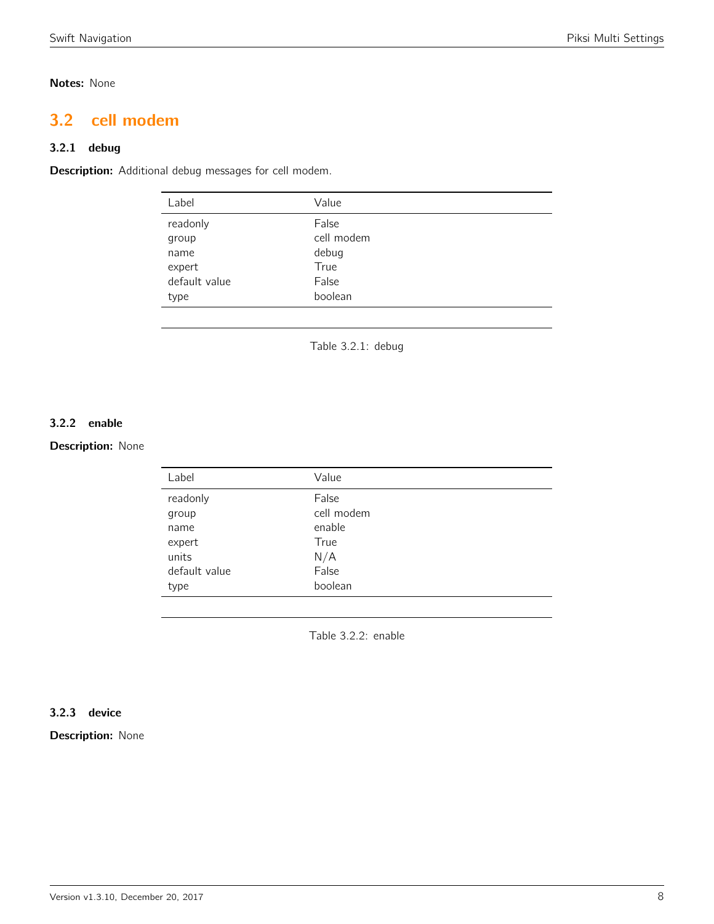# Notes: None

# <span id="page-7-0"></span>3.2 cell modem

# 3.2.1 debug

<span id="page-7-1"></span>Description: Additional debug messages for cell modem.

| Label         | Value      |
|---------------|------------|
| readonly      | False      |
| group         | cell modem |
| name          | debug      |
| expert        | True       |
| default value | False      |
| type          | boolean    |
|               |            |

Table 3.2.1: debug

# 3.2.2 enable

# <span id="page-7-2"></span>Description: None

| Label         | Value      |
|---------------|------------|
| readonly      | False      |
| group         | cell modem |
| name          | enable     |
| expert        | True       |
| units         | N/A        |
| default value | False      |
| type          | boolean    |
|               |            |

Table 3.2.2: enable

### 3.2.3 device

Description: None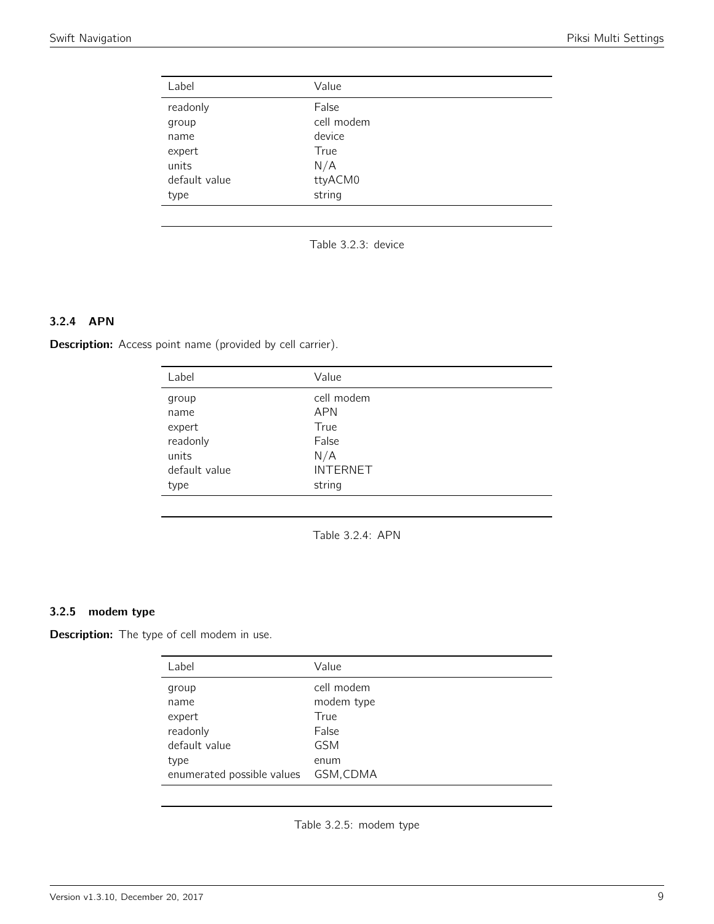<span id="page-8-0"></span>

| Label         | Value      |
|---------------|------------|
| readonly      | False      |
| group         | cell modem |
| name          | device     |
| expert        | True       |
| units         | N/A        |
| default value | ttyACM0    |
| type          | string     |

Table 3.2.3: device

# 3.2.4 APN

<span id="page-8-1"></span>Description: Access point name (provided by cell carrier).

| Label         | Value           |
|---------------|-----------------|
| group         | cell modem      |
| name          | <b>APN</b>      |
| expert        | True            |
| readonly      | False           |
| units         | N/A             |
| default value | <b>INTERNET</b> |
| type          | string          |

Table 3.2.4: APN

# 3.2.5 modem type

Description: The type of cell modem in use.

| Label                                                        | Value                                                           |
|--------------------------------------------------------------|-----------------------------------------------------------------|
| group<br>name<br>expert<br>readonly<br>default value<br>type | cell modem<br>modem type<br>True<br>False<br><b>GSM</b><br>enum |
| enumerated possible values                                   | GSM, CDMA                                                       |

Table 3.2.5: modem type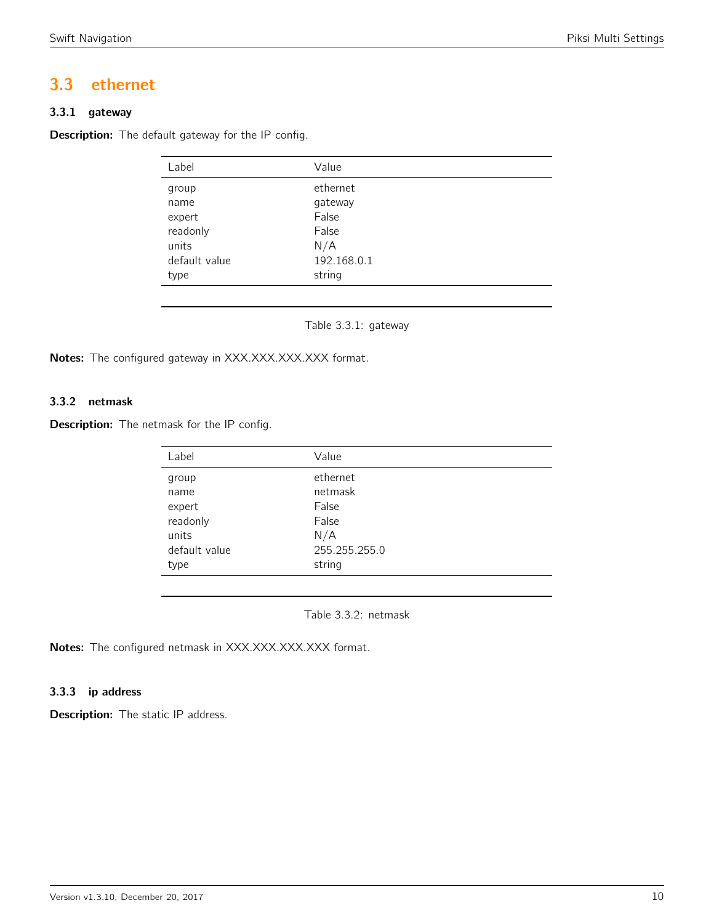# <span id="page-9-0"></span>3.3 ethernet

# 3.3.1 gateway

<span id="page-9-1"></span>Description: The default gateway for the IP config.

| Label         | Value       |  |
|---------------|-------------|--|
| group         | ethernet    |  |
| name          | gateway     |  |
| expert        | False       |  |
| readonly      | False       |  |
| units         | N/A         |  |
| default value | 192.168.0.1 |  |
| type          | string      |  |

Table 3.3.1: gateway

Notes: The configured gateway in XXX.XXX.XXX.XXX format.

# 3.3.2 netmask

<span id="page-9-2"></span>**Description:** The netmask for the IP config.

| Value         |  |
|---------------|--|
| ethernet      |  |
| netmask       |  |
| False         |  |
| False         |  |
| N/A           |  |
| 255.255.255.0 |  |
| string        |  |
|               |  |

Table 3.3.2: netmask

Notes: The configured netmask in XXX.XXX.XXX.XXX format.

# 3.3.3 ip address

**Description:** The static IP address.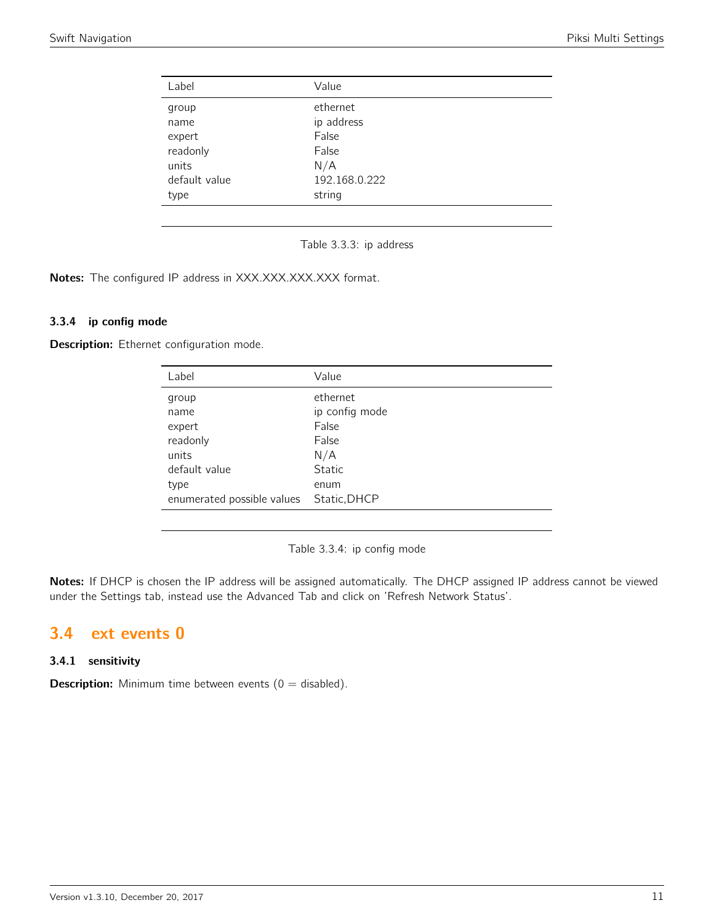<span id="page-10-0"></span>

| Value         |  |
|---------------|--|
| ethernet      |  |
| ip address    |  |
| False         |  |
| False         |  |
| N/A           |  |
| 192.168.0.222 |  |
| string        |  |
|               |  |

Table 3.3.3: ip address

Notes: The configured IP address in XXX.XXX.XXX.XXX format.

### 3.3.4 ip config mode

Description: Ethernet configuration mode.

| Label                      | Value          |
|----------------------------|----------------|
| group                      | ethernet       |
| name                       | ip config mode |
| expert                     | False          |
| readonly                   | False          |
| units                      | N/A            |
| default value              | Static         |
| type                       | enum           |
| enumerated possible values | Static, DHCP   |

Table 3.3.4: ip config mode

Notes: If DHCP is chosen the IP address will be assigned automatically. The DHCP assigned IP address cannot be viewed under the Settings tab, instead use the Advanced Tab and click on 'Refresh Network Status'.

# <span id="page-10-1"></span>3.4 ext events 0

# 3.4.1 sensitivity

**Description:** Minimum time between events  $(0 = \text{disabled})$ .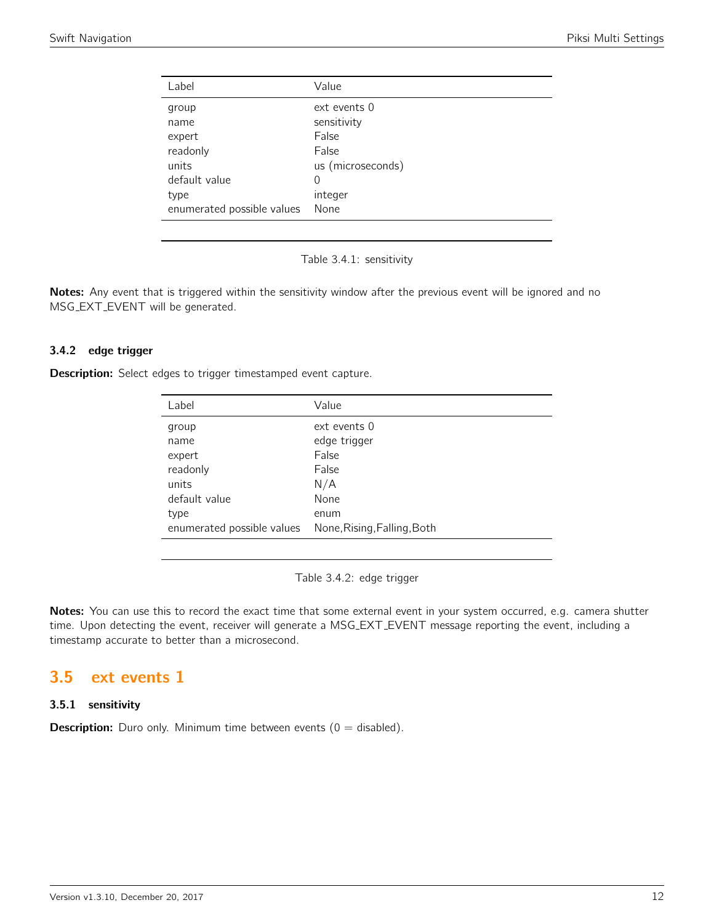<span id="page-11-0"></span>

| Label                      | Value             |
|----------------------------|-------------------|
| group                      | $ext$ events $0$  |
| name                       | sensitivity       |
| expert                     | False             |
| readonly                   | False             |
| units                      | us (microseconds) |
| default value              | 0                 |
| type                       | integer           |
| enumerated possible values | None              |

Table 3.4.1: sensitivity

Notes: Any event that is triggered within the sensitivity window after the previous event will be ignored and no MSG EXT EVENT will be generated.

### 3.4.2 edge trigger

**Description:** Select edges to trigger timestamped event capture.

| Label                      | Value                       |
|----------------------------|-----------------------------|
| group                      | ext events 0                |
| name                       | edge trigger                |
| expert                     | False                       |
| readonly                   | False                       |
| units                      | N/A                         |
| default value              | None                        |
| type                       | enum                        |
| enumerated possible values | None, Rising, Falling, Both |

Table 3.4.2: edge trigger

Notes: You can use this to record the exact time that some external event in your system occurred, e.g. camera shutter time. Upon detecting the event, receiver will generate a MSG EXT EVENT message reporting the event, including a timestamp accurate to better than a microsecond.

# <span id="page-11-1"></span>3.5 ext events 1

### 3.5.1 sensitivity

**Description:** Duro only. Minimum time between events  $(0 = \text{disabled})$ .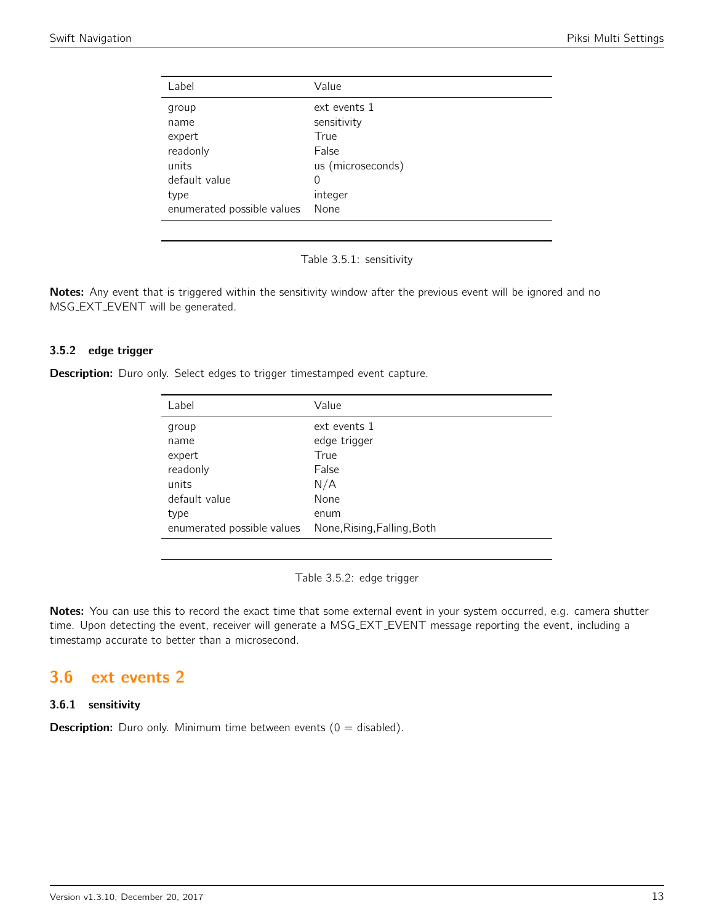<span id="page-12-0"></span>

| Label                      | Value             |
|----------------------------|-------------------|
| group                      | ext events 1      |
| name                       | sensitivity       |
| expert                     | True              |
| readonly                   | False             |
| units                      | us (microseconds) |
| default value              | 0                 |
| type                       | integer           |
| enumerated possible values | None              |

Table 3.5.1: sensitivity

Notes: Any event that is triggered within the sensitivity window after the previous event will be ignored and no MSG EXT EVENT will be generated.

### 3.5.2 edge trigger

**Description:** Duro only. Select edges to trigger timestamped event capture.

| Label                      | Value                       |
|----------------------------|-----------------------------|
| group                      | ext events 1                |
| name                       | edge trigger                |
| expert                     | True                        |
| readonly                   | False                       |
| units                      | N/A                         |
| default value              | None                        |
| type                       | enum                        |
| enumerated possible values | None, Rising, Falling, Both |

Table 3.5.2: edge trigger

Notes: You can use this to record the exact time that some external event in your system occurred, e.g. camera shutter time. Upon detecting the event, receiver will generate a MSG EXT EVENT message reporting the event, including a timestamp accurate to better than a microsecond.

# <span id="page-12-1"></span>3.6 ext events 2

### 3.6.1 sensitivity

**Description:** Duro only. Minimum time between events  $(0 = \text{disabled})$ .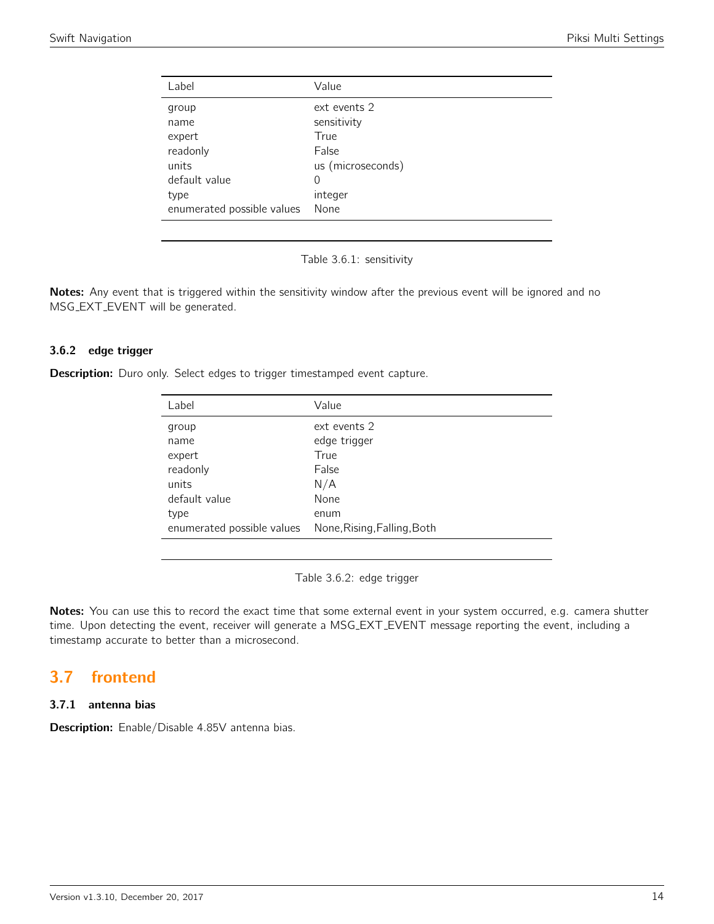<span id="page-13-0"></span>

| Label                      | Value             |
|----------------------------|-------------------|
| group                      | ext events 2      |
| name                       | sensitivity       |
| expert                     | True              |
| readonly                   | False             |
| units                      | us (microseconds) |
| default value              | 0                 |
| type                       | integer           |
| enumerated possible values | None              |

Table 3.6.1: sensitivity

Notes: Any event that is triggered within the sensitivity window after the previous event will be ignored and no MSG EXT EVENT will be generated.

### 3.6.2 edge trigger

**Description:** Duro only. Select edges to trigger timestamped event capture.

| Label                      | Value                       |
|----------------------------|-----------------------------|
| group                      | ext events 2                |
| name                       | edge trigger                |
| expert                     | True                        |
| readonly                   | False                       |
| units                      | N/A                         |
| default value              | None                        |
| type                       | enum                        |
| enumerated possible values | None, Rising, Falling, Both |

Table 3.6.2: edge trigger

Notes: You can use this to record the exact time that some external event in your system occurred, e.g. camera shutter time. Upon detecting the event, receiver will generate a MSG EXT EVENT message reporting the event, including a timestamp accurate to better than a microsecond.

# <span id="page-13-1"></span>3.7 frontend

# 3.7.1 antenna bias

Description: Enable/Disable 4.85V antenna bias.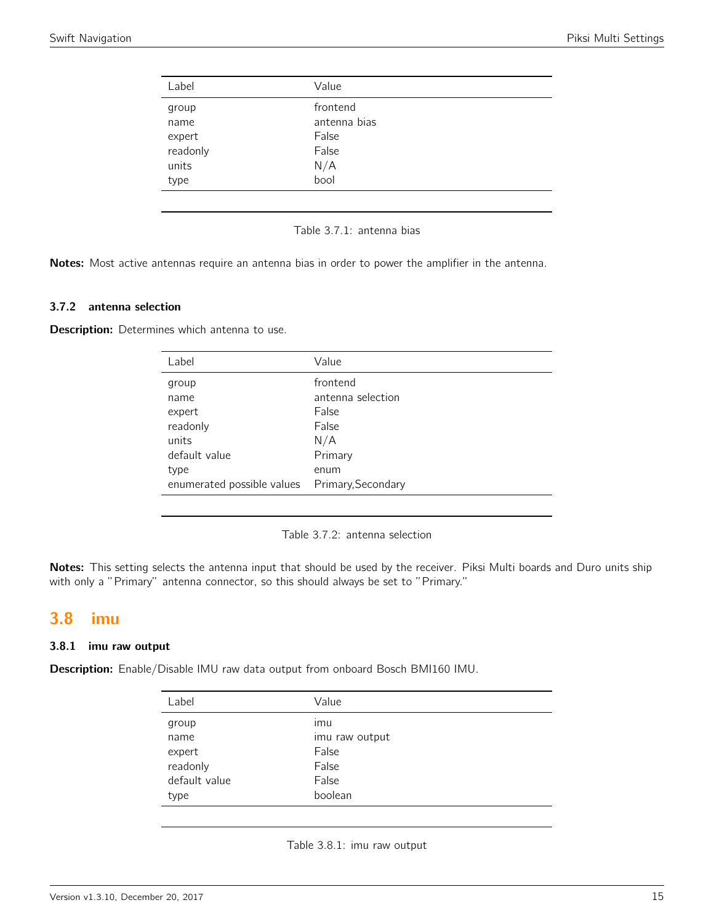<span id="page-14-0"></span>

| Label    | Value        |  |
|----------|--------------|--|
| group    | frontend     |  |
| name     | antenna bias |  |
| expert   | False        |  |
| readonly | False        |  |
| units    | N/A          |  |
| type     | bool         |  |
|          |              |  |

Table 3.7.1: antenna bias

Notes: Most active antennas require an antenna bias in order to power the amplifier in the antenna.

#### 3.7.2 antenna selection

**Description:** Determines which antenna to use.

| Label                                          | Value             |
|------------------------------------------------|-------------------|
| group                                          | frontend          |
| name                                           | antenna selection |
| expert                                         | False             |
| readonly                                       | False             |
| units                                          | N/A               |
| default value                                  | Primary           |
| type                                           | enum              |
| enumerated possible values  Primary, Secondary |                   |
|                                                |                   |

Table 3.7.2: antenna selection

Notes: This setting selects the antenna input that should be used by the receiver. Piksi Multi boards and Duro units ship with only a "Primary" antenna connector, so this should always be set to "Primary."

# <span id="page-14-1"></span>3.8 imu

### 3.8.1 imu raw output

<span id="page-14-2"></span>Description: Enable/Disable IMU raw data output from onboard Bosch BMI160 IMU.

| Label         | Value          |
|---------------|----------------|
| group         | ımu            |
| name          | imu raw output |
| expert        | False          |
| readonly      | False          |
| default value | False          |
| type          | boolean        |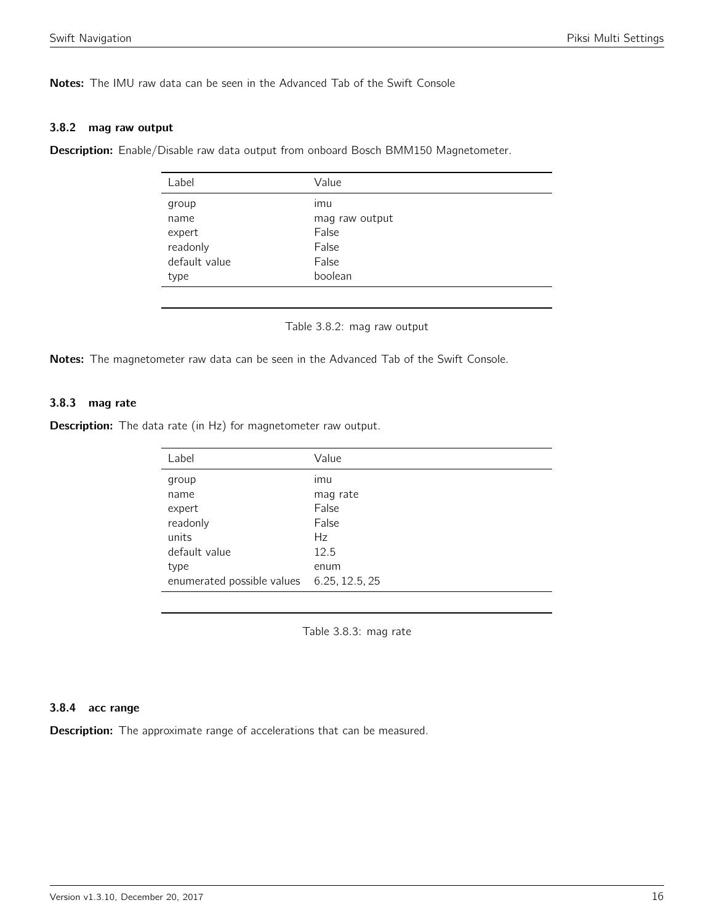Notes: The IMU raw data can be seen in the Advanced Tab of the Swift Console

#### 3.8.2 mag raw output

<span id="page-15-0"></span>Description: Enable/Disable raw data output from onboard Bosch BMM150 Magnetometer.

| Label         | Value          |
|---------------|----------------|
| group         | imu            |
| name          | mag raw output |
| expert        | False          |
| readonly      | False          |
| default value | False          |
| type          | boolean        |
|               |                |

Table 3.8.2: mag raw output

Notes: The magnetometer raw data can be seen in the Advanced Tab of the Swift Console.

### 3.8.3 mag rate

<span id="page-15-1"></span>**Description:** The data rate (in Hz) for magnetometer raw output.

| Label                                     | Value    |
|-------------------------------------------|----------|
| group                                     | ımu      |
| name                                      | mag rate |
| expert                                    | False    |
| readonly                                  | False    |
| units                                     | Hz       |
| default value                             | 12.5     |
| type                                      | enum     |
| enumerated possible values 6.25, 12.5, 25 |          |

Table 3.8.3: mag rate

#### 3.8.4 acc range

Description: The approximate range of accelerations that can be measured.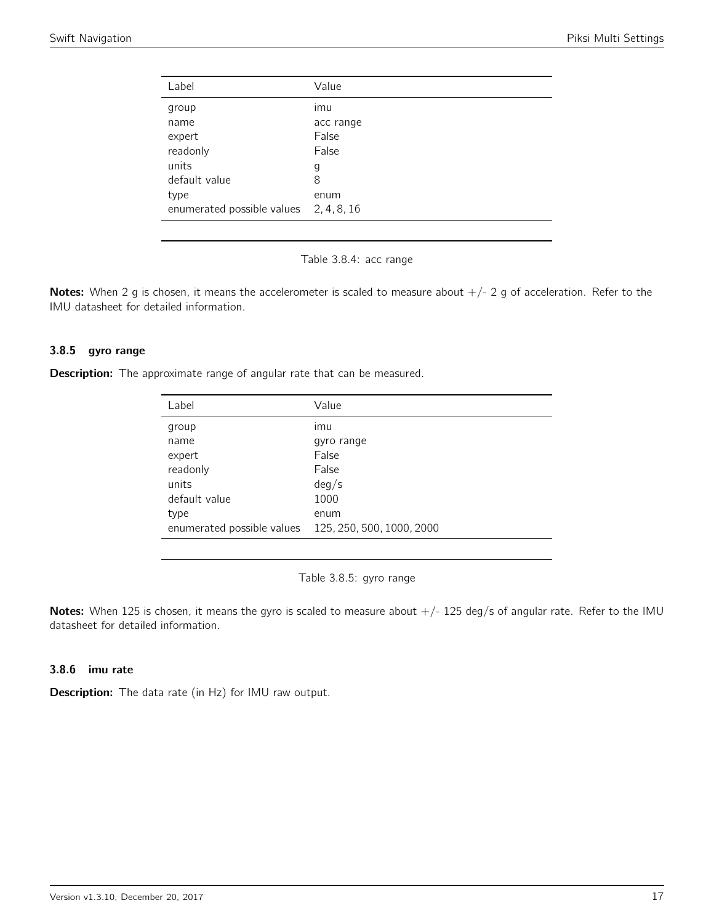<span id="page-16-0"></span>

| Label                                  | Value     |
|----------------------------------------|-----------|
| group                                  | imu       |
| name                                   | acc range |
| expert                                 | False     |
| readonly                               | False     |
| units                                  | g         |
| default value                          | 8         |
| type                                   | enum      |
| enumerated possible values 2, 4, 8, 16 |           |

Table 3.8.4: acc range

Notes: When 2 g is chosen, it means the accelerometer is scaled to measure about  $+/- 2$  g of acceleration. Refer to the IMU datasheet for detailed information.

### 3.8.5 gyro range

<span id="page-16-1"></span>**Description:** The approximate range of angular rate that can be measured.

| Label                      | Value                     |
|----------------------------|---------------------------|
| group                      | ımu                       |
| name                       | gyro range                |
| expert                     | False                     |
| readonly                   | False                     |
| units                      | deg/s                     |
| default value              | 1000                      |
| type                       | enum                      |
| enumerated possible values | 125, 250, 500, 1000, 2000 |
|                            |                           |

Table 3.8.5: gyro range

Notes: When 125 is chosen, it means the gyro is scaled to measure about  $+/-$  125 deg/s of angular rate. Refer to the IMU datasheet for detailed information.

# 3.8.6 imu rate

Description: The data rate (in Hz) for IMU raw output.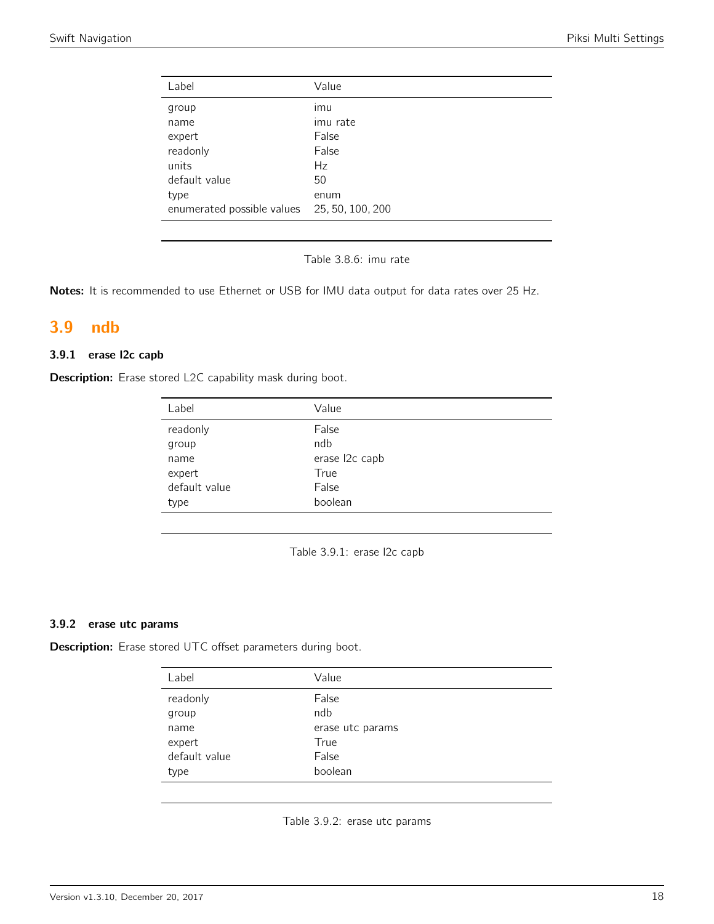| Label                                       | Value    |
|---------------------------------------------|----------|
| group                                       | imu      |
| name                                        | imu rate |
| expert                                      | False    |
| readonly                                    | False    |
| units                                       | Hz       |
| default value                               | 50       |
| type                                        | enum     |
| enumerated possible values 25, 50, 100, 200 |          |

Table 3.8.6: imu rate

Notes: It is recommended to use Ethernet or USB for IMU data output for data rates over 25 Hz.

# <span id="page-17-0"></span>3.9 ndb

# 3.9.1 erase l2c capb

<span id="page-17-1"></span>Description: Erase stored L2C capability mask during boot.

| Label         | Value          |
|---------------|----------------|
| readonly      | False          |
| group         | ndb            |
| name          | erase l2c capb |
| expert        | True           |
| default value | False          |
| type          | boolean        |

Table 3.9.1: erase l2c capb

#### 3.9.2 erase utc params

<span id="page-17-2"></span>Description: Erase stored UTC offset parameters during boot.

| Label         | Value            |
|---------------|------------------|
| readonly      | False            |
| group         | ndb              |
| name          | erase utc params |
| expert        | True             |
| default value | False            |
| type          | boolean          |

Table 3.9.2: erase utc params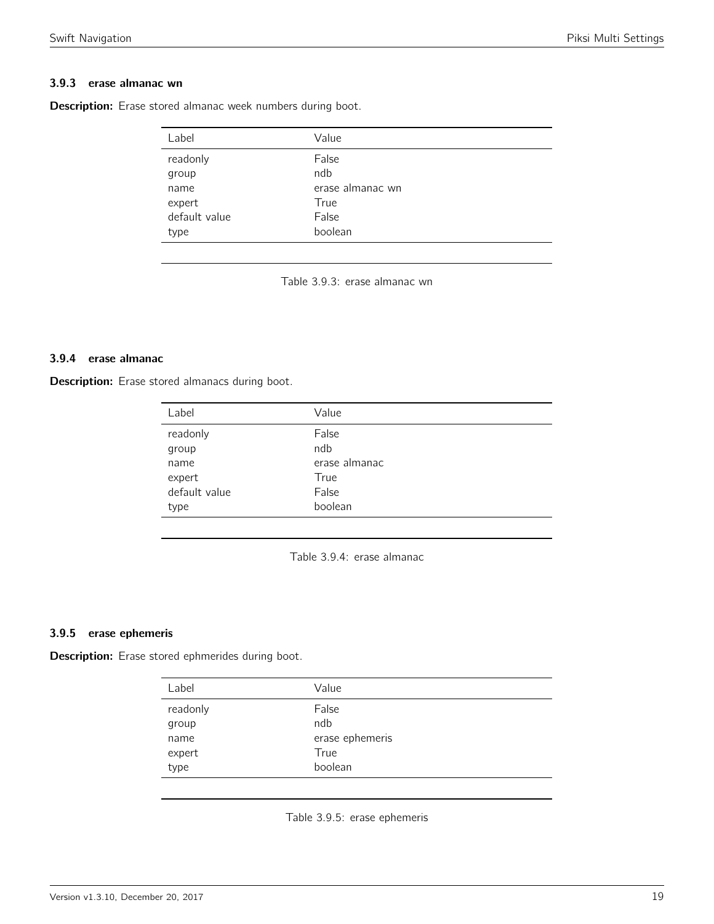# 3.9.3 erase almanac wn

<span id="page-18-0"></span>Description: Erase stored almanac week numbers during boot.

| Label         | Value            |
|---------------|------------------|
| readonly      | False            |
| group         | ndb              |
| name          | erase almanac wn |
| expert        | True             |
| default value | False            |
| type          | boolean          |
|               |                  |

Table 3.9.3: erase almanac wn

#### 3.9.4 erase almanac

<span id="page-18-1"></span>Description: Erase stored almanacs during boot.

| Label         | Value         |
|---------------|---------------|
| readonly      | False         |
| group         | ndb           |
| name          | erase almanac |
| expert        | True          |
| default value | False         |
| type          | boolean       |

Table 3.9.4: erase almanac

### 3.9.5 erase ephemeris

<span id="page-18-2"></span>Description: Erase stored ephmerides during boot.

| Label             | Value           |
|-------------------|-----------------|
| readonly<br>group | False<br>ndb    |
| name              | erase ephemeris |
| expert            | True            |
| type              | boolean         |
|                   |                 |

Table 3.9.5: erase ephemeris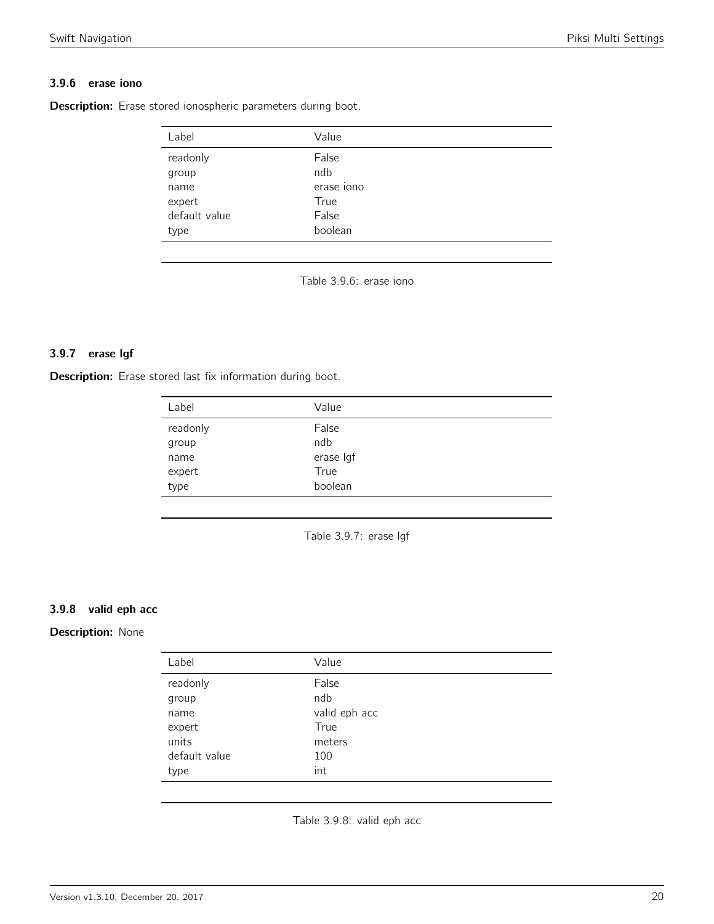# 3.9.6 erase iono

<span id="page-19-0"></span>Description: Erase stored ionospheric parameters during boot.

| Label         | Value      |  |
|---------------|------------|--|
| readonly      | False      |  |
| group         | ndb        |  |
| name          | erase iono |  |
| expert        | True       |  |
| default value | False      |  |
| type          | boolean    |  |

Table 3.9.6: erase iono

# 3.9.7 erase lgf

<span id="page-19-1"></span>Description: Erase stored last fix information during boot.

| readonly<br>False |           |
|-------------------|-----------|
| ndb<br>group      |           |
| name              | erase Igf |
| True<br>expert    |           |
| type              | boolean   |

Table 3.9.7: erase lgf

### 3.9.8 valid eph acc

### <span id="page-19-2"></span>Description: None

| Label         | Value         |
|---------------|---------------|
| readonly      | False         |
| group         | ndb           |
| name          | valid eph acc |
| expert        | True          |
| units         | meters        |
| default value | 100           |
| type          | int           |

Table 3.9.8: valid eph acc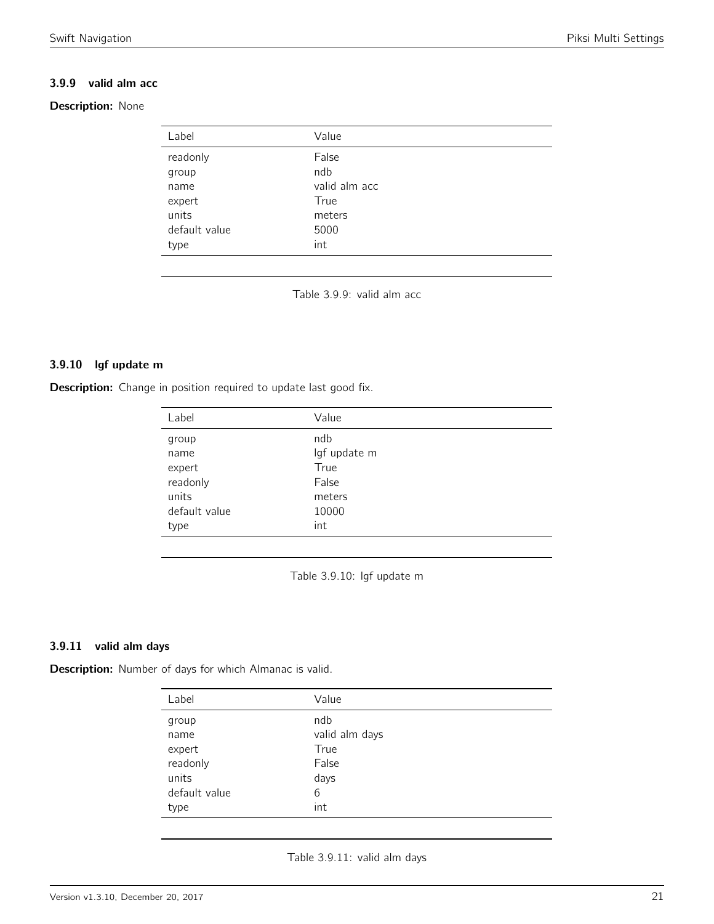# 3.9.9 valid alm acc

# <span id="page-20-0"></span>Description: None

| Label         | Value         |
|---------------|---------------|
|               |               |
| readonly      | False         |
| group         | ndb           |
| name          | valid alm acc |
| expert        | True          |
| units         | meters        |
| default value | 5000          |
| type          | int           |
|               |               |

Table 3.9.9: valid alm acc

### 3.9.10 lgf update m

<span id="page-20-1"></span>**Description:** Change in position required to update last good fix.

| Label         | Value        |
|---------------|--------------|
| group         | ndb          |
| name          | lgf update m |
| expert        | True         |
| readonly      | False        |
| units         | meters       |
| default value | 10000        |
| type          | int          |

Table 3.9.10: lgf update m

### 3.9.11 valid alm days

<span id="page-20-2"></span>Description: Number of days for which Almanac is valid.

| Label         | Value          |
|---------------|----------------|
| group         | ndb            |
| name          | valid alm days |
| expert        | True           |
| readonly      | False          |
| units         | days           |
| default value | 6              |
| type          | int            |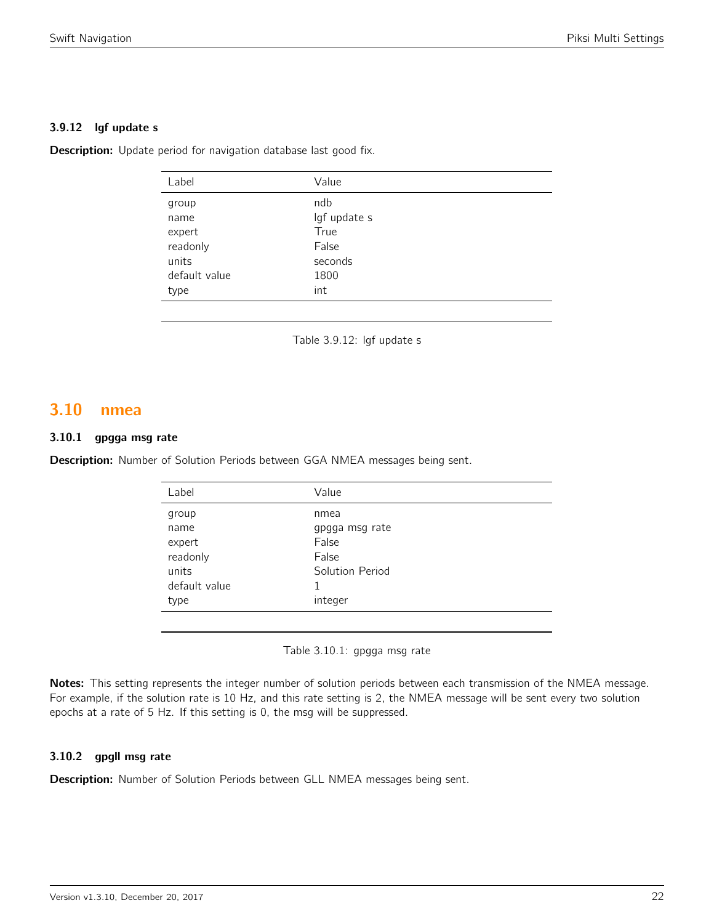### 3.9.12 lgf update s

**Description:** Update period for navigation database last good fix.

| Label         | Value        |
|---------------|--------------|
| group         | ndb          |
| name          | lgf update s |
| expert        | True         |
| readonly      | False        |
| units         | seconds      |
| default value | 1800         |
| type          | int          |
|               |              |

Table 3.9.12: lgf update s

# <span id="page-21-0"></span>3.10 nmea

### 3.10.1 gpgga msg rate

<span id="page-21-1"></span>Description: Number of Solution Periods between GGA NMEA messages being sent.

| Label         | Value           |
|---------------|-----------------|
| group         | nmea            |
| name          | gpgga msg rate  |
| expert        | False           |
| readonly      | False           |
| units         | Solution Period |
| default value |                 |
| type          | integer         |
|               |                 |

Table 3.10.1: gpgga msg rate

Notes: This setting represents the integer number of solution periods between each transmission of the NMEA message. For example, if the solution rate is 10 Hz, and this rate setting is 2, the NMEA message will be sent every two solution epochs at a rate of 5 Hz. If this setting is 0, the msg will be suppressed.

### 3.10.2 gpgll msg rate

Description: Number of Solution Periods between GLL NMEA messages being sent.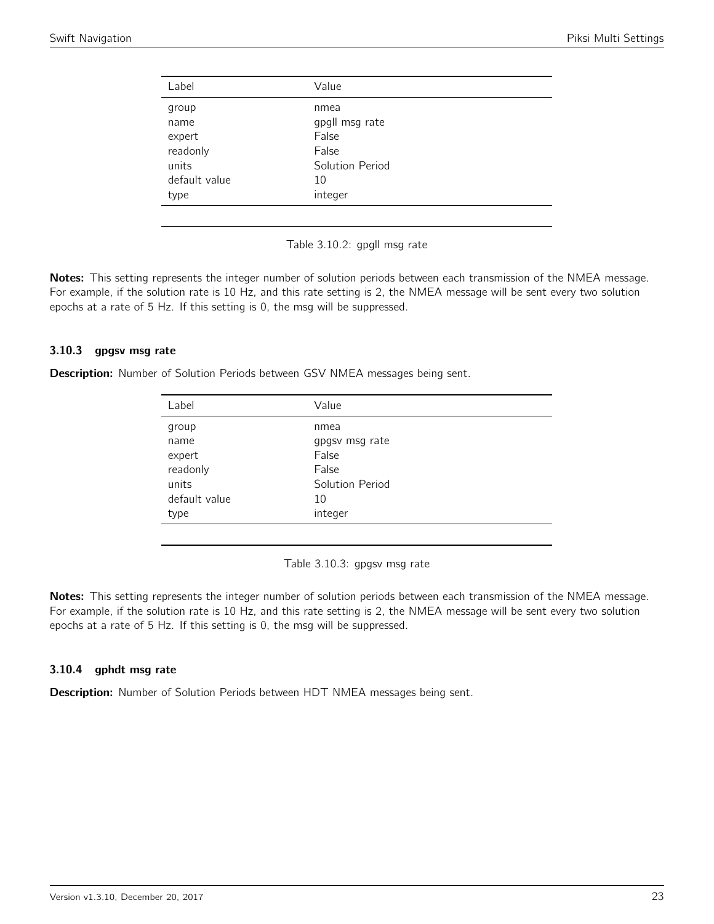<span id="page-22-0"></span>

| Label         | Value           |
|---------------|-----------------|
| group         | nmea            |
| name          | gpgll msg rate  |
| expert        | False           |
| readonly      | False           |
| units         | Solution Period |
| default value | 10              |
| type          | integer         |
|               |                 |

Table 3.10.2: gpgll msg rate

Notes: This setting represents the integer number of solution periods between each transmission of the NMEA message. For example, if the solution rate is 10 Hz, and this rate setting is 2, the NMEA message will be sent every two solution epochs at a rate of 5 Hz. If this setting is 0, the msg will be suppressed.

### 3.10.3 gpgsv msg rate

<span id="page-22-1"></span>**Description:** Number of Solution Periods between GSV NMEA messages being sent.

| Label         | Value           |  |
|---------------|-----------------|--|
| group         | nmea            |  |
| name          | gpgsv msg rate  |  |
| expert        | False           |  |
| readonly      | False           |  |
| units         | Solution Period |  |
| default value | 10              |  |
| type          | integer         |  |
|               |                 |  |

Table 3.10.3: gpgsv msg rate

Notes: This setting represents the integer number of solution periods between each transmission of the NMEA message. For example, if the solution rate is 10 Hz, and this rate setting is 2, the NMEA message will be sent every two solution epochs at a rate of 5 Hz. If this setting is 0, the msg will be suppressed.

### 3.10.4 gphdt msg rate

Description: Number of Solution Periods between HDT NMEA messages being sent.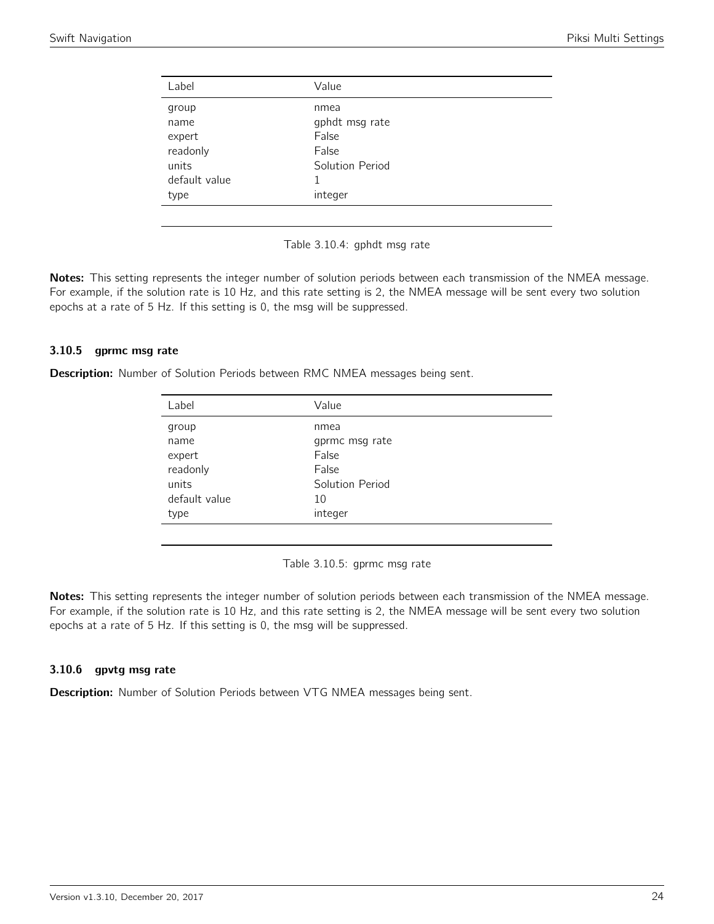<span id="page-23-0"></span>

| Label         | Value           |
|---------------|-----------------|
| group         | nmea            |
| name          | gphdt msg rate  |
| expert        | False           |
| readonly      | False           |
| units         | Solution Period |
| default value |                 |
| type          | integer         |
|               |                 |

Table 3.10.4: gphdt msg rate

Notes: This setting represents the integer number of solution periods between each transmission of the NMEA message. For example, if the solution rate is 10 Hz, and this rate setting is 2, the NMEA message will be sent every two solution epochs at a rate of 5 Hz. If this setting is 0, the msg will be suppressed.

#### 3.10.5 gprmc msg rate

<span id="page-23-1"></span>**Description:** Number of Solution Periods between RMC NMEA messages being sent.

| Label         | Value           |  |
|---------------|-----------------|--|
| group         | nmea            |  |
| name          | gprmc msg rate  |  |
| expert        | False           |  |
| readonly      | False           |  |
| units         | Solution Period |  |
| default value | 10              |  |
| type          | integer         |  |
|               |                 |  |

Table 3.10.5: gprmc msg rate

Notes: This setting represents the integer number of solution periods between each transmission of the NMEA message. For example, if the solution rate is 10 Hz, and this rate setting is 2, the NMEA message will be sent every two solution epochs at a rate of 5 Hz. If this setting is 0, the msg will be suppressed.

### 3.10.6 gpvtg msg rate

Description: Number of Solution Periods between VTG NMEA messages being sent.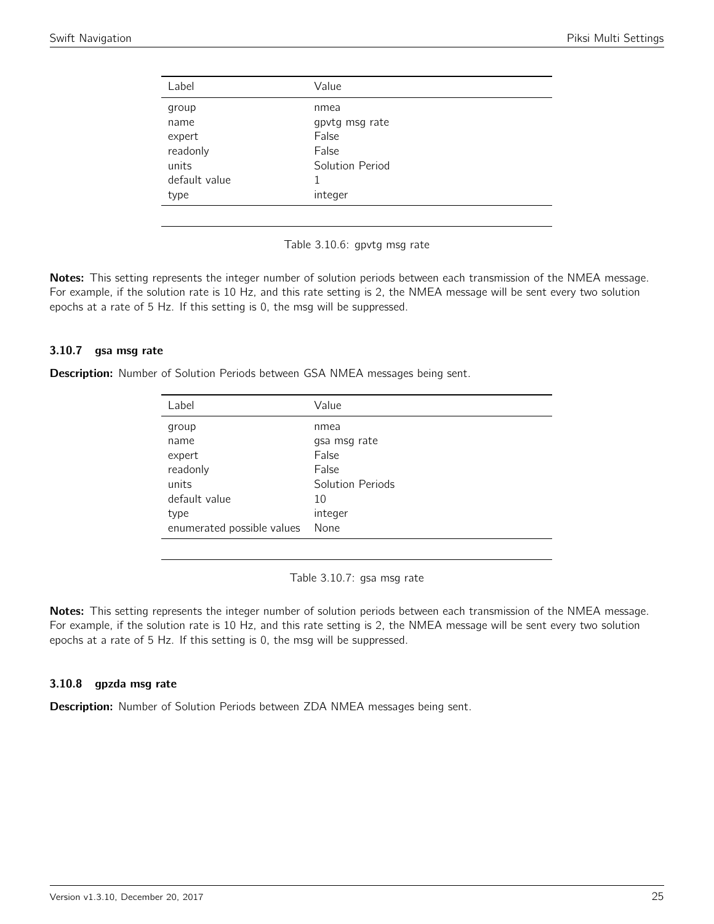<span id="page-24-0"></span>

| nmea<br>gpvtg msg rate |
|------------------------|
|                        |
|                        |
| False                  |
| False                  |
| Solution Period        |
|                        |
| integer                |
|                        |

Table 3.10.6: gpvtg msg rate

Notes: This setting represents the integer number of solution periods between each transmission of the NMEA message. For example, if the solution rate is 10 Hz, and this rate setting is 2, the NMEA message will be sent every two solution epochs at a rate of 5 Hz. If this setting is 0, the msg will be suppressed.

### 3.10.7 gsa msg rate

<span id="page-24-1"></span>Description: Number of Solution Periods between GSA NMEA messages being sent.

| Label                      | Value            |
|----------------------------|------------------|
| group                      | nmea             |
| name                       | gsa msg rate     |
| expert                     | False            |
| readonly                   | False            |
| units                      | Solution Periods |
| default value              | 10               |
| type                       | integer          |
| enumerated possible values | None             |

Table 3.10.7: gsa msg rate

Notes: This setting represents the integer number of solution periods between each transmission of the NMEA message. For example, if the solution rate is 10 Hz, and this rate setting is 2, the NMEA message will be sent every two solution epochs at a rate of 5 Hz. If this setting is 0, the msg will be suppressed.

### 3.10.8 gpzda msg rate

Description: Number of Solution Periods between ZDA NMEA messages being sent.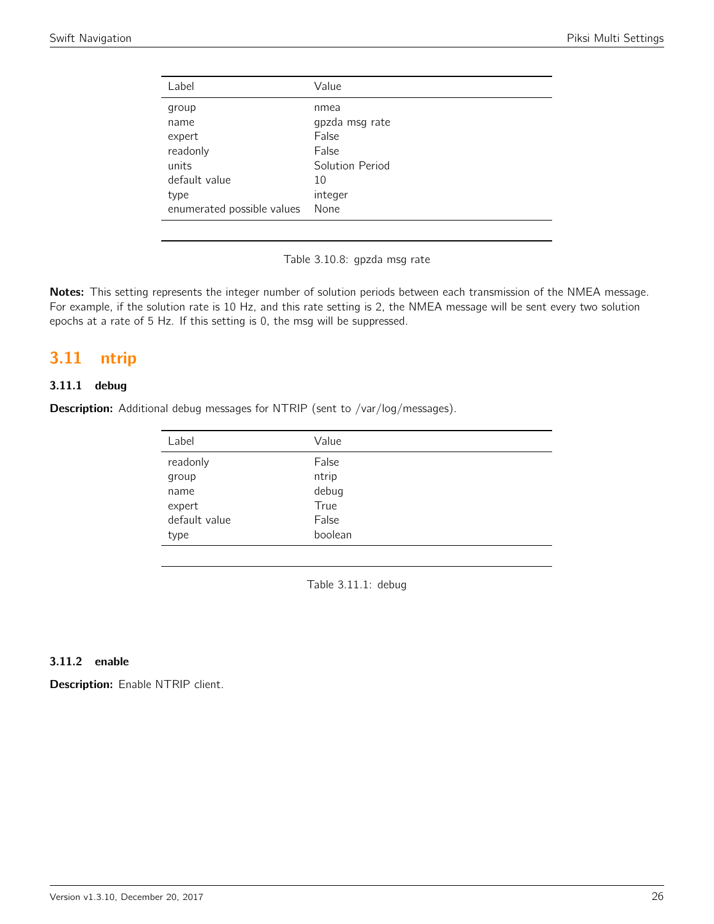| Label                      | Value           |
|----------------------------|-----------------|
| group                      | nmea            |
| name                       | gpzda msg rate  |
| expert                     | False           |
| readonly                   | False           |
| units                      | Solution Period |
| default value              | 10              |
| type                       | integer         |
| enumerated possible values | None            |

Table 3.10.8: gpzda msg rate

Notes: This setting represents the integer number of solution periods between each transmission of the NMEA message. For example, if the solution rate is 10 Hz, and this rate setting is 2, the NMEA message will be sent every two solution epochs at a rate of 5 Hz. If this setting is 0, the msg will be suppressed.

# <span id="page-25-0"></span>3.11 ntrip

# 3.11.1 debug

<span id="page-25-1"></span>Description: Additional debug messages for NTRIP (sent to /var/log/messages).

| Value   |
|---------|
| False   |
| ntrip   |
| debug   |
| True    |
| False   |
| boolean |
|         |

Table 3.11.1: debug

### 3.11.2 enable

Description: Enable NTRIP client.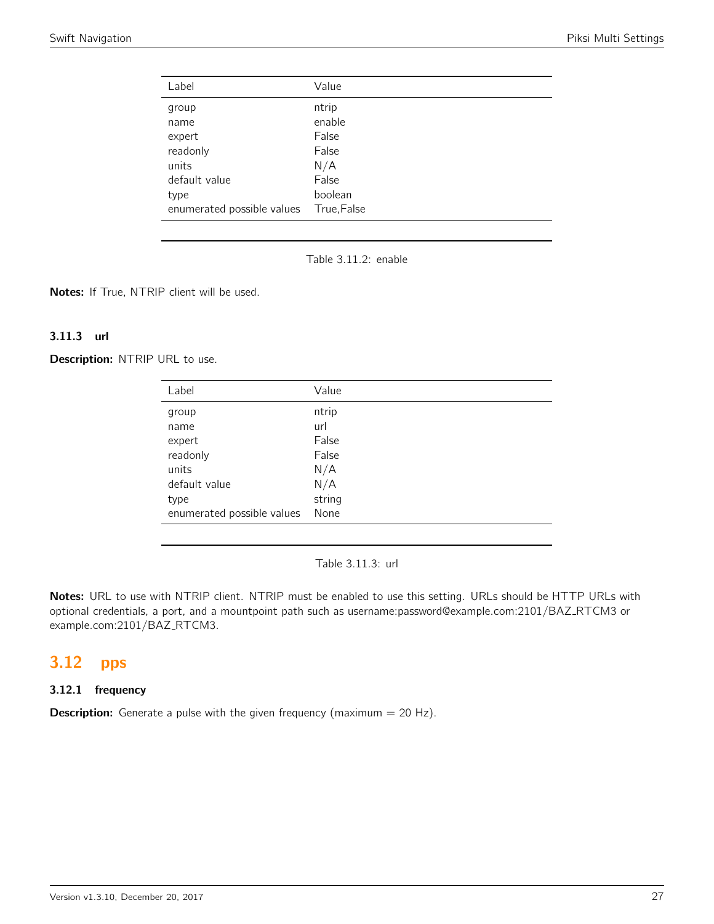<span id="page-26-0"></span>

| Label                      | Value       |
|----------------------------|-------------|
| group                      | ntrip       |
| name                       | enable      |
| expert                     | False       |
| readonly                   | False       |
| units                      | N/A         |
| default value              | False       |
| type                       | boolean     |
| enumerated possible values | True, False |



Notes: If True, NTRIP client will be used.

### 3.11.3 url

Description: NTRIP URL to use.

| Label                      | Value  |
|----------------------------|--------|
| group                      | ntrip  |
| name                       | url    |
| expert                     | False  |
| readonly                   | False  |
| units                      | N/A    |
| default value              | N/A    |
| type                       | string |
| enumerated possible values | None   |
|                            |        |

Table 3.11.3: url

Notes: URL to use with NTRIP client. NTRIP must be enabled to use this setting. URLs should be HTTP URLs with optional credentials, a port, and a mountpoint path such as username:password@example.com:2101/BAZ\_RTCM3 or example.com:2101/BAZ\_RTCM3.

# <span id="page-26-1"></span>3.12 pps

### 3.12.1 frequency

**Description:** Generate a pulse with the given frequency (maximum  $= 20$  Hz).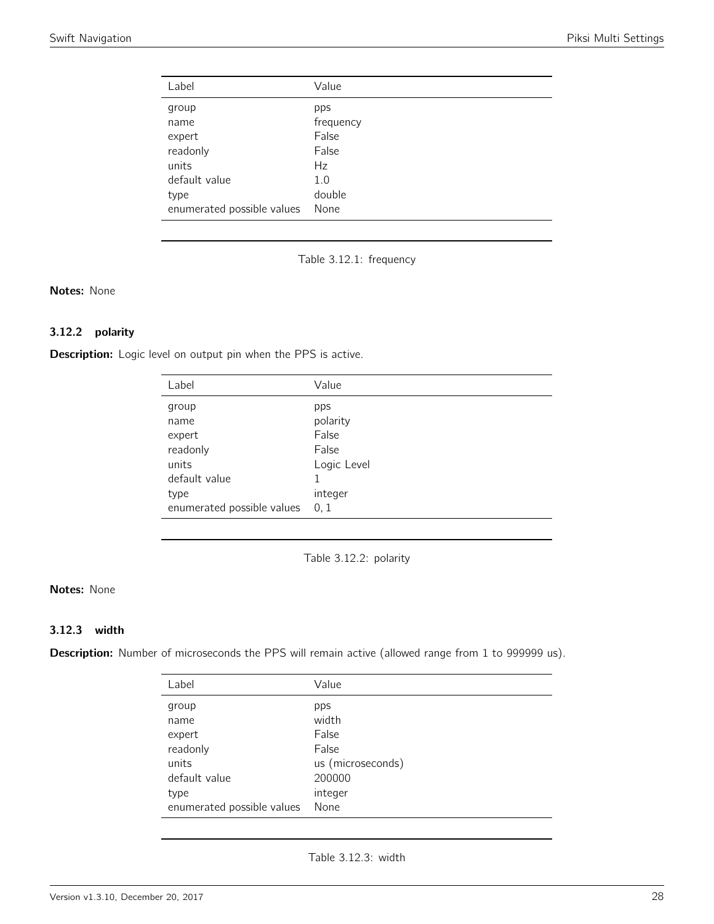<span id="page-27-0"></span>

| Label                      | Value     |
|----------------------------|-----------|
| group                      | pps       |
| name                       | frequency |
| expert                     | False     |
| readonly                   | False     |
| units                      | Hz        |
| default value              | 1.0       |
| type                       | double    |
| enumerated possible values | None      |

Table 3.12.1: frequency

## Notes: None

# 3.12.2 polarity

<span id="page-27-1"></span>Description: Logic level on output pin when the PPS is active.

| Label                      | Value       |
|----------------------------|-------------|
| group                      | pps         |
| name                       | polarity    |
| expert                     | False       |
| readonly                   | False       |
| units                      | Logic Level |
| default value              |             |
| type                       | integer     |
| enumerated possible values | 0, 1        |

Table 3.12.2: polarity

# Notes: None

# 3.12.3 width

<span id="page-27-2"></span>Description: Number of microseconds the PPS will remain active (allowed range from 1 to 999999 us).

| Label                      | Value             |
|----------------------------|-------------------|
| group                      | pps               |
| name                       | width             |
| expert                     | False             |
| readonly                   | False             |
| units                      | us (microseconds) |
| default value              | 200000            |
| type                       | integer           |
| enumerated possible values | None              |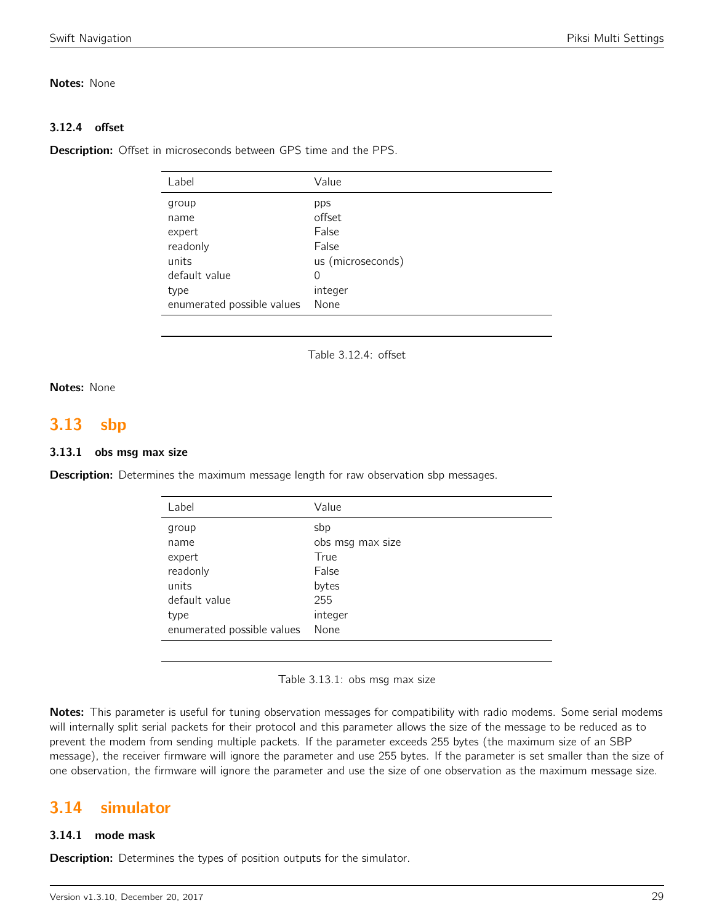### Notes: None

# 3.12.4 offset

Description: Offset in microseconds between GPS time and the PPS.

| Label                      | Value             |
|----------------------------|-------------------|
| group                      | pps               |
| name                       | offset            |
| expert                     | False             |
| readonly                   | False             |
| units                      | us (microseconds) |
| default value              | 0                 |
| type                       | integer           |
| enumerated possible values | None              |
|                            |                   |

Table 3.12.4: offset

# Notes: None

# <span id="page-28-0"></span>3.13 sbp

### 3.13.1 obs msg max size

**Description:** Determines the maximum message length for raw observation sbp messages.

| Label                      | Value            |
|----------------------------|------------------|
| group                      | sbp              |
| name                       | obs msg max size |
| expert                     | True             |
| readonly                   | False            |
| units                      | bytes            |
| default value              | 255              |
| type                       | integer          |
| enumerated possible values | None             |

Table 3.13.1: obs msg max size

Notes: This parameter is useful for tuning observation messages for compatibility with radio modems. Some serial modems will internally split serial packets for their protocol and this parameter allows the size of the message to be reduced as to prevent the modem from sending multiple packets. If the parameter exceeds 255 bytes (the maximum size of an SBP message), the receiver firmware will ignore the parameter and use 255 bytes. If the parameter is set smaller than the size of one observation, the firmware will ignore the parameter and use the size of one observation as the maximum message size.

# <span id="page-28-1"></span>3.14 simulator

# 3.14.1 mode mask

**Description:** Determines the types of position outputs for the simulator.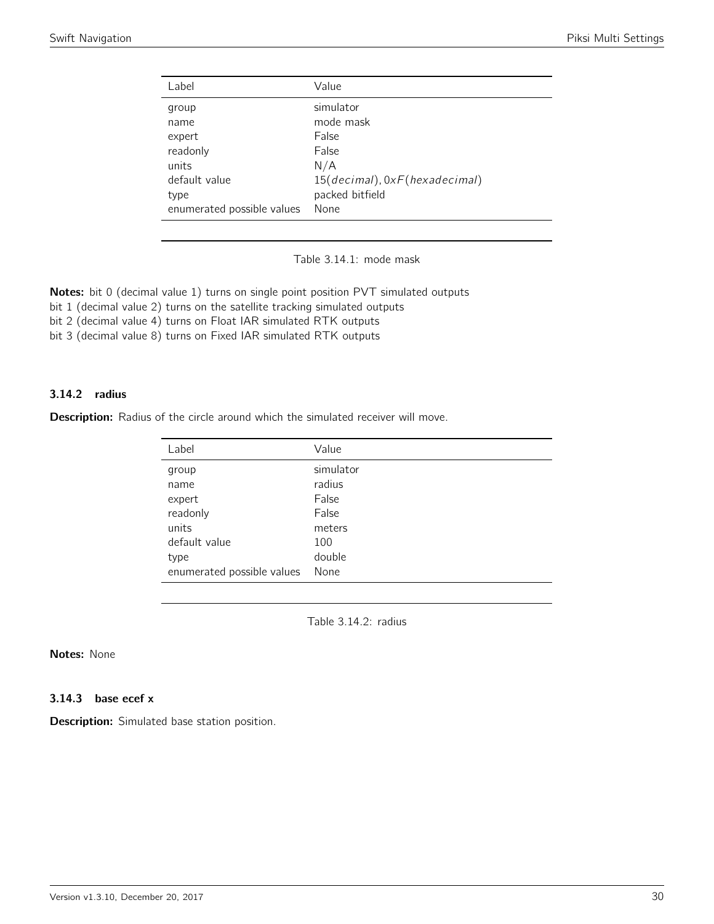<span id="page-29-0"></span>

| Label                      | Value                         |
|----------------------------|-------------------------------|
| group                      | simulator                     |
| name                       | mode mask                     |
| expert                     | False                         |
| readonly                   | False                         |
| units                      | N/A                           |
| default value              | 15(decimal), 0xF(hexadecimal) |
| type                       | packed bitfield               |
| enumerated possible values | None                          |

Table 3.14.1: mode mask

Notes: bit 0 (decimal value 1) turns on single point position PVT simulated outputs

bit 1 (decimal value 2) turns on the satellite tracking simulated outputs

bit 2 (decimal value 4) turns on Float IAR simulated RTK outputs

bit 3 (decimal value 8) turns on Fixed IAR simulated RTK outputs

### 3.14.2 radius

<span id="page-29-1"></span>Description: Radius of the circle around which the simulated receiver will move.

| Label                      | Value     |
|----------------------------|-----------|
| group                      | simulator |
| name                       | radius    |
| expert                     | False     |
| readonly                   | False     |
| units                      | meters    |
| default value              | 100       |
| type                       | double    |
| enumerated possible values | None      |

Table 3.14.2: radius

# Notes: None

3.14.3 base ecef x

Description: Simulated base station position.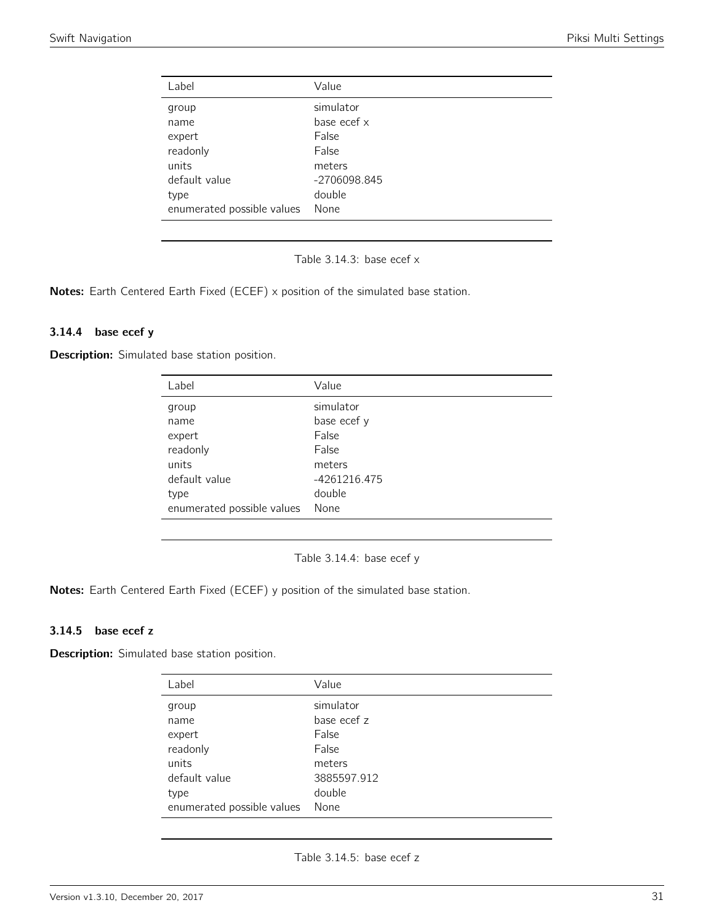<span id="page-30-0"></span>

| Value        |
|--------------|
| simulator    |
| base ecef x  |
| False        |
| False        |
| meters       |
| -2706098.845 |
| double       |
| None         |
|              |

Table 3.14.3: base ecef x

Notes: Earth Centered Earth Fixed (ECEF) x position of the simulated base station.

#### 3.14.4 base ecef y

<span id="page-30-1"></span>**Description:** Simulated base station position.

| Label                      | Value        |
|----------------------------|--------------|
| group                      | simulator    |
| name                       | base ecef y  |
| expert                     | False        |
| readonly                   | False        |
| units                      | meters       |
| default value              | -4261216.475 |
| type                       | double       |
| enumerated possible values | None         |

Table 3.14.4: base ecef y

Notes: Earth Centered Earth Fixed (ECEF) y position of the simulated base station.

#### 3.14.5 base ecef z

<span id="page-30-2"></span>Description: Simulated base station position.

| Label                      | Value       |
|----------------------------|-------------|
| group                      | simulator   |
| name                       | base ecef z |
| expert                     | False       |
| readonly                   | False       |
| units                      | meters      |
| default value              | 3885597.912 |
| type                       | double      |
| enumerated possible values | None        |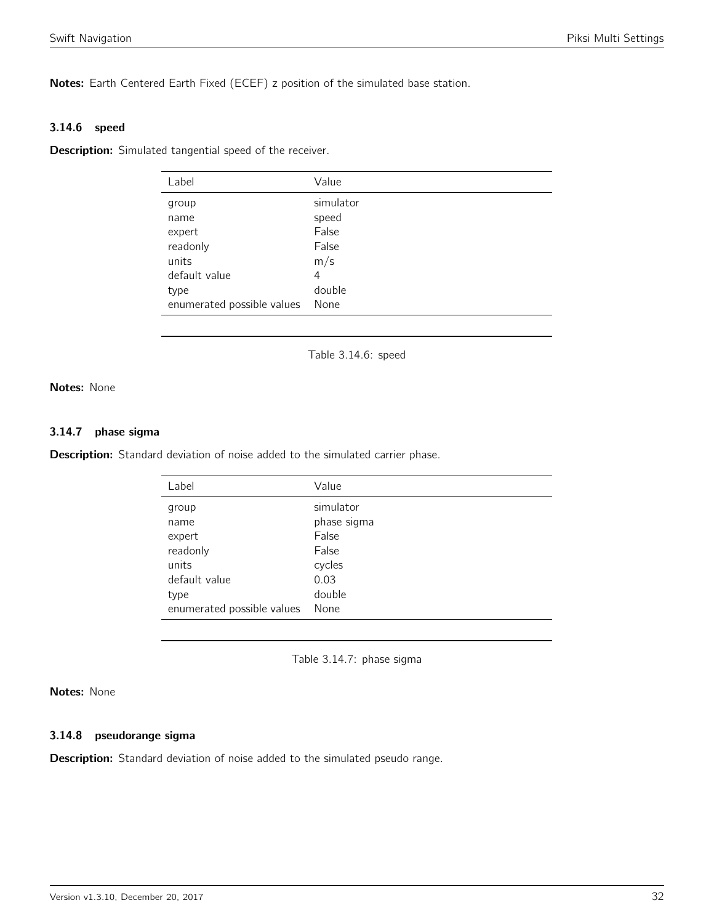Notes: Earth Centered Earth Fixed (ECEF) z position of the simulated base station.

### 3.14.6 speed

<span id="page-31-0"></span>**Description:** Simulated tangential speed of the receiver.

| Label                      | Value     |
|----------------------------|-----------|
| group                      | simulator |
| name                       | speed     |
| expert                     | False     |
| readonly                   | False     |
| units                      | m/s       |
| default value              | 4         |
| type                       | double    |
| enumerated possible values | None      |

Table 3.14.6: speed

Notes: None

### 3.14.7 phase sigma

<span id="page-31-1"></span>Description: Standard deviation of noise added to the simulated carrier phase.

| Label                      | Value       |
|----------------------------|-------------|
| group                      | simulator   |
| name                       | phase sigma |
| expert                     | False       |
| readonly                   | False       |
| units                      | cycles      |
| default value              | 0.03        |
| type                       | double      |
| enumerated possible values | None        |

Table 3.14.7: phase sigma

### Notes: None

### 3.14.8 pseudorange sigma

**Description:** Standard deviation of noise added to the simulated pseudo range.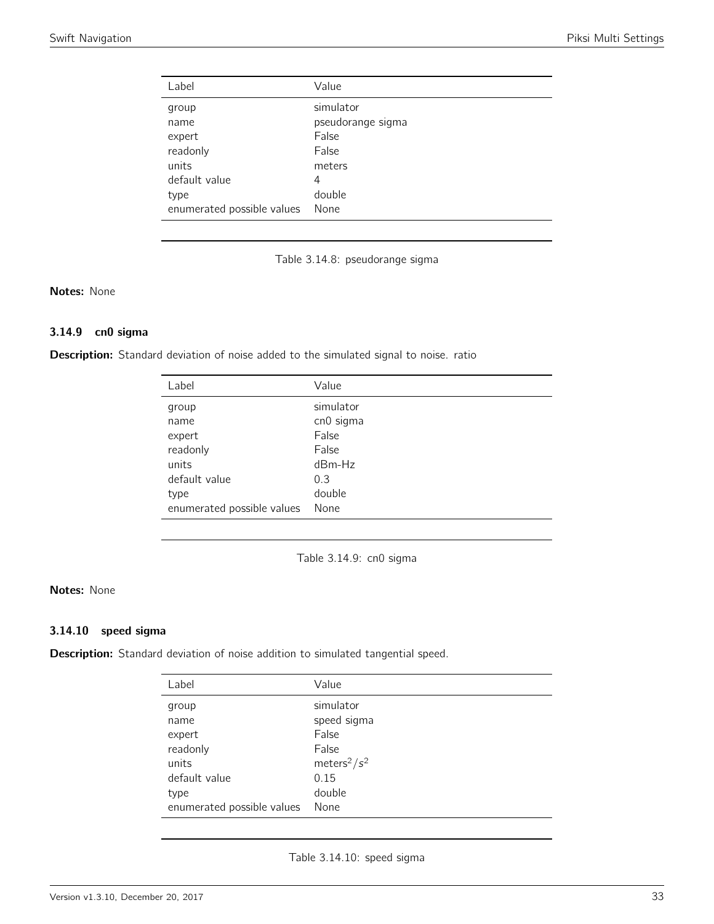<span id="page-32-0"></span>

| Label                      | Value             |
|----------------------------|-------------------|
| group                      | simulator         |
| name                       | pseudorange sigma |
| expert                     | False             |
| readonly                   | False             |
| units                      | meters            |
| default value              | 4                 |
| type                       | double            |
| enumerated possible values | None              |

Table 3.14.8: pseudorange sigma

### Notes: None

### 3.14.9 cn0 sigma

<span id="page-32-1"></span>Description: Standard deviation of noise added to the simulated signal to noise. ratio

| Label                      | Value     |
|----------------------------|-----------|
| group                      | simulator |
| name                       | cn0 sigma |
| expert                     | False     |
| readonly                   | False     |
| units                      | $dBm-Hz$  |
| default value              | 0.3       |
| type                       | double    |
| enumerated possible values | None      |

Table 3.14.9: cn0 sigma

# Notes: None

#### 3.14.10 speed sigma

<span id="page-32-2"></span>Description: Standard deviation of noise addition to simulated tangential speed.

| Label                      | Value                       |
|----------------------------|-----------------------------|
| group                      | simulator                   |
| name                       | speed sigma                 |
| expert                     | False                       |
| readonly                   | False                       |
| units                      | meters <sup>2</sup> / $s^2$ |
| default value              | 0.15                        |
| type                       | double                      |
| enumerated possible values | None                        |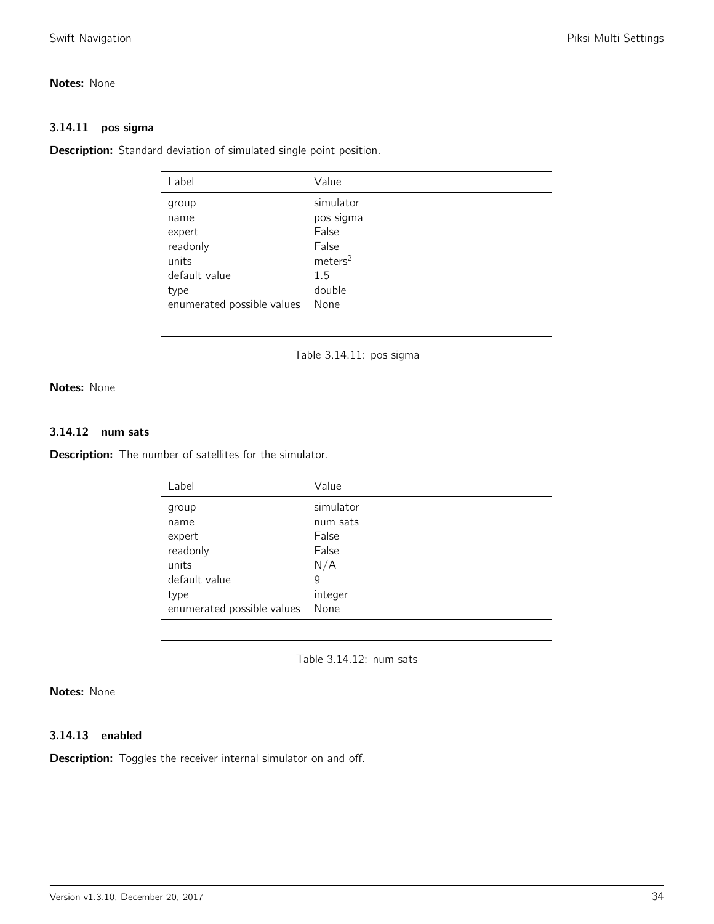# Notes: None

### 3.14.11 pos sigma

<span id="page-33-0"></span>Description: Standard deviation of simulated single point position.

| Label                      | Value               |
|----------------------------|---------------------|
| group                      | simulator           |
| name                       | pos sigma           |
| expert                     | False               |
| readonly                   | False               |
| units                      | meters <sup>2</sup> |
| default value              | 1.5                 |
| type                       | double              |
| enumerated possible values | None                |
|                            |                     |

Table 3.14.11: pos sigma

Notes: None

# 3.14.12 num sats

<span id="page-33-1"></span>**Description:** The number of satellites for the simulator.

| Label                      | Value     |
|----------------------------|-----------|
| group                      | simulator |
| name                       | num sats  |
| expert                     | False     |
| readonly                   | False     |
| units                      | N/A       |
| default value              | 9         |
| type                       | integer   |
| enumerated possible values | None      |

Table 3.14.12: num sats

# Notes: None

# 3.14.13 enabled

**Description:** Toggles the receiver internal simulator on and off.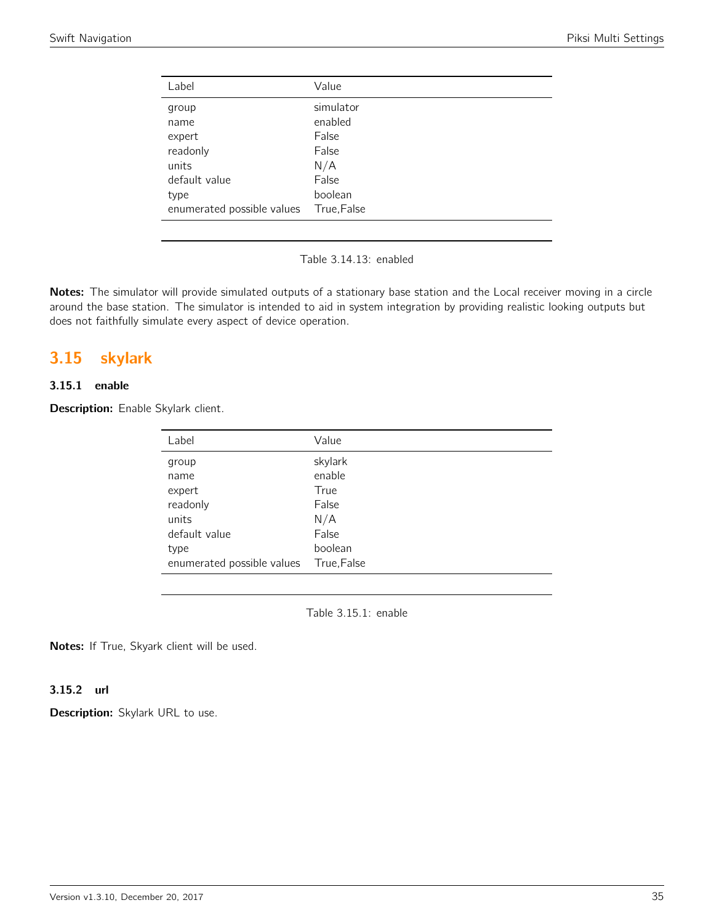| Label                      | Value       |
|----------------------------|-------------|
| group                      | simulator   |
| name                       | enabled     |
| expert                     | False       |
| readonly                   | False       |
| units                      | N/A         |
| default value              | False       |
| type                       | boolean     |
| enumerated possible values | True, False |

Table 3.14.13: enabled

Notes: The simulator will provide simulated outputs of a stationary base station and the Local receiver moving in a circle around the base station. The simulator is intended to aid in system integration by providing realistic looking outputs but does not faithfully simulate every aspect of device operation.

# <span id="page-34-0"></span>3.15 skylark

# 3.15.1 enable

<span id="page-34-1"></span>Description: Enable Skylark client.

| Label                      | Value       |
|----------------------------|-------------|
| group                      | skylark     |
| name                       | enable      |
| expert                     | True        |
| readonly                   | False       |
| units                      | N/A         |
| default value              | False       |
| type                       | boolean     |
| enumerated possible values | True, False |

Table 3.15.1: enable

Notes: If True, Skyark client will be used.

### 3.15.2 url

Description: Skylark URL to use.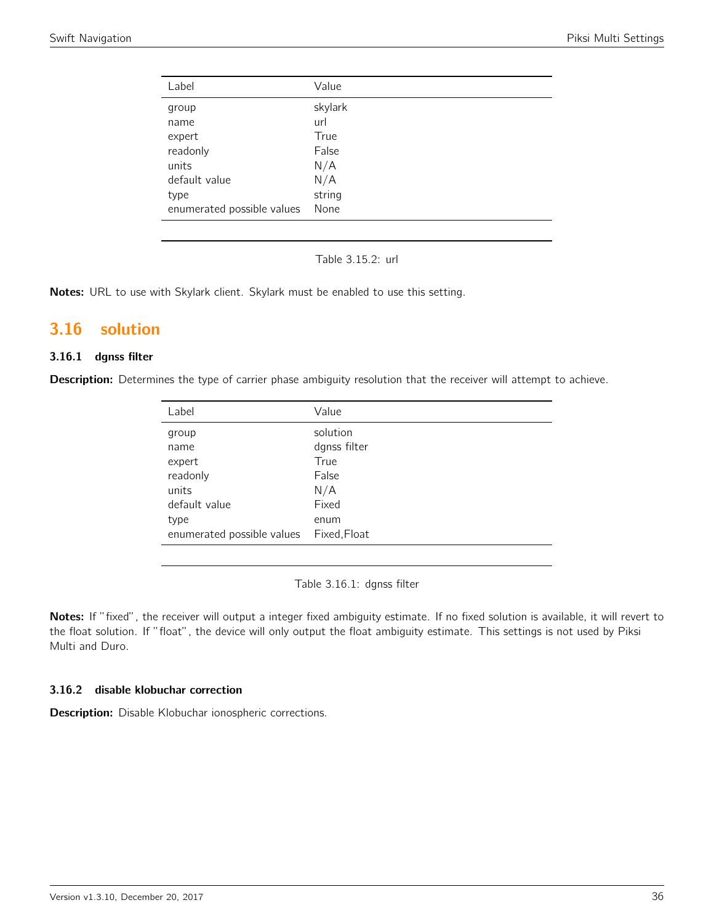| Label                      | Value   |
|----------------------------|---------|
| group                      | skylark |
| name                       | url     |
| expert                     | True    |
| readonly                   | False   |
| units                      | N/A     |
| default value              | N/A     |
| type                       | string  |
| enumerated possible values | None    |

Table 3.15.2: url

Notes: URL to use with Skylark client. Skylark must be enabled to use this setting.

# <span id="page-35-0"></span>3.16 solution

# 3.16.1 dgnss filter

<span id="page-35-1"></span>Description: Determines the type of carrier phase ambiguity resolution that the receiver will attempt to achieve.

| Label                      | Value        |
|----------------------------|--------------|
| group                      | solution     |
| name                       | dgnss filter |
| expert                     | True         |
| readonly                   | False        |
| units                      | N/A          |
| default value              | Fixed        |
| type                       | enum         |
| enumerated possible values | Fixed, Float |

Table 3.16.1: dgnss filter

Notes: If "fixed", the receiver will output a integer fixed ambiguity estimate. If no fixed solution is available, it will revert to the float solution. If "float", the device will only output the float ambiguity estimate. This settings is not used by Piksi Multi and Duro.

### 3.16.2 disable klobuchar correction

Description: Disable Klobuchar ionospheric corrections.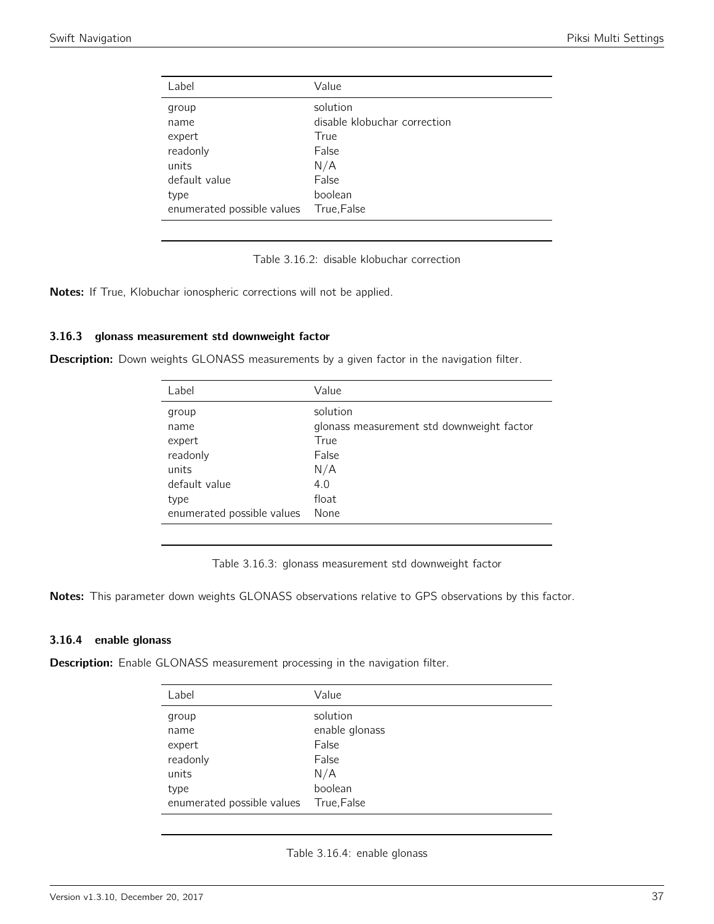| Label                      | Value                        |
|----------------------------|------------------------------|
| group                      | solution                     |
| name                       | disable klobuchar correction |
| expert                     | True                         |
| readonly                   | False                        |
| units                      | N/A                          |
| default value              | False                        |
| type                       | boolean                      |
| enumerated possible values | True, False                  |
|                            |                              |

Table 3.16.2: disable klobuchar correction

Notes: If True, Klobuchar ionospheric corrections will not be applied.

#### 3.16.3 glonass measurement std downweight factor

Description: Down weights GLONASS measurements by a given factor in the navigation filter.

| Value                                     |
|-------------------------------------------|
| solution                                  |
| glonass measurement std downweight factor |
| True                                      |
| False                                     |
| N/A                                       |
| 4.0                                       |
| float                                     |
| None                                      |
|                                           |

Table 3.16.3: glonass measurement std downweight factor

Notes: This parameter down weights GLONASS observations relative to GPS observations by this factor.

#### 3.16.4 enable glonass

**Description:** Enable GLONASS measurement processing in the navigation filter.

| Label                      | Value          |
|----------------------------|----------------|
| group                      | solution       |
| name                       | enable glonass |
| expert                     | False          |
| readonly                   | False          |
| units                      | N/A            |
| type                       | boolean        |
| enumerated possible values | True, False    |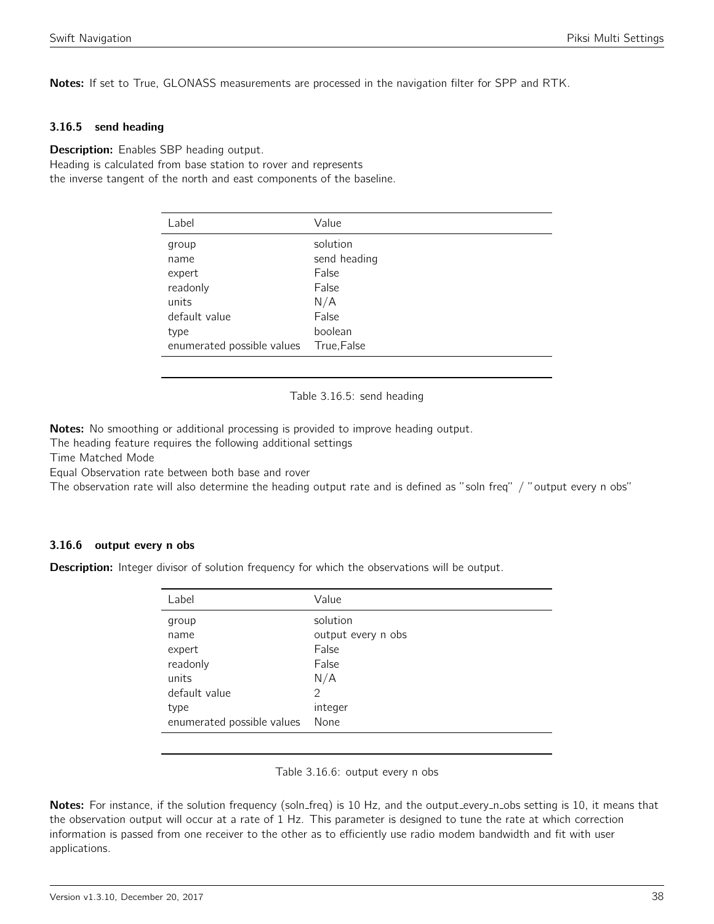Notes: If set to True, GLONASS measurements are processed in the navigation filter for SPP and RTK.

#### 3.16.5 send heading

**Description:** Enables SBP heading output. Heading is calculated from base station to rover and represents the inverse tangent of the north and east components of the baseline.

| Label                      | Value        |
|----------------------------|--------------|
| group                      | solution     |
| name                       | send heading |
| expert                     | False        |
| readonly                   | False        |
| units                      | N/A          |
| default value              | False        |
| type                       | boolean      |
| enumerated possible values | True, False  |

Table 3.16.5: send heading

Notes: No smoothing or additional processing is provided to improve heading output.

The heading feature requires the following additional settings

Time Matched Mode

Equal Observation rate between both base and rover

The observation rate will also determine the heading output rate and is defined as "soln freq" / "output every n obs"

#### 3.16.6 output every n obs

**Description:** Integer divisor of solution frequency for which the observations will be output.

| Value              |
|--------------------|
| solution           |
| output every n obs |
| False              |
| False              |
| N/A                |
| 2                  |
| integer            |
| None               |
|                    |

Table 3.16.6: output every n obs

Notes: For instance, if the solution frequency (soln\_freq) is 10 Hz, and the output\_every\_n\_obs setting is 10, it means that the observation output will occur at a rate of 1 Hz. This parameter is designed to tune the rate at which correction information is passed from one receiver to the other as to efficiently use radio modem bandwidth and fit with user applications.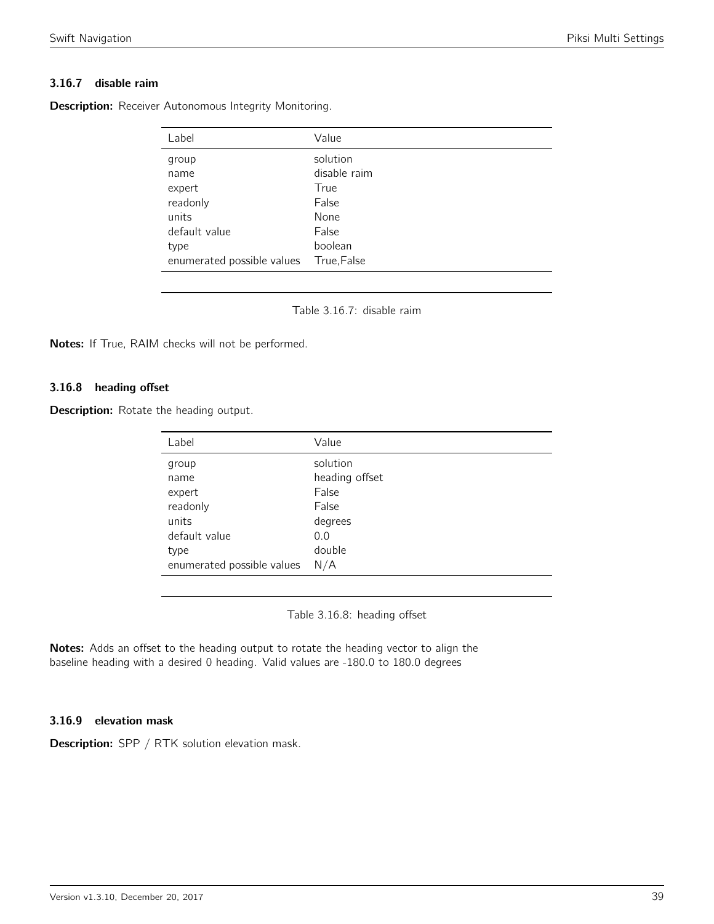## 3.16.7 disable raim

Description: Receiver Autonomous Integrity Monitoring.

| Label                      | Value        |
|----------------------------|--------------|
| group                      | solution     |
| name                       | disable raim |
| expert                     | True         |
| readonly                   | False        |
| units                      | None         |
| default value              | False        |
| type                       | boolean      |
| enumerated possible values | True, False  |

Table 3.16.7: disable raim

Notes: If True, RAIM checks will not be performed.

#### 3.16.8 heading offset

**Description:** Rotate the heading output.

| Label                      | Value          |
|----------------------------|----------------|
| group                      | solution       |
| name                       | heading offset |
| expert                     | False          |
| readonly                   | False          |
| units                      | degrees        |
| default value              | 0.0            |
| type                       | double         |
| enumerated possible values | N/A            |

Table 3.16.8: heading offset

Notes: Adds an offset to the heading output to rotate the heading vector to align the baseline heading with a desired 0 heading. Valid values are -180.0 to 180.0 degrees

#### 3.16.9 elevation mask

Description: SPP / RTK solution elevation mask.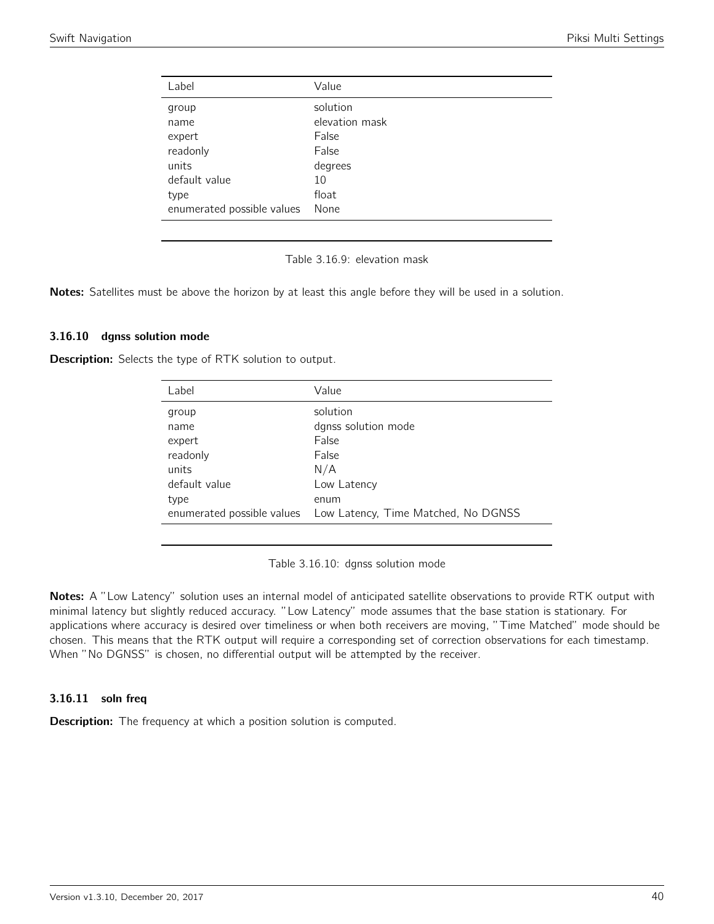| Label                      | Value          |
|----------------------------|----------------|
| group                      | solution       |
| name                       | elevation mask |
| expert                     | False          |
| readonly                   | False          |
| units                      | degrees        |
| default value              | 10             |
| type                       | float          |
| enumerated possible values | None           |
|                            |                |

Table 3.16.9: elevation mask

Notes: Satellites must be above the horizon by at least this angle before they will be used in a solution.

#### 3.16.10 dgnss solution mode

Description: Selects the type of RTK solution to output.

| Label         | Value                                                          |
|---------------|----------------------------------------------------------------|
| group         | solution                                                       |
| name          | dgnss solution mode                                            |
| expert        | False                                                          |
| readonly      | False                                                          |
| units         | N/A                                                            |
| default value | Low Latency                                                    |
| type          | enum                                                           |
|               | enumerated possible values Low Latency, Time Matched, No DGNSS |

Table 3.16.10: dgnss solution mode

Notes: A "Low Latency" solution uses an internal model of anticipated satellite observations to provide RTK output with minimal latency but slightly reduced accuracy. "Low Latency" mode assumes that the base station is stationary. For applications where accuracy is desired over timeliness or when both receivers are moving, "Time Matched" mode should be chosen. This means that the RTK output will require a corresponding set of correction observations for each timestamp. When "No DGNSS" is chosen, no differential output will be attempted by the receiver.

#### 3.16.11 soln freq

**Description:** The frequency at which a position solution is computed.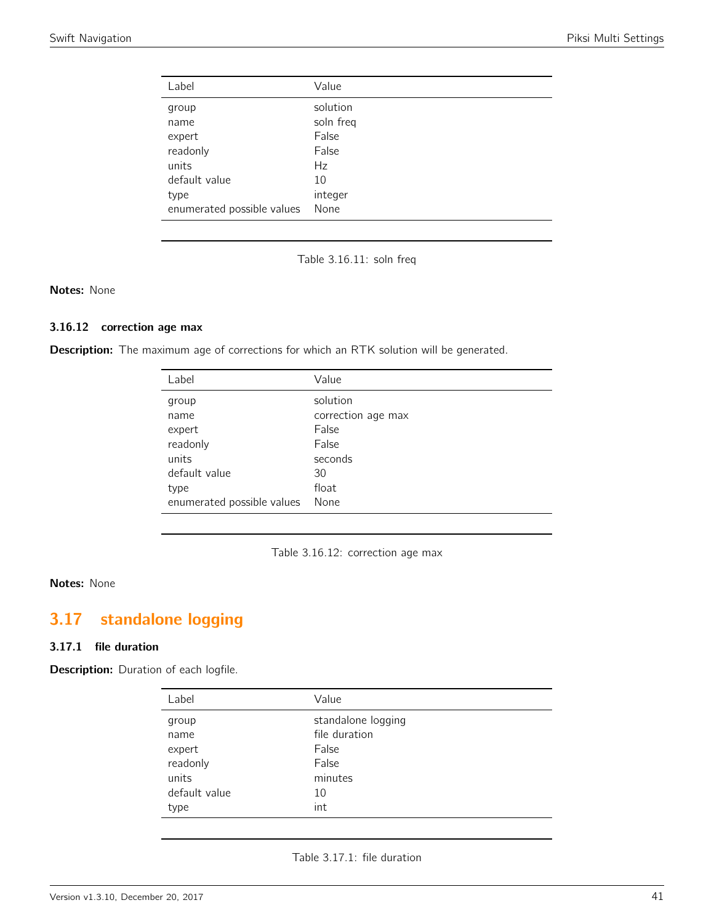| Label                      | Value     |
|----------------------------|-----------|
| group                      | solution  |
| name                       | soln freq |
| expert                     | False     |
| readonly                   | False     |
| units                      | Hz        |
| default value              | 10        |
| type                       | integer   |
| enumerated possible values | None      |

Table 3.16.11: soln freq

### Notes: None

## 3.16.12 correction age max

Description: The maximum age of corrections for which an RTK solution will be generated.

| Label                      | Value              |
|----------------------------|--------------------|
| group                      | solution           |
| name                       | correction age max |
| expert                     | False              |
| readonly                   | False              |
| units                      | seconds            |
| default value              | 30                 |
| type                       | float              |
| enumerated possible values | None               |



#### Notes: None

# 3.17 standalone logging

#### 3.17.1 file duration

Description: Duration of each logfile.

| Label         | Value              |
|---------------|--------------------|
| group         | standalone logging |
| name          | file duration      |
| expert        | False              |
| readonly      | False              |
| units         | minutes            |
| default value | 10                 |
| type          | int                |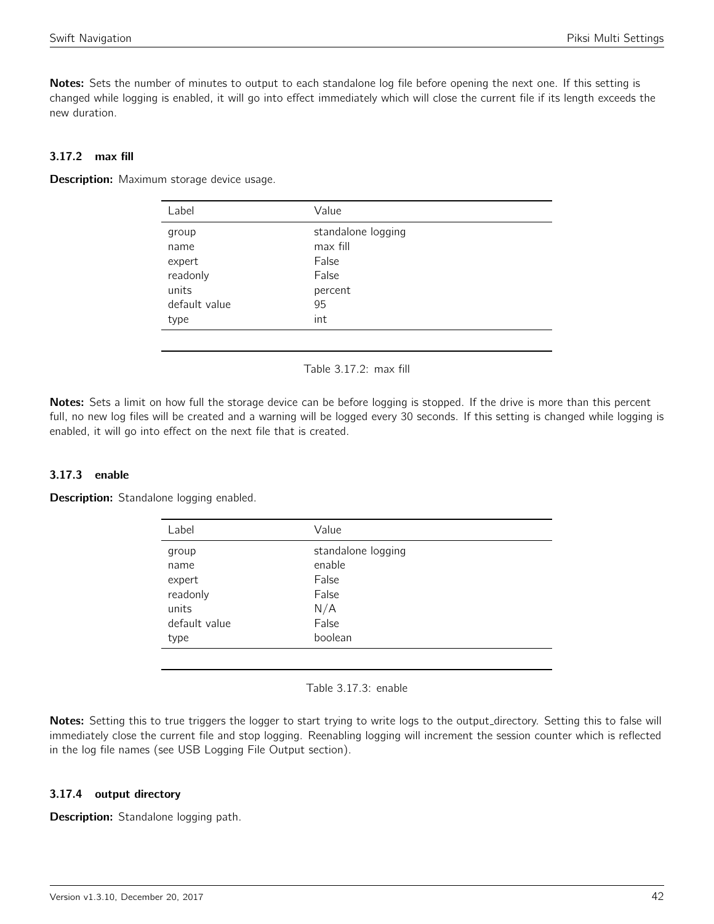Notes: Sets the number of minutes to output to each standalone log file before opening the next one. If this setting is changed while logging is enabled, it will go into effect immediately which will close the current file if its length exceeds the new duration.

## 3.17.2 max fill

**Description:** Maximum storage device usage.

| Label         | Value              |
|---------------|--------------------|
| group         | standalone logging |
| name          | max fill           |
| expert        | False              |
| readonly      | False              |
| units         | percent            |
| default value | 95                 |
| type          | int                |
|               |                    |

Table 3.17.2: max fill

Notes: Sets a limit on how full the storage device can be before logging is stopped. If the drive is more than this percent full, no new log files will be created and a warning will be logged every 30 seconds. If this setting is changed while logging is enabled, it will go into effect on the next file that is created.

## 3.17.3 enable

Description: Standalone logging enabled.

| Label         | Value              |
|---------------|--------------------|
| group         | standalone logging |
| name          | enable             |
| expert        | False              |
| readonly      | False              |
| units         | N/A                |
| default value | False              |
| type          | boolean            |
|               |                    |

Table 3.17.3: enable

Notes: Setting this to true triggers the logger to start trying to write logs to the output\_directory. Setting this to false will immediately close the current file and stop logging. Reenabling logging will increment the session counter which is reflected in the log file names (see USB Logging File Output section).

## 3.17.4 output directory

Description: Standalone logging path.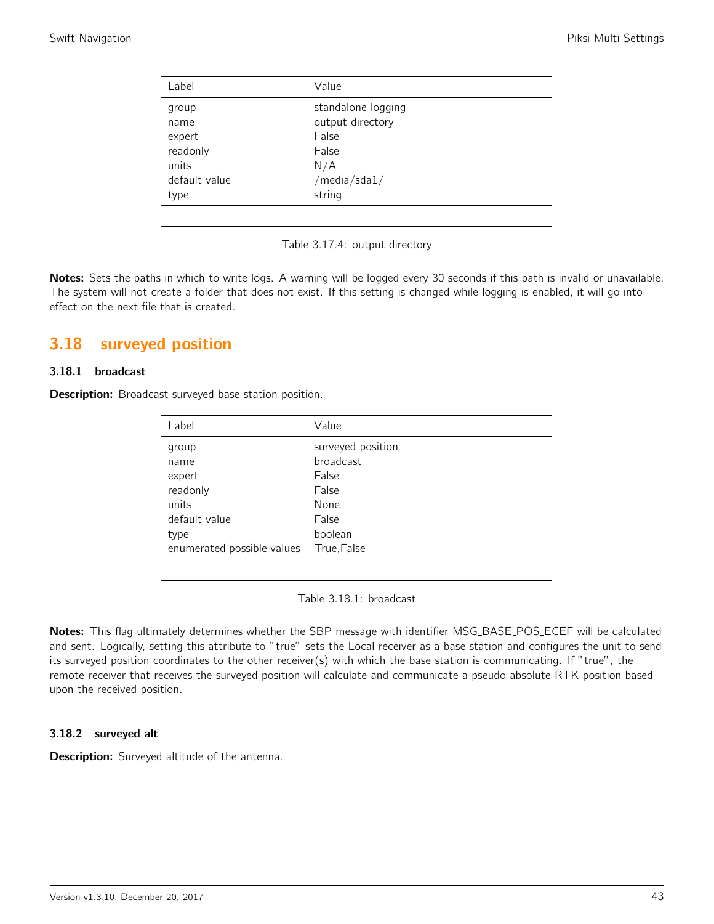| Label         | Value              |  |
|---------------|--------------------|--|
| group         | standalone logging |  |
| name          | output directory   |  |
| expert        | False              |  |
| readonly      | False              |  |
| units         | N/A                |  |
| default value | /media/sda1/       |  |
| type          | string             |  |
|               |                    |  |

Table 3.17.4: output directory

Notes: Sets the paths in which to write logs. A warning will be logged every 30 seconds if this path is invalid or unavailable. The system will not create a folder that does not exist. If this setting is changed while logging is enabled, it will go into effect on the next file that is created.

# 3.18 surveyed position

#### 3.18.1 broadcast

**Description:** Broadcast surveyed base station position.

| Label                      | Value             |
|----------------------------|-------------------|
| group                      | surveyed position |
| name                       | <b>broadcast</b>  |
| expert                     | False             |
| readonly                   | False             |
| units                      | None              |
| default value              | False             |
| type                       | boolean           |
| enumerated possible values | True, False       |

Table 3.18.1: broadcast

Notes: This flag ultimately determines whether the SBP message with identifier MSG\_BASE\_POS\_ECEF will be calculated and sent. Logically, setting this attribute to "true" sets the Local receiver as a base station and configures the unit to send its surveyed position coordinates to the other receiver(s) with which the base station is communicating. If "true", the remote receiver that receives the surveyed position will calculate and communicate a pseudo absolute RTK position based upon the received position.

#### 3.18.2 surveyed alt

Description: Surveyed altitude of the antenna.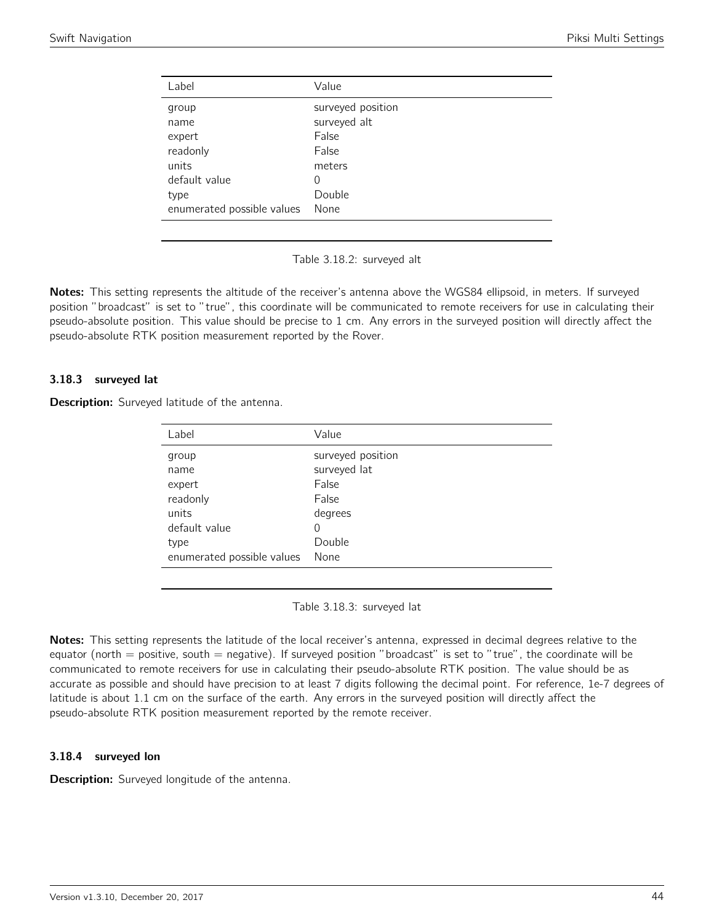| Label                      | Value             |
|----------------------------|-------------------|
| group                      | surveyed position |
| name                       | surveyed alt      |
| expert                     | False             |
| readonly                   | False             |
| units                      | meters            |
| default value              | 0                 |
| type                       | Double            |
| enumerated possible values | None              |

Table 3.18.2: surveyed alt

Notes: This setting represents the altitude of the receiver's antenna above the WGS84 ellipsoid, in meters. If surveyed position "broadcast" is set to "true", this coordinate will be communicated to remote receivers for use in calculating their pseudo-absolute position. This value should be precise to 1 cm. Any errors in the surveyed position will directly affect the pseudo-absolute RTK position measurement reported by the Rover.

#### 3.18.3 surveyed lat

Description: Surveyed latitude of the antenna.

| Label                      | Value             |
|----------------------------|-------------------|
| group                      | surveyed position |
| name                       | surveyed lat      |
| expert                     | False             |
| readonly                   | False             |
| units                      | degrees           |
| default value              | 0                 |
| type                       | Double            |
| enumerated possible values | None              |
|                            |                   |

Table 3.18.3: surveyed lat

Notes: This setting represents the latitude of the local receiver's antenna, expressed in decimal degrees relative to the equator (north  $=$  positive, south  $=$  negative). If surveyed position "broadcast" is set to "true", the coordinate will be communicated to remote receivers for use in calculating their pseudo-absolute RTK position. The value should be as accurate as possible and should have precision to at least 7 digits following the decimal point. For reference, 1e-7 degrees of latitude is about 1.1 cm on the surface of the earth. Any errors in the surveyed position will directly affect the pseudo-absolute RTK position measurement reported by the remote receiver.

#### 3.18.4 surveyed lon

**Description:** Surveyed longitude of the antenna.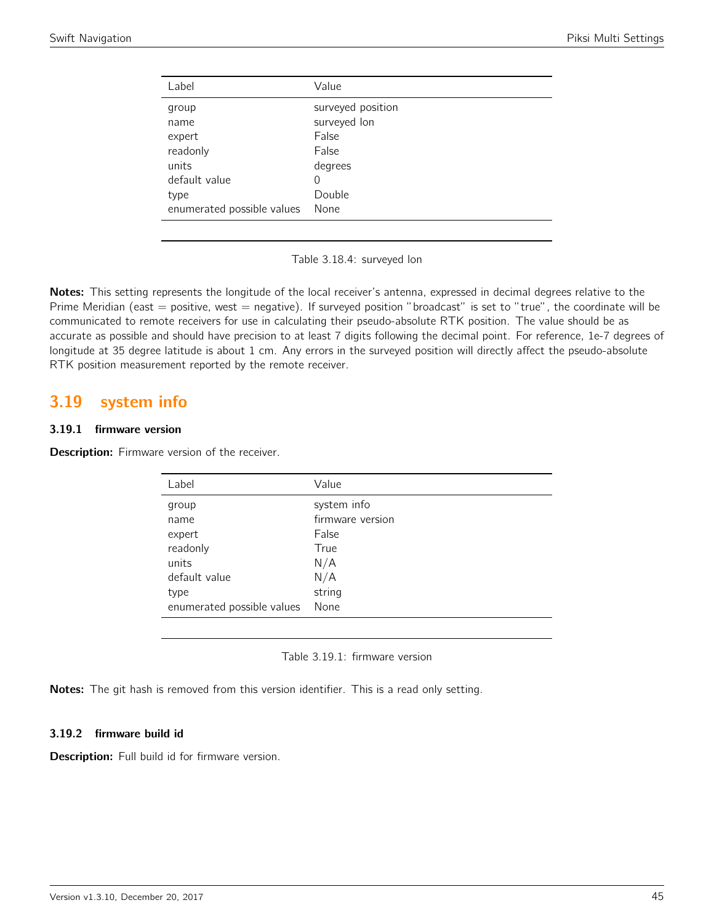| Label                      | Value             |
|----------------------------|-------------------|
| group                      | surveyed position |
| name                       | surveyed lon      |
| expert                     | False             |
| readonly                   | False             |
| units                      | degrees           |
| default value              | 0                 |
| type                       | Double            |
| enumerated possible values | None              |

Table 3.18.4: surveyed lon

Notes: This setting represents the longitude of the local receiver's antenna, expressed in decimal degrees relative to the Prime Meridian (east  $=$  positive, west  $=$  negative). If surveyed position "broadcast" is set to "true", the coordinate will be communicated to remote receivers for use in calculating their pseudo-absolute RTK position. The value should be as accurate as possible and should have precision to at least 7 digits following the decimal point. For reference, 1e-7 degrees of longitude at 35 degree latitude is about 1 cm. Any errors in the surveyed position will directly affect the pseudo-absolute RTK position measurement reported by the remote receiver.

## 3.19 system info

## 3.19.1 firmware version

Description: Firmware version of the receiver.

| Label                      | Value            |
|----------------------------|------------------|
| group                      | system info      |
| name                       | firmware version |
| expert                     | False            |
| readonly                   | True             |
| units                      | N/A              |
| default value              | N/A              |
| type                       | string           |
| enumerated possible values | None             |
|                            |                  |

Table 3.19.1: firmware version

Notes: The git hash is removed from this version identifier. This is a read only setting.

## 3.19.2 firmware build id

Description: Full build id for firmware version.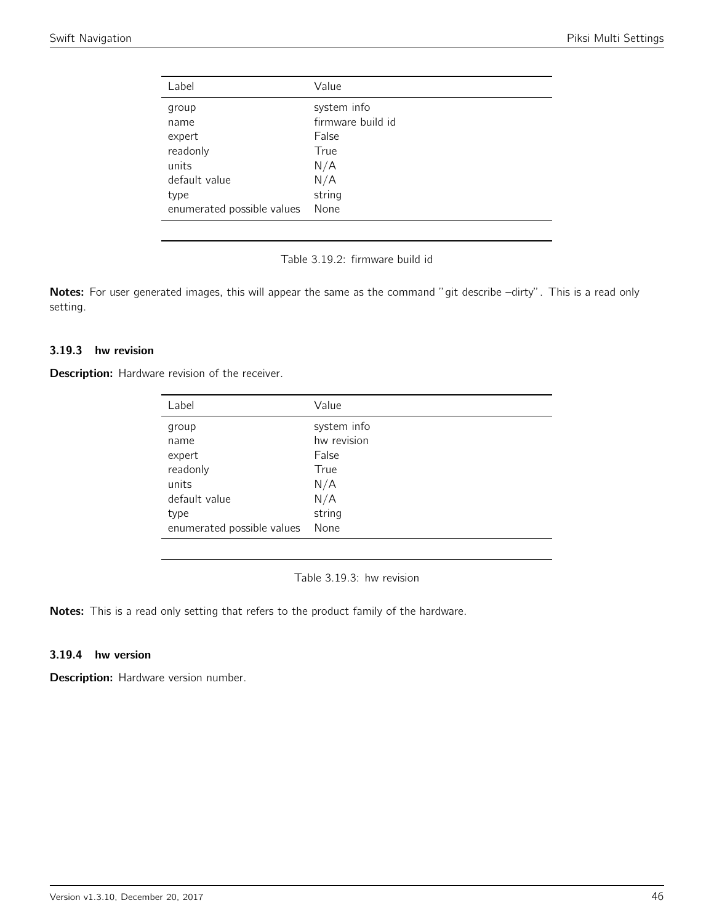| Label                      | Value             |
|----------------------------|-------------------|
| group                      | system info       |
| name                       | firmware build id |
| expert                     | False             |
| readonly                   | True              |
| units                      | N/A               |
| default value              | N/A               |
| type                       | string            |
| enumerated possible values | None              |

Table 3.19.2: firmware build id

Notes: For user generated images, this will appear the same as the command "git describe -dirty". This is a read only setting.

#### 3.19.3 hw revision

**Description:** Hardware revision of the receiver.

| Label                      | Value       |
|----------------------------|-------------|
| group                      | system info |
| name                       | hw revision |
| expert                     | False       |
| readonly                   | True        |
| units                      | N/A         |
| default value              | N/A         |
| type                       | string      |
| enumerated possible values | None        |

Table 3.19.3: hw revision

Notes: This is a read only setting that refers to the product family of the hardware.

### 3.19.4 hw version

Description: Hardware version number.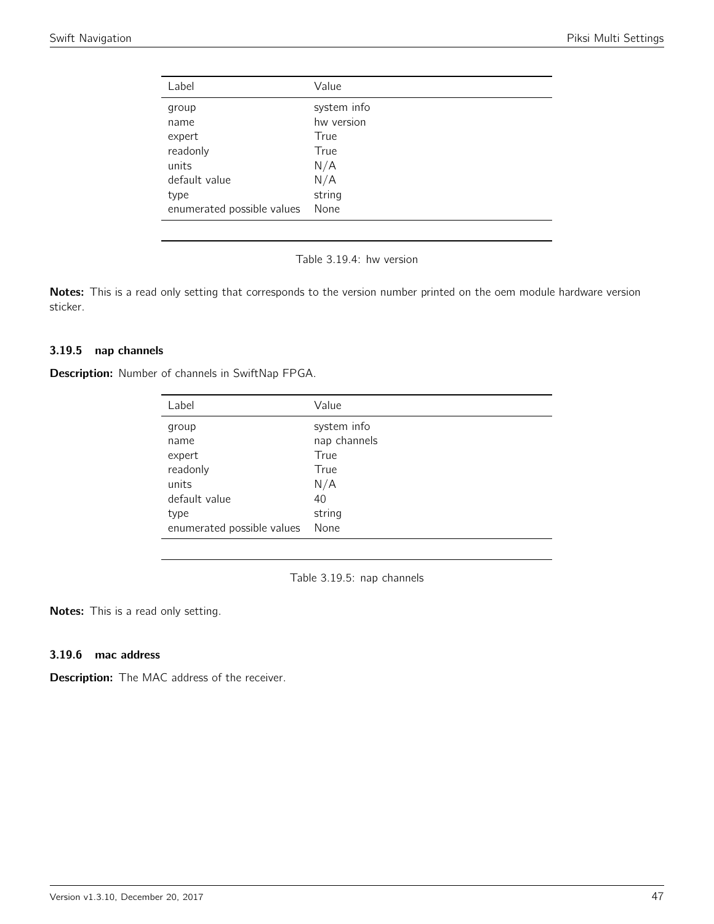| Label                      | Value       |
|----------------------------|-------------|
| group                      | system info |
| name                       | hw version  |
| expert                     | True        |
| readonly                   | True        |
| units                      | N/A         |
| default value              | N/A         |
| type                       | string      |
| enumerated possible values | None        |

Table 3.19.4: hw version

Notes: This is a read only setting that corresponds to the version number printed on the oem module hardware version sticker.

#### 3.19.5 nap channels

Description: Number of channels in SwiftNap FPGA.

| Label                      | Value        |
|----------------------------|--------------|
| group                      | system info  |
| name                       | nap channels |
| expert                     | True         |
| readonly                   | True         |
| units                      | N/A          |
| default value              | 40           |
| type                       | string       |
| enumerated possible values | None         |

Table 3.19.5: nap channels

Notes: This is a read only setting.

### 3.19.6 mac address

**Description:** The MAC address of the receiver.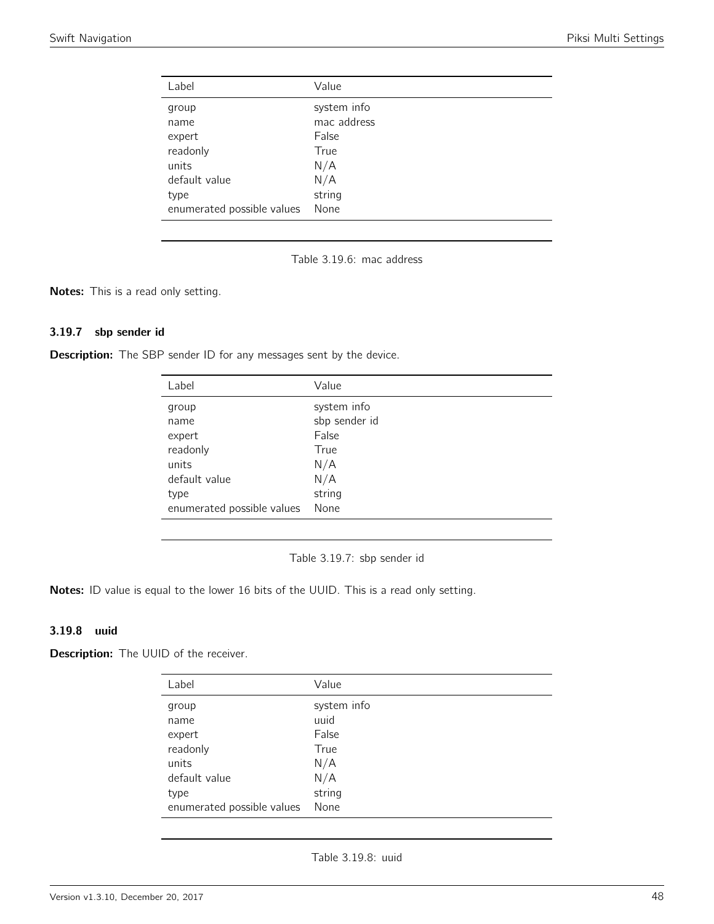| Label                      | Value       |
|----------------------------|-------------|
| group                      | system info |
| name                       | mac address |
| expert                     | False       |
| readonly                   | True        |
| units                      | N/A         |
| default value              | N/A         |
| type                       | string      |
| enumerated possible values | None        |

Table 3.19.6: mac address

Notes: This is a read only setting.

## 3.19.7 sbp sender id

**Description:** The SBP sender ID for any messages sent by the device.

| Label                      | Value         |
|----------------------------|---------------|
| group                      | system info   |
| name                       | sbp sender id |
| expert                     | False         |
| readonly                   | True          |
| units                      | N/A           |
| default value              | N/A           |
| type                       | string        |
| enumerated possible values | None          |

Table 3.19.7: sbp sender id

Notes: ID value is equal to the lower 16 bits of the UUID. This is a read only setting.

## 3.19.8 uuid

**Description:** The UUID of the receiver.

| Label                      | Value       |
|----------------------------|-------------|
| group                      | system info |
| name                       | uuid        |
| expert                     | False       |
| readonly                   | True        |
| units                      | N/A         |
| default value              | N/A         |
| type                       | string      |
| enumerated possible values | None        |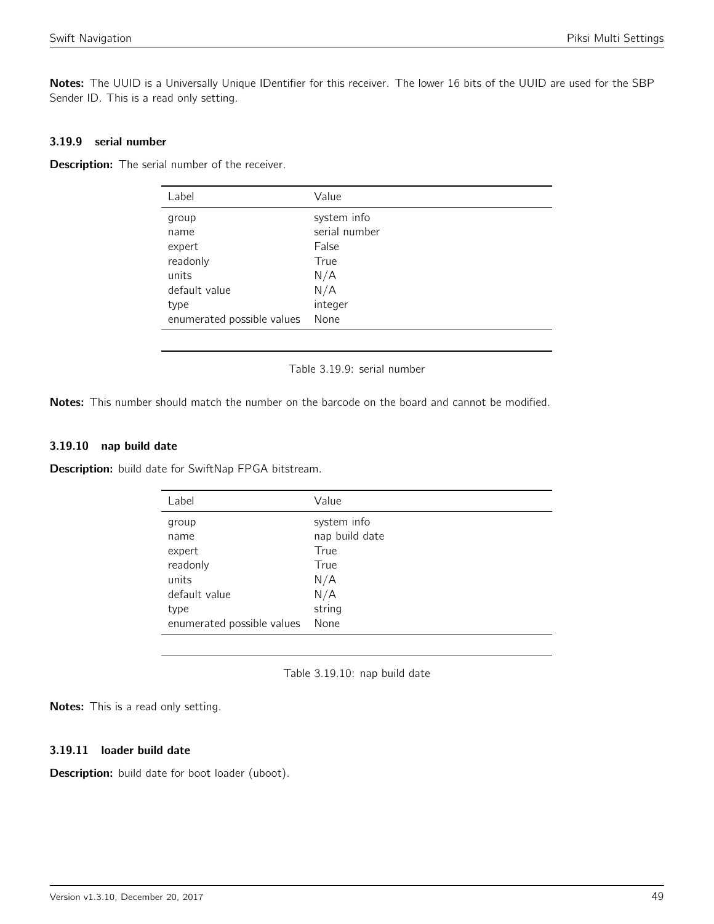Notes: The UUID is a Universally Unique IDentifier for this receiver. The lower 16 bits of the UUID are used for the SBP Sender ID. This is a read only setting.

## 3.19.9 serial number

Description: The serial number of the receiver.

| Label                      | Value         |
|----------------------------|---------------|
| group                      | system info   |
| name                       | serial number |
| expert                     | False         |
| readonly                   | True          |
| units                      | N/A           |
| default value              | N/A           |
| type                       | integer       |
| enumerated possible values | None          |

Table 3.19.9: serial number

Notes: This number should match the number on the barcode on the board and cannot be modified.

#### 3.19.10 nap build date

Description: build date for SwiftNap FPGA bitstream.

| Label                      | Value          |
|----------------------------|----------------|
| group                      | system info    |
| name                       | nap build date |
| expert                     | True           |
| readonly                   | True           |
| units                      | N/A            |
| default value              | N/A            |
| type                       | string         |
| enumerated possible values | None           |

Table 3.19.10: nap build date

Notes: This is a read only setting.

## 3.19.11 loader build date

Description: build date for boot loader (uboot).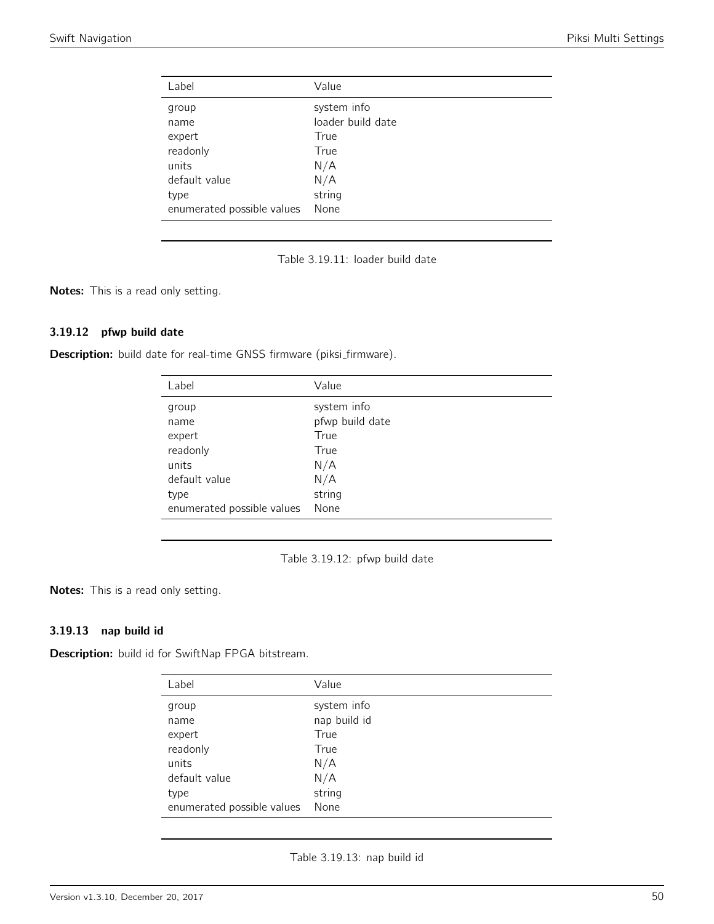| Label                      | Value             |
|----------------------------|-------------------|
| group                      | system info       |
| name                       | loader build date |
| expert                     | True              |
| readonly                   | True              |
| units                      | N/A               |
| default value              | N/A               |
| type                       | string            |
| enumerated possible values | None              |

Table 3.19.11: loader build date

Notes: This is a read only setting.

## 3.19.12 pfwp build date

Description: build date for real-time GNSS firmware (piksi\_firmware).

| Label                      | Value           |
|----------------------------|-----------------|
| group                      | system info     |
| name                       | pfwp build date |
| expert                     | True            |
| readonly                   | True            |
| units                      | N/A             |
| default value              | N/A             |
| type                       | string          |
| enumerated possible values | None            |

Table 3.19.12: pfwp build date

Notes: This is a read only setting.

## 3.19.13 nap build id

Description: build id for SwiftNap FPGA bitstream.

| Label                      | Value        |
|----------------------------|--------------|
| group                      | system info  |
| name                       | nap build id |
| expert                     | True         |
| readonly                   | True         |
| units                      | N/A          |
| default value              | N/A          |
| type                       | string       |
| enumerated possible values | None         |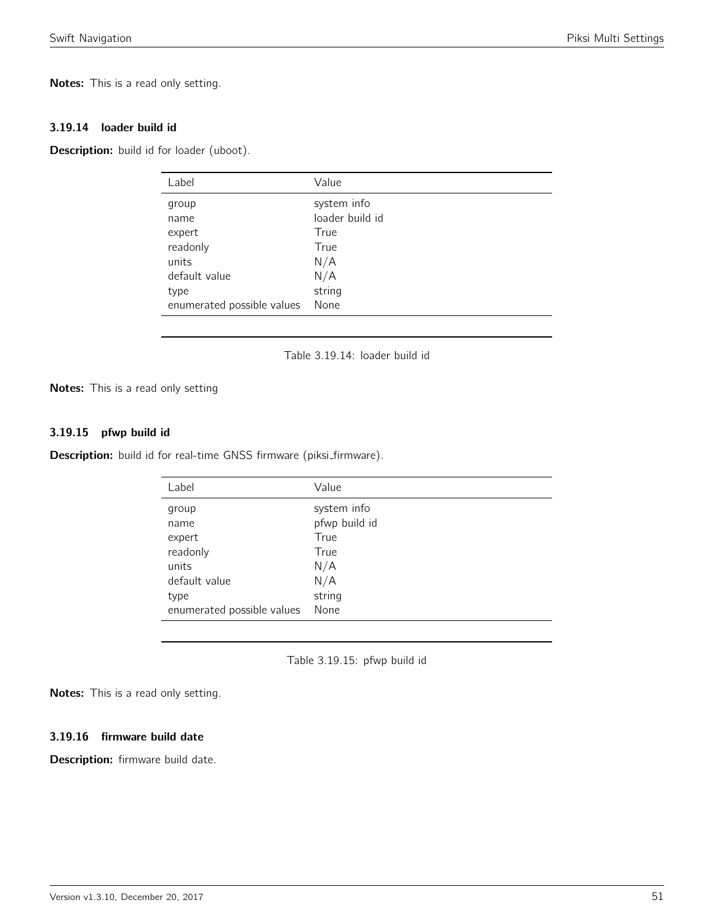Notes: This is a read only setting.

#### 3.19.14 loader build id

Description: build id for loader (uboot).

| Label                      | Value           |
|----------------------------|-----------------|
| group                      | system info     |
| name                       | loader build id |
| expert                     | True            |
| readonly                   | True            |
| units                      | N/A             |
| default value              | N/A             |
| type                       | string          |
| enumerated possible values | None            |

Table 3.19.14: loader build id

Notes: This is a read only setting

## 3.19.15 pfwp build id

Description: build id for real-time GNSS firmware (piksi\_firmware).

| Label                      | Value         |
|----------------------------|---------------|
| group                      | system info   |
| name                       | pfwp build id |
| expert                     | True          |
| readonly                   | True          |
| units                      | N/A           |
| default value              | N/A           |
| type                       | string        |
| enumerated possible values | None          |

Table 3.19.15: pfwp build id

Notes: This is a read only setting.

#### 3.19.16 firmware build date

Description: firmware build date.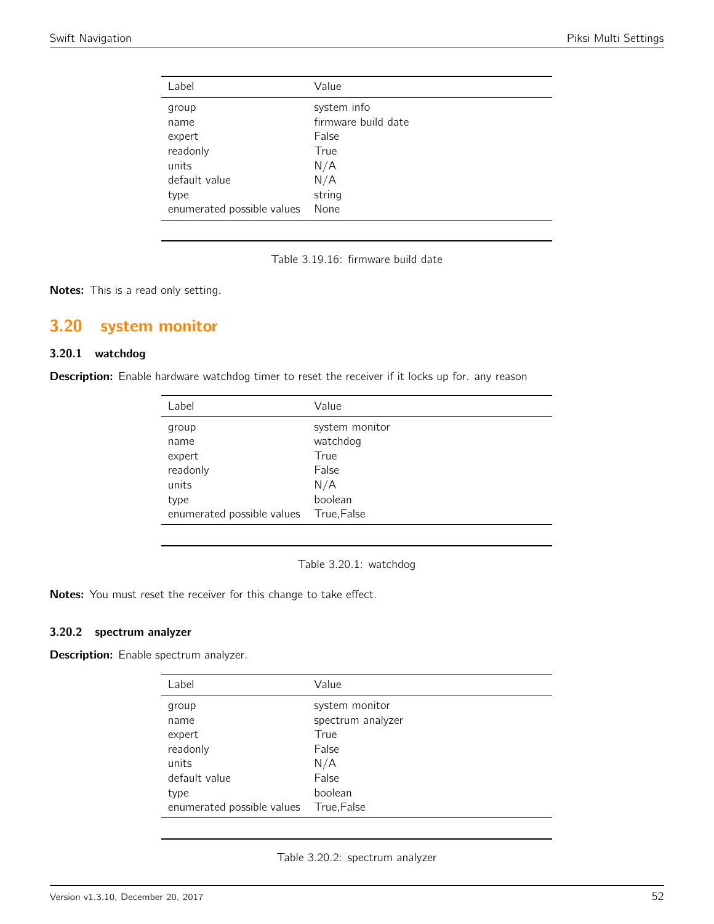| Label                      | Value               |
|----------------------------|---------------------|
| group                      | system info         |
| name                       | firmware build date |
| expert                     | False               |
| readonly                   | True                |
| units                      | N/A                 |
| default value              | N/A                 |
| type                       | string              |
| enumerated possible values | None                |

Table 3.19.16: firmware build date

Notes: This is a read only setting.

# 3.20 system monitor

## 3.20.1 watchdog

Description: Enable hardware watchdog timer to reset the receiver if it locks up for. any reason

| Label                      | Value          |
|----------------------------|----------------|
| group                      | system monitor |
| name                       | watchdog       |
| expert                     | True           |
| readonly                   | False          |
| units                      | N/A            |
| type                       | boolean        |
| enumerated possible values | True, False    |

Table 3.20.1: watchdog

Notes: You must reset the receiver for this change to take effect.

#### 3.20.2 spectrum analyzer

**Description:** Enable spectrum analyzer.

| Label                      | Value             |
|----------------------------|-------------------|
| group                      | system monitor    |
| name                       | spectrum analyzer |
| expert                     | True              |
| readonly                   | False             |
| units                      | N/A               |
| default value              | False             |
| type                       | boolean           |
| enumerated possible values | True, False       |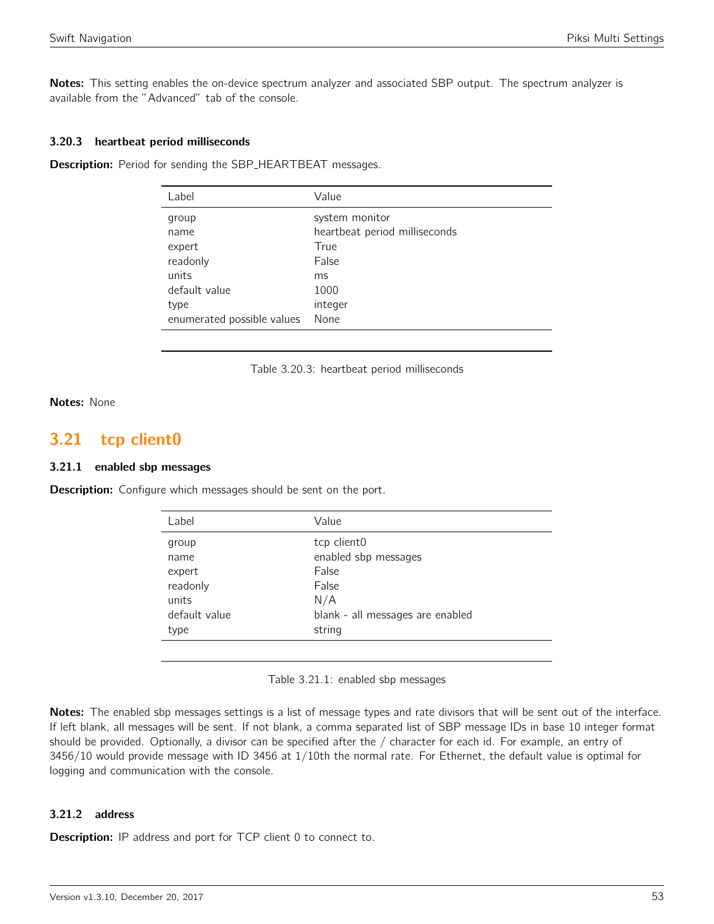Notes: This setting enables the on-device spectrum analyzer and associated SBP output. The spectrum analyzer is available from the "Advanced" tab of the console.

#### 3.20.3 heartbeat period milliseconds

**Description:** Period for sending the SBP\_HEARTBEAT messages.

| Value                         |
|-------------------------------|
| system monitor                |
| heartbeat period milliseconds |
| True                          |
| False                         |
| ms                            |
| 1000                          |
| integer                       |
| None                          |
|                               |

Table 3.20.3: heartbeat period milliseconds

#### Notes: None

## 3.21 tcp client0

#### 3.21.1 enabled sbp messages

**Description:** Configure which messages should be sent on the port.

| Label         | Value                            |
|---------------|----------------------------------|
| group         | tcp client0                      |
| name          | enabled sbp messages             |
| expert        | False                            |
| readonly      | False                            |
| units         | N/A                              |
| default value | blank - all messages are enabled |
| type          | string                           |
|               |                                  |

#### Table 3.21.1: enabled sbp messages

Notes: The enabled sbp messages settings is a list of message types and rate divisors that will be sent out of the interface. If left blank, all messages will be sent. If not blank, a comma separated list of SBP message IDs in base 10 integer format should be provided. Optionally, a divisor can be specified after the / character for each id. For example, an entry of 3456/10 would provide message with ID 3456 at 1/10th the normal rate. For Ethernet, the default value is optimal for logging and communication with the console.

#### 3.21.2 address

**Description:** IP address and port for TCP client 0 to connect to.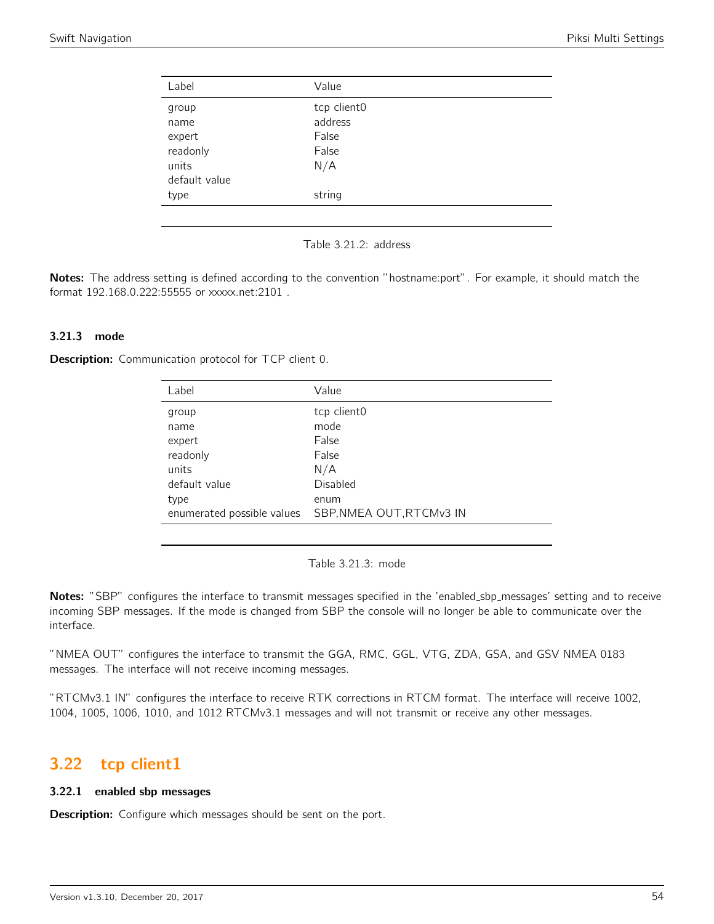| Label                                                         | Value                                           |
|---------------------------------------------------------------|-------------------------------------------------|
| group<br>name<br>expert<br>readonly<br>units<br>default value | tcp client0<br>address<br>False<br>False<br>N/A |
| type                                                          | string                                          |

Table 3.21.2: address

Notes: The address setting is defined according to the convention "hostname:port". For example, it should match the format 192.168.0.222:55555 or xxxxx.net:2101 .

#### 3.21.3 mode

Description: Communication protocol for TCP client 0.

| Label                      | Value                    |
|----------------------------|--------------------------|
| group                      | tcp client0              |
| name                       | mode                     |
| expert                     | False                    |
| readonly                   | False                    |
| units                      | N/A                      |
| default value              | Disabled                 |
| type                       | enum                     |
| enumerated possible values | SBP, NMEA OUT, RTCMv3 IN |
|                            |                          |

Table 3.21.3: mode

Notes: "SBP" configures the interface to transmit messages specified in the 'enabled\_sbp\_messages' setting and to receive incoming SBP messages. If the mode is changed from SBP the console will no longer be able to communicate over the interface.

"NMEA OUT" configures the interface to transmit the GGA, RMC, GGL, VTG, ZDA, GSA, and GSV NMEA 0183 messages. The interface will not receive incoming messages.

"RTCMv3.1 IN" configures the interface to receive RTK corrections in RTCM format. The interface will receive 1002, 1004, 1005, 1006, 1010, and 1012 RTCMv3.1 messages and will not transmit or receive any other messages.

## 3.22 tcp client1

#### 3.22.1 enabled sbp messages

**Description:** Configure which messages should be sent on the port.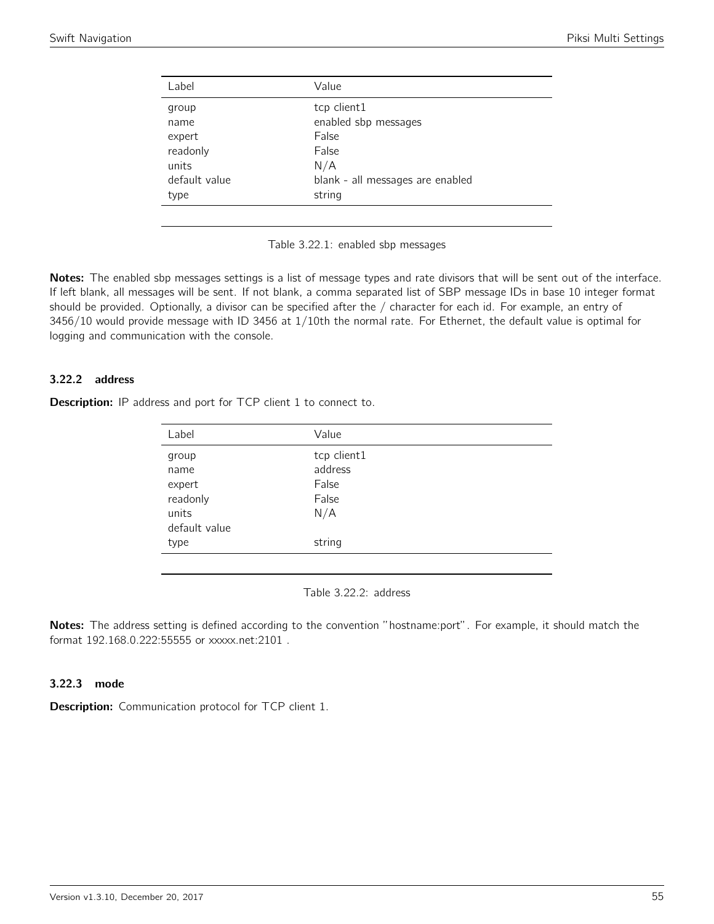| Label         | Value                            |
|---------------|----------------------------------|
| group         | tcp client1                      |
| name          | enabled sbp messages             |
| expert        | False                            |
| readonly      | False                            |
| units         | N/A                              |
| default value | blank - all messages are enabled |
| type          | string                           |
|               |                                  |



Notes: The enabled sbp messages settings is a list of message types and rate divisors that will be sent out of the interface. If left blank, all messages will be sent. If not blank, a comma separated list of SBP message IDs in base 10 integer format should be provided. Optionally, a divisor can be specified after the / character for each id. For example, an entry of 3456/10 would provide message with ID 3456 at 1/10th the normal rate. For Ethernet, the default value is optimal for logging and communication with the console.

## 3.22.2 address

Description: IP address and port for TCP client 1 to connect to.

| Label         | Value       |
|---------------|-------------|
| group         | tcp client1 |
| name          | address     |
| expert        | False       |
| readonly      | False       |
| units         | N/A         |
| default value |             |
| type          | string      |
|               |             |

Table 3.22.2: address

Notes: The address setting is defined according to the convention "hostname:port". For example, it should match the format 192.168.0.222:55555 or xxxxx.net:2101 .

#### 3.22.3 mode

**Description:** Communication protocol for TCP client 1.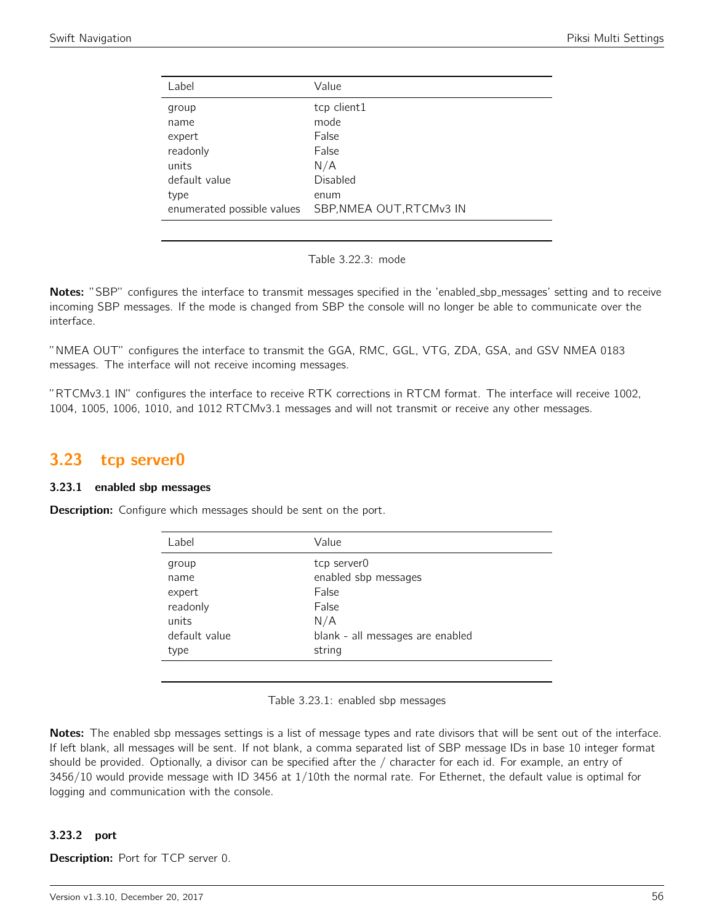| Label                      | Value                    |
|----------------------------|--------------------------|
| group                      | tcp client1              |
| name                       | mode                     |
| expert                     | False                    |
| readonly                   | False                    |
| units                      | N/A                      |
| default value              | <b>Disabled</b>          |
| type                       | enum                     |
| enumerated possible values | SBP, NMEA OUT, RTCMv3 IN |
|                            |                          |

|  | Table 3.22.3: mode |  |
|--|--------------------|--|
|--|--------------------|--|

Notes: "SBP" configures the interface to transmit messages specified in the 'enabled\_sbp\_messages' setting and to receive incoming SBP messages. If the mode is changed from SBP the console will no longer be able to communicate over the interface.

"NMEA OUT" configures the interface to transmit the GGA, RMC, GGL, VTG, ZDA, GSA, and GSV NMEA 0183 messages. The interface will not receive incoming messages.

"RTCMv3.1 IN" configures the interface to receive RTK corrections in RTCM format. The interface will receive 1002, 1004, 1005, 1006, 1010, and 1012 RTCMv3.1 messages and will not transmit or receive any other messages.

## 3.23 tcp server0

#### 3.23.1 enabled sbp messages

**Description:** Configure which messages should be sent on the port.

| Label         | Value                            |
|---------------|----------------------------------|
| group         | tcp server0                      |
| name          | enabled sbp messages             |
| expert        | False                            |
| readonly      | False                            |
| units         | N/A                              |
| default value | blank - all messages are enabled |
| type          | string                           |
|               |                                  |

Table 3.23.1: enabled sbp messages

Notes: The enabled sbp messages settings is a list of message types and rate divisors that will be sent out of the interface. If left blank, all messages will be sent. If not blank, a comma separated list of SBP message IDs in base 10 integer format should be provided. Optionally, a divisor can be specified after the / character for each id. For example, an entry of 3456/10 would provide message with ID 3456 at 1/10th the normal rate. For Ethernet, the default value is optimal for logging and communication with the console.

## 3.23.2 port

Description: Port for TCP server 0.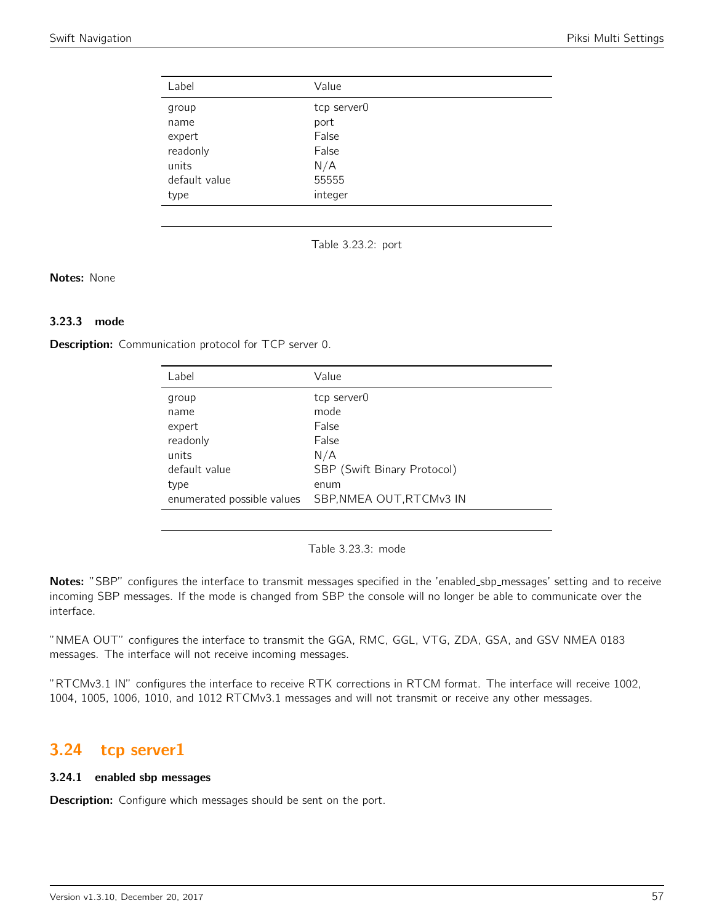| Label         | Value       |
|---------------|-------------|
| group         | tcp server0 |
| name          | port        |
| expert        | False       |
| readonly      | False       |
| units         | N/A         |
| default value | 55555       |
| type          | integer     |

Table 3.23.2: port

#### Notes: None

## 3.23.3 mode

Description: Communication protocol for TCP server 0.

| Label                      | Value                       |
|----------------------------|-----------------------------|
| group                      | tcp server0                 |
| name                       | mode                        |
| expert                     | False                       |
| readonly                   | False                       |
| units                      | N/A                         |
| default value              | SBP (Swift Binary Protocol) |
| type                       | enum                        |
| enumerated possible values | SBP, NMEA OUT, RTCMv3 IN    |
|                            |                             |

Table 3.23.3: mode

Notes: "SBP" configures the interface to transmit messages specified in the 'enabled\_sbp\_messages' setting and to receive incoming SBP messages. If the mode is changed from SBP the console will no longer be able to communicate over the interface.

"NMEA OUT" configures the interface to transmit the GGA, RMC, GGL, VTG, ZDA, GSA, and GSV NMEA 0183 messages. The interface will not receive incoming messages.

"RTCMv3.1 IN" configures the interface to receive RTK corrections in RTCM format. The interface will receive 1002, 1004, 1005, 1006, 1010, and 1012 RTCMv3.1 messages and will not transmit or receive any other messages.

## 3.24 tcp server1

#### 3.24.1 enabled sbp messages

**Description:** Configure which messages should be sent on the port.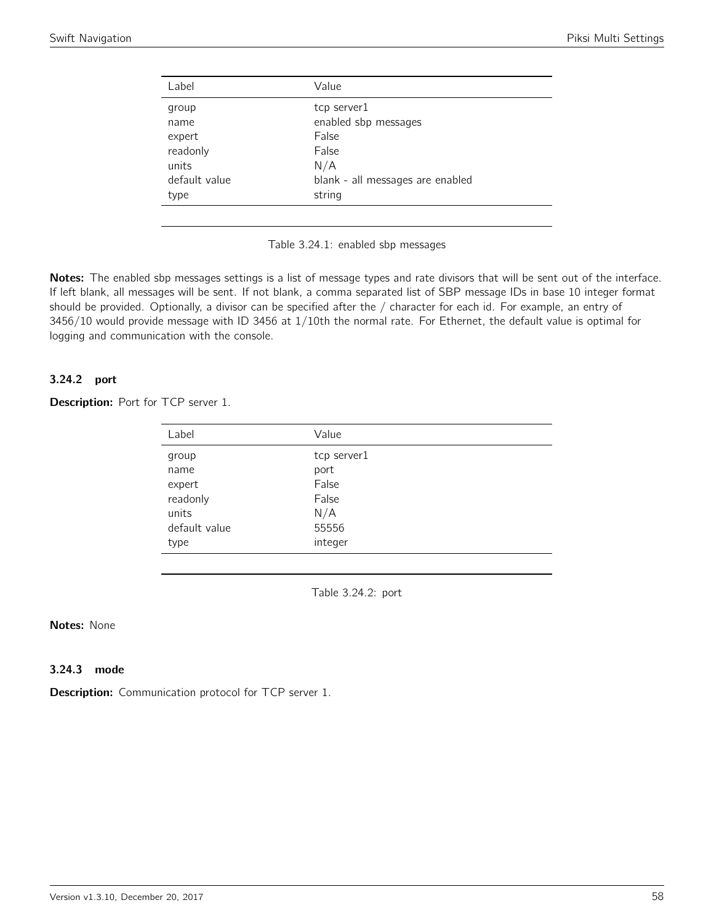| Label         | Value                            |
|---------------|----------------------------------|
| group         | tcp server1                      |
| name          | enabled sbp messages             |
| expert        | False                            |
| readonly      | False                            |
| units         | N/A                              |
| default value | blank - all messages are enabled |
| type          | string                           |
|               |                                  |



Notes: The enabled sbp messages settings is a list of message types and rate divisors that will be sent out of the interface. If left blank, all messages will be sent. If not blank, a comma separated list of SBP message IDs in base 10 integer format should be provided. Optionally, a divisor can be specified after the / character for each id. For example, an entry of 3456/10 would provide message with ID 3456 at 1/10th the normal rate. For Ethernet, the default value is optimal for logging and communication with the console.

#### 3.24.2 port

#### Description: Port for TCP server 1.

| Label         | Value       |
|---------------|-------------|
| group         | tcp server1 |
| name          | port        |
| expert        | False       |
| readonly      | False       |
| units         | N/A         |
| default value | 55556       |
| type          | integer     |
|               |             |

Table 3.24.2: port

### Notes: None

### 3.24.3 mode

**Description:** Communication protocol for TCP server 1.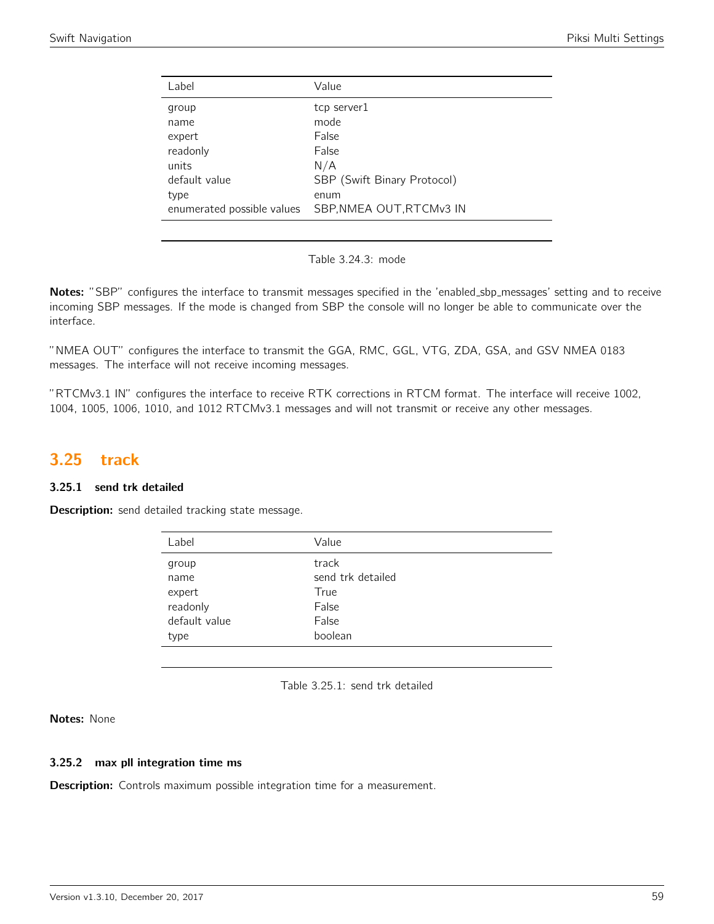| Label                                        | Value                                        |
|----------------------------------------------|----------------------------------------------|
| group<br>name<br>expert<br>readonly<br>units | tcp server1<br>mode<br>False<br>False<br>N/A |
| default value<br>type                        | SBP (Swift Binary Protocol)<br>enum          |
| enumerated possible values                   | SBP, NMEA OUT, RTCMv3 IN                     |
|                                              |                                              |

Table 3.24.3: mode

Notes: "SBP" configures the interface to transmit messages specified in the 'enabled\_sbp\_messages' setting and to receive incoming SBP messages. If the mode is changed from SBP the console will no longer be able to communicate over the interface.

"NMEA OUT" configures the interface to transmit the GGA, RMC, GGL, VTG, ZDA, GSA, and GSV NMEA 0183 messages. The interface will not receive incoming messages.

"RTCMv3.1 IN" configures the interface to receive RTK corrections in RTCM format. The interface will receive 1002, 1004, 1005, 1006, 1010, and 1012 RTCMv3.1 messages and will not transmit or receive any other messages.

## 3.25 track

## 3.25.1 send trk detailed

**Description:** send detailed tracking state message.

| Label         | Value             |
|---------------|-------------------|
| group         | track             |
| name          | send trk detailed |
| expert        | True              |
| readonly      | False             |
| default value | False             |
| type          | boolean           |

Table 3.25.1: send trk detailed

Notes: None

#### 3.25.2 max pll integration time ms

**Description:** Controls maximum possible integration time for a measurement.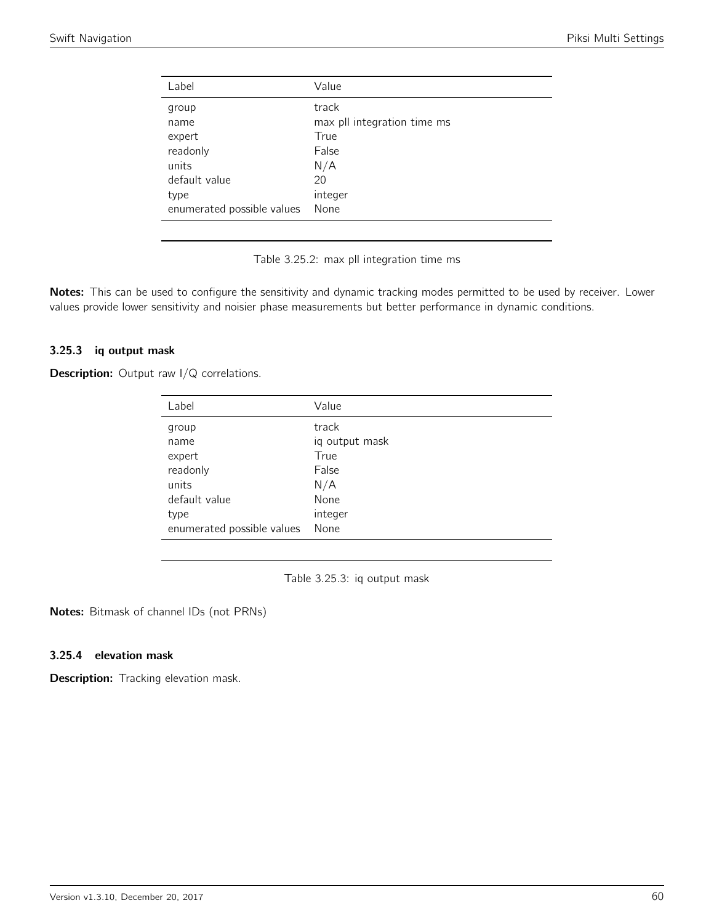| Value                       |
|-----------------------------|
| track                       |
| max pll integration time ms |
| True                        |
| False                       |
| N/A                         |
| 20                          |
| integer                     |
| None                        |
|                             |

Table 3.25.2: max pll integration time ms

Notes: This can be used to configure the sensitivity and dynamic tracking modes permitted to be used by receiver. Lower values provide lower sensitivity and noisier phase measurements but better performance in dynamic conditions.

#### 3.25.3 iq output mask

**Description:** Output raw I/Q correlations.

| Label                      | Value          |
|----------------------------|----------------|
| group                      | track          |
| name                       | iq output mask |
| expert                     | True           |
| readonly                   | False          |
| units                      | N/A            |
| default value              | None           |
| type                       | integer        |
| enumerated possible values | None           |

Table 3.25.3: iq output mask

Notes: Bitmask of channel IDs (not PRNs)

#### 3.25.4 elevation mask

Description: Tracking elevation mask.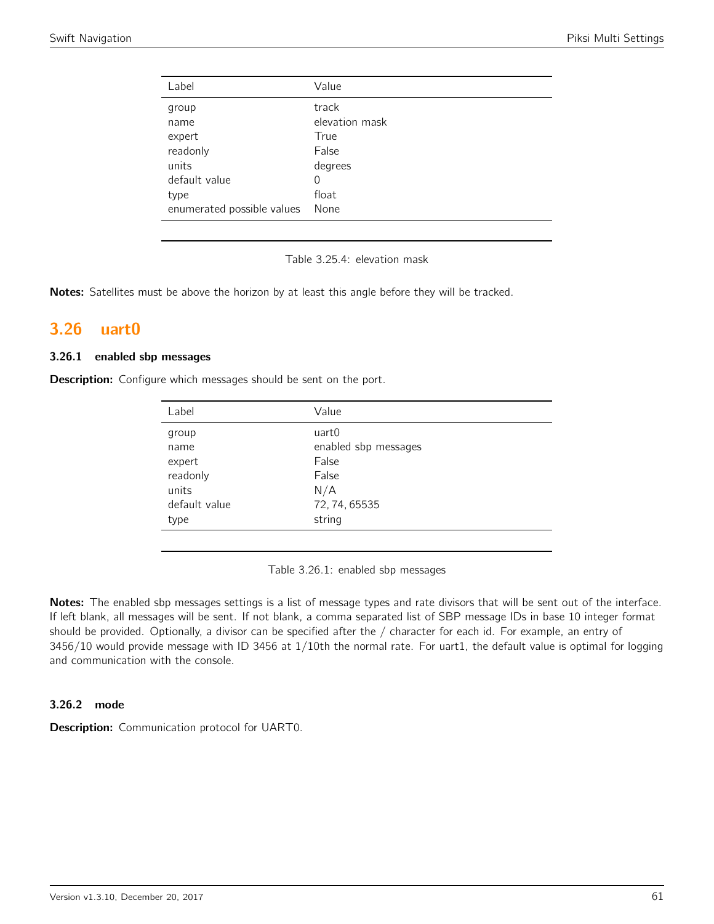| Label                      | Value          |
|----------------------------|----------------|
| group                      | track          |
| name                       | elevation mask |
| expert                     | True           |
| readonly                   | False          |
| units                      | degrees        |
| default value              | 0              |
| type                       | float          |
| enumerated possible values | None           |

Table 3.25.4: elevation mask

Notes: Satellites must be above the horizon by at least this angle before they will be tracked.

# 3.26 uart0

#### 3.26.1 enabled sbp messages

**Description:** Configure which messages should be sent on the port.

| Label         | Value                |
|---------------|----------------------|
| group         | uart0                |
| name          | enabled sbp messages |
| expert        | False                |
| readonly      | False                |
| units         | N/A                  |
| default value | 72, 74, 65535        |
| type          | string               |

Table 3.26.1: enabled sbp messages

Notes: The enabled sbp messages settings is a list of message types and rate divisors that will be sent out of the interface. If left blank, all messages will be sent. If not blank, a comma separated list of SBP message IDs in base 10 integer format should be provided. Optionally, a divisor can be specified after the / character for each id. For example, an entry of 3456/10 would provide message with ID 3456 at 1/10th the normal rate. For uart1, the default value is optimal for logging and communication with the console.

#### 3.26.2 mode

Description: Communication protocol for UART0.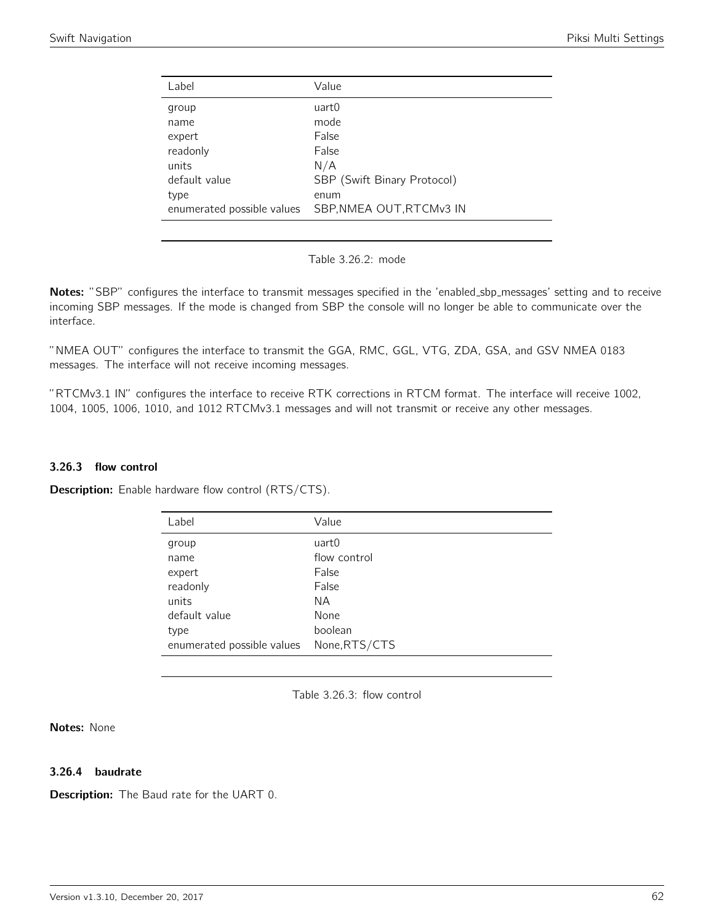| Label                      | Value                       |
|----------------------------|-----------------------------|
| group                      | uart0                       |
| name                       | mode                        |
| expert                     | False                       |
| readonly                   | False                       |
| units                      | N/A                         |
| default value              | SBP (Swift Binary Protocol) |
| type                       | enum                        |
| enumerated possible values | SBP, NMEA OUT, RTCMv3 IN    |
|                            |                             |

Table 3.26.2: mode

Notes: "SBP" configures the interface to transmit messages specified in the 'enabled\_sbp\_messages' setting and to receive incoming SBP messages. If the mode is changed from SBP the console will no longer be able to communicate over the interface.

"NMEA OUT" configures the interface to transmit the GGA, RMC, GGL, VTG, ZDA, GSA, and GSV NMEA 0183 messages. The interface will not receive incoming messages.

"RTCMv3.1 IN" configures the interface to receive RTK corrections in RTCM format. The interface will receive 1002, 1004, 1005, 1006, 1010, and 1012 RTCMv3.1 messages and will not transmit or receive any other messages.

#### 3.26.3 flow control

**Description:** Enable hardware flow control (RTS/CTS).

| Label                      | Value         |
|----------------------------|---------------|
| group                      | uart0         |
| name                       | flow control  |
| expert                     | False         |
| readonly                   | False         |
| units                      | NA.           |
| default value              | None          |
| type                       | boolean       |
| enumerated possible values | None, RTS/CTS |

Table 3.26.3: flow control

Notes: None

#### 3.26.4 baudrate

**Description:** The Baud rate for the UART 0.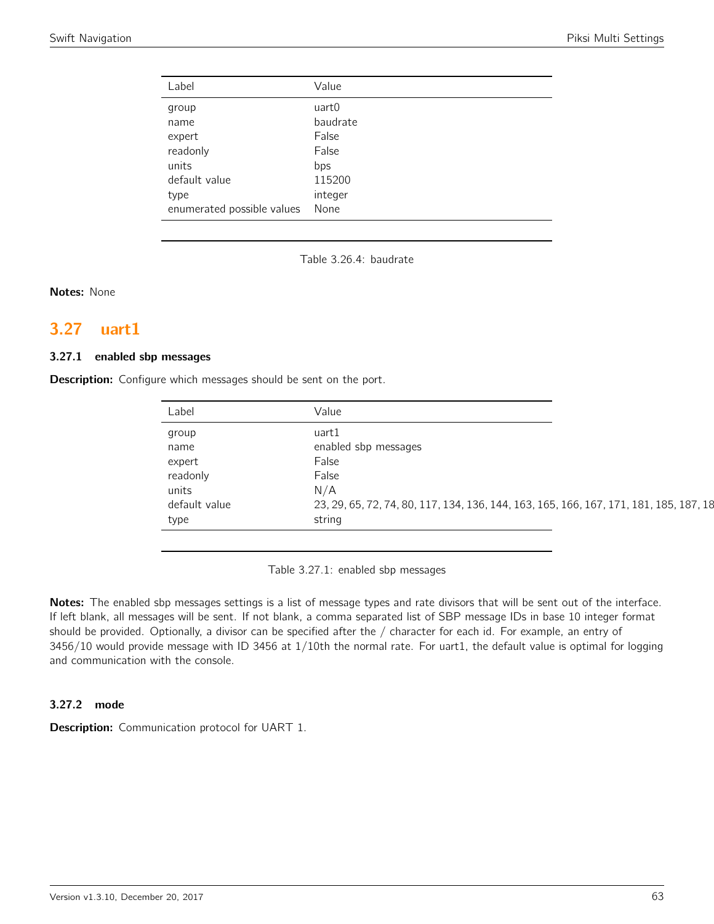| Label                      | Value    |
|----------------------------|----------|
| group                      | uart0    |
| name                       | baudrate |
| expert                     | False    |
| readonly                   | False    |
| units                      | bps      |
| default value              | 115200   |
| type                       | integer  |
| enumerated possible values | None     |

Table 3.26.4: baudrate

Notes: None

# 3.27 uart1

#### 3.27.1 enabled sbp messages

**Description:** Configure which messages should be sent on the port.

| Label         | Value                                                                                  |
|---------------|----------------------------------------------------------------------------------------|
| group         | uart1                                                                                  |
| name          | enabled sbp messages                                                                   |
| expert        | False                                                                                  |
| readonly      | False                                                                                  |
| units         | N/A                                                                                    |
| default value | 23, 29, 65, 72, 74, 80, 117, 134, 136, 144, 163, 165, 166, 167, 171, 181, 185, 187, 18 |
| type          | string                                                                                 |

Table 3.27.1: enabled sbp messages

Notes: The enabled sbp messages settings is a list of message types and rate divisors that will be sent out of the interface. If left blank, all messages will be sent. If not blank, a comma separated list of SBP message IDs in base 10 integer format should be provided. Optionally, a divisor can be specified after the / character for each id. For example, an entry of 3456/10 would provide message with ID 3456 at 1/10th the normal rate. For uart1, the default value is optimal for logging and communication with the console.

#### 3.27.2 mode

Description: Communication protocol for UART 1.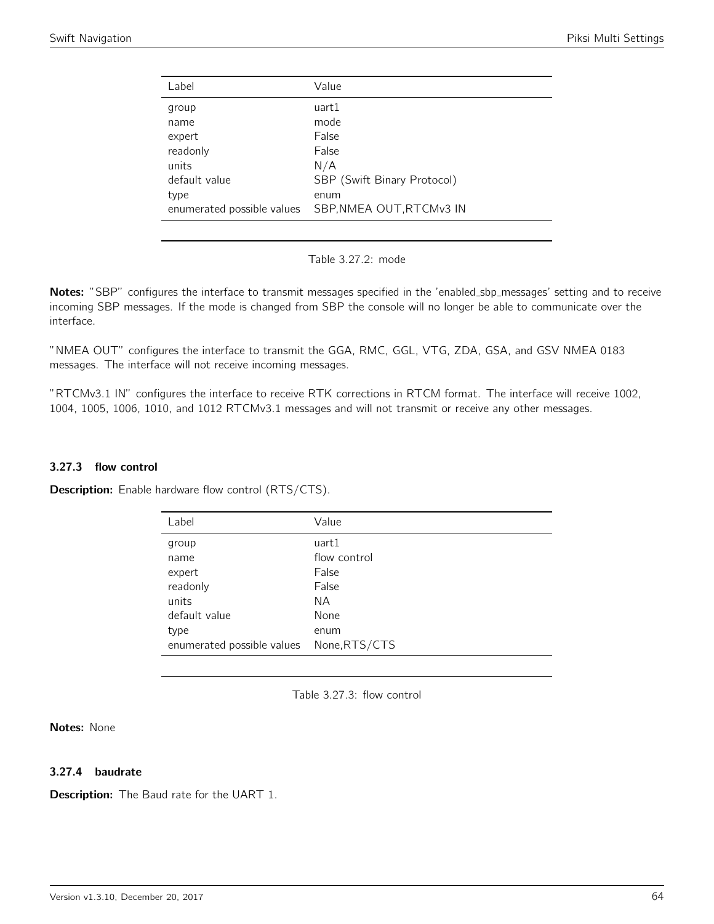| Label                      | Value                       |
|----------------------------|-----------------------------|
| group                      | uart1                       |
| name                       | mode                        |
| expert                     | False                       |
| readonly                   | False                       |
| units                      | N/A                         |
| default value              | SBP (Swift Binary Protocol) |
| type                       | enum                        |
| enumerated possible values | SBP, NMEA OUT, RTCMv3 IN    |
|                            |                             |

Notes: "SBP" configures the interface to transmit messages specified in the 'enabled\_sbp\_messages' setting and to receive incoming SBP messages. If the mode is changed from SBP the console will no longer be able to communicate over the interface.

"NMEA OUT" configures the interface to transmit the GGA, RMC, GGL, VTG, ZDA, GSA, and GSV NMEA 0183 messages. The interface will not receive incoming messages.

"RTCMv3.1 IN" configures the interface to receive RTK corrections in RTCM format. The interface will receive 1002, 1004, 1005, 1006, 1010, and 1012 RTCMv3.1 messages and will not transmit or receive any other messages.

#### 3.27.3 flow control

Description: Enable hardware flow control (RTS/CTS).

| Label                                    | Value        |
|------------------------------------------|--------------|
| group                                    | uart1        |
| name                                     | flow control |
| expert                                   | False        |
| readonly                                 | False        |
| units                                    | ΝA           |
| default value                            | None         |
| type                                     | enum         |
| enumerated possible values None, RTS/CTS |              |

Table 3.27.3: flow control

Notes: None

#### 3.27.4 baudrate

**Description:** The Baud rate for the UART 1.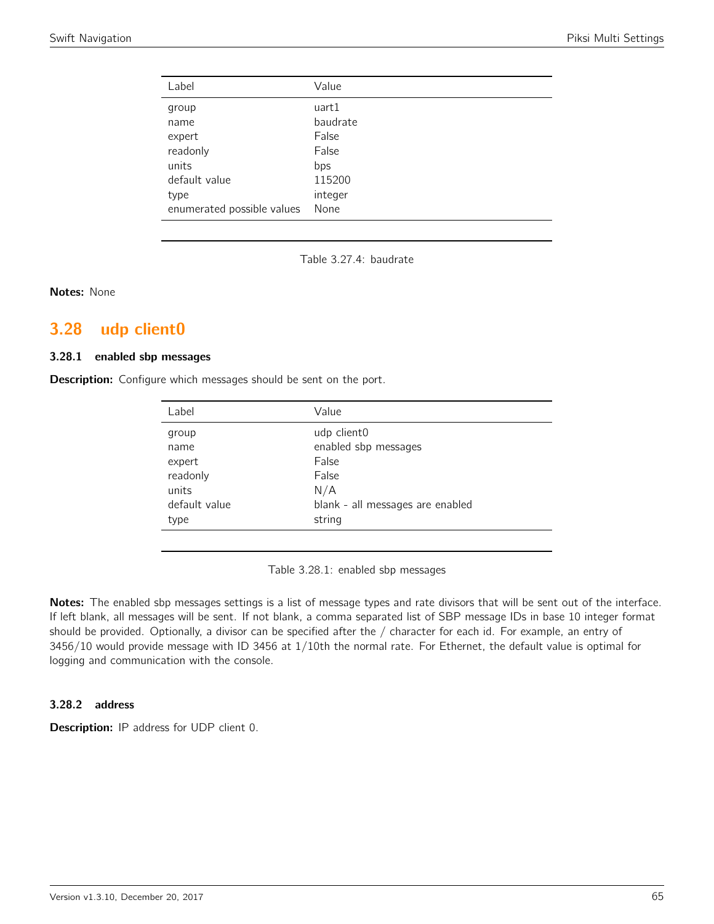| Label                      | Value    |
|----------------------------|----------|
| group                      | uart1    |
| name                       | baudrate |
| expert                     | False    |
| readonly                   | False    |
| units                      | bps      |
| default value              | 115200   |
| type                       | integer  |
| enumerated possible values | None     |

Table 3.27.4: baudrate

Notes: None

# 3.28 udp client0

#### 3.28.1 enabled sbp messages

**Description:** Configure which messages should be sent on the port.

| Label         | Value                            |
|---------------|----------------------------------|
| group         | udp client0                      |
| name          | enabled sbp messages             |
| expert        | False                            |
| readonly      | False                            |
| units         | N/A                              |
| default value | blank - all messages are enabled |
| type          | string                           |
|               |                                  |

Table 3.28.1: enabled sbp messages

Notes: The enabled sbp messages settings is a list of message types and rate divisors that will be sent out of the interface. If left blank, all messages will be sent. If not blank, a comma separated list of SBP message IDs in base 10 integer format should be provided. Optionally, a divisor can be specified after the / character for each id. For example, an entry of 3456/10 would provide message with ID 3456 at 1/10th the normal rate. For Ethernet, the default value is optimal for logging and communication with the console.

#### 3.28.2 address

Description: IP address for UDP client 0.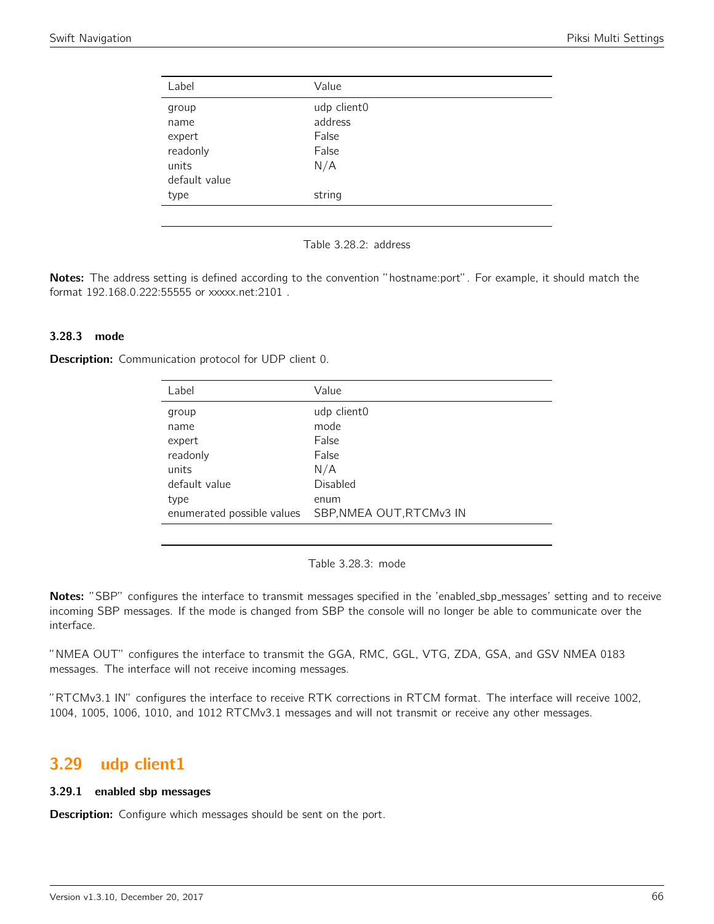| Label         | Value       |  |
|---------------|-------------|--|
| group         | udp client0 |  |
| name          | address     |  |
| expert        | False       |  |
| readonly      | False       |  |
| units         | N/A         |  |
| default value |             |  |
| type          | string      |  |
|               |             |  |

Table 3.28.2: address

Notes: The address setting is defined according to the convention "hostname:port". For example, it should match the format 192.168.0.222:55555 or xxxxx.net:2101 .

#### 3.28.3 mode

Description: Communication protocol for UDP client 0.

| Label                      | Value                    |
|----------------------------|--------------------------|
| group                      | udp client0              |
| name                       | mode                     |
| expert                     | False                    |
| readonly                   | False                    |
| units                      | N/A                      |
| default value              | Disabled                 |
| type                       | enum                     |
| enumerated possible values | SBP, NMEA OUT, RTCMv3 IN |
|                            |                          |

Table 3.28.3: mode

Notes: "SBP" configures the interface to transmit messages specified in the 'enabled\_sbp\_messages' setting and to receive incoming SBP messages. If the mode is changed from SBP the console will no longer be able to communicate over the interface.

"NMEA OUT" configures the interface to transmit the GGA, RMC, GGL, VTG, ZDA, GSA, and GSV NMEA 0183 messages. The interface will not receive incoming messages.

"RTCMv3.1 IN" configures the interface to receive RTK corrections in RTCM format. The interface will receive 1002, 1004, 1005, 1006, 1010, and 1012 RTCMv3.1 messages and will not transmit or receive any other messages.

## 3.29 udp client1

#### 3.29.1 enabled sbp messages

**Description:** Configure which messages should be sent on the port.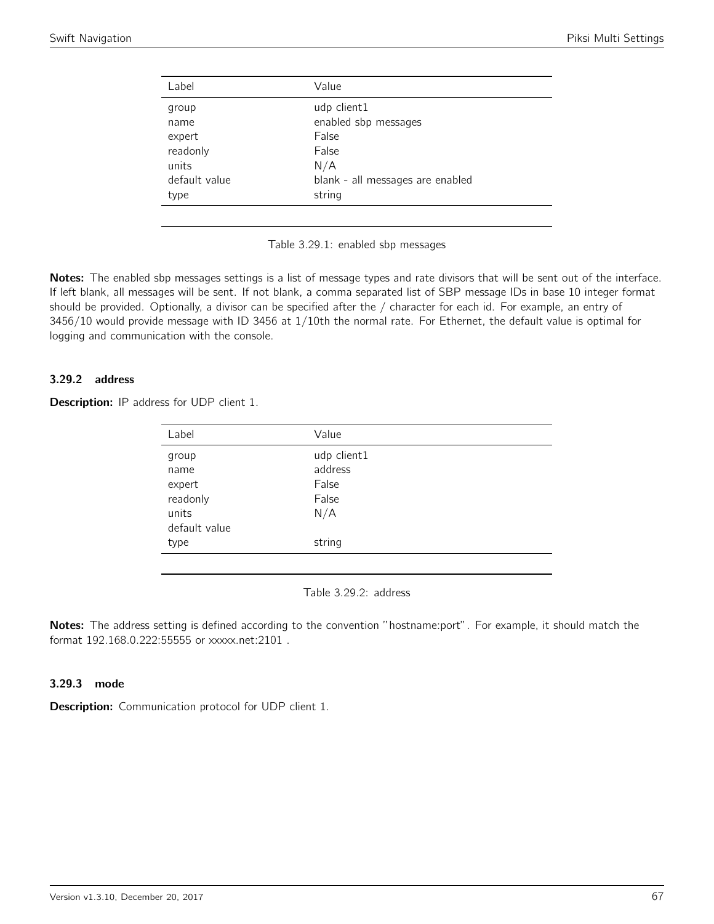| Label         | Value                            |
|---------------|----------------------------------|
| group         | udp client1                      |
| name          | enabled sbp messages             |
| expert        | False                            |
| readonly      | False                            |
| units         | N/A                              |
| default value | blank - all messages are enabled |
| type          | string                           |
|               |                                  |



Notes: The enabled sbp messages settings is a list of message types and rate divisors that will be sent out of the interface. If left blank, all messages will be sent. If not blank, a comma separated list of SBP message IDs in base 10 integer format should be provided. Optionally, a divisor can be specified after the / character for each id. For example, an entry of 3456/10 would provide message with ID 3456 at 1/10th the normal rate. For Ethernet, the default value is optimal for logging and communication with the console.

### 3.29.2 address

| <b>Description:</b> IP address for UDP client 1. |  |  |  |  |  |  |
|--------------------------------------------------|--|--|--|--|--|--|
|--------------------------------------------------|--|--|--|--|--|--|

| Label         | Value       |
|---------------|-------------|
| group         | udp client1 |
| name          | address     |
| expert        | False       |
| readonly      | False       |
| units         | N/A         |
| default value |             |
| type          | string      |
|               |             |

Table 3.29.2: address

Notes: The address setting is defined according to the convention "hostname:port". For example, it should match the format 192.168.0.222:55555 or xxxxx.net:2101 .

#### 3.29.3 mode

**Description:** Communication protocol for UDP client 1.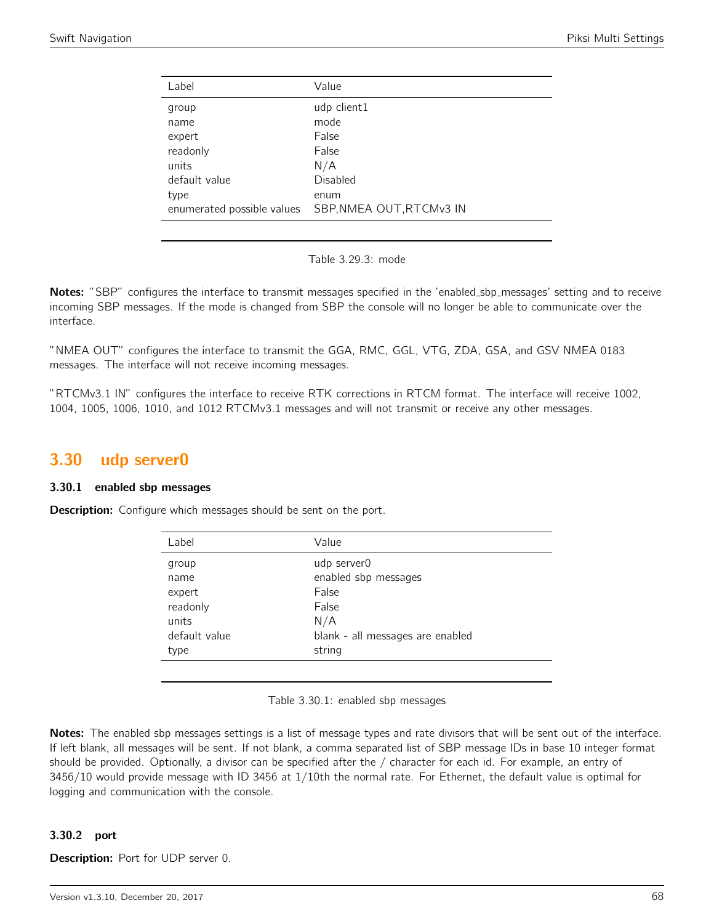| Label                      | Value                    |
|----------------------------|--------------------------|
| group                      | udp client1              |
| name                       | mode                     |
| expert                     | False                    |
| readonly                   | False                    |
| units                      | N/A                      |
| default value              | <b>Disabled</b>          |
| type                       | enum                     |
| enumerated possible values | SBP, NMEA OUT, RTCMv3 IN |
|                            |                          |

|  | Table 3.29.3: mode |  |
|--|--------------------|--|
|--|--------------------|--|

Notes: "SBP" configures the interface to transmit messages specified in the 'enabled\_sbp\_messages' setting and to receive incoming SBP messages. If the mode is changed from SBP the console will no longer be able to communicate over the interface.

"NMEA OUT" configures the interface to transmit the GGA, RMC, GGL, VTG, ZDA, GSA, and GSV NMEA 0183 messages. The interface will not receive incoming messages.

"RTCMv3.1 IN" configures the interface to receive RTK corrections in RTCM format. The interface will receive 1002, 1004, 1005, 1006, 1010, and 1012 RTCMv3.1 messages and will not transmit or receive any other messages.

## 3.30 udp server0

#### 3.30.1 enabled sbp messages

**Description:** Configure which messages should be sent on the port.

| Label         | Value                            |  |
|---------------|----------------------------------|--|
| group         | udp server0                      |  |
| name          | enabled sbp messages             |  |
| expert        | False                            |  |
| readonly      | False                            |  |
| units         | N/A                              |  |
| default value | blank - all messages are enabled |  |
| type          | string                           |  |
|               |                                  |  |

Table 3.30.1: enabled sbp messages

Notes: The enabled sbp messages settings is a list of message types and rate divisors that will be sent out of the interface. If left blank, all messages will be sent. If not blank, a comma separated list of SBP message IDs in base 10 integer format should be provided. Optionally, a divisor can be specified after the / character for each id. For example, an entry of 3456/10 would provide message with ID 3456 at 1/10th the normal rate. For Ethernet, the default value is optimal for logging and communication with the console.

## 3.30.2 port

Description: Port for UDP server 0.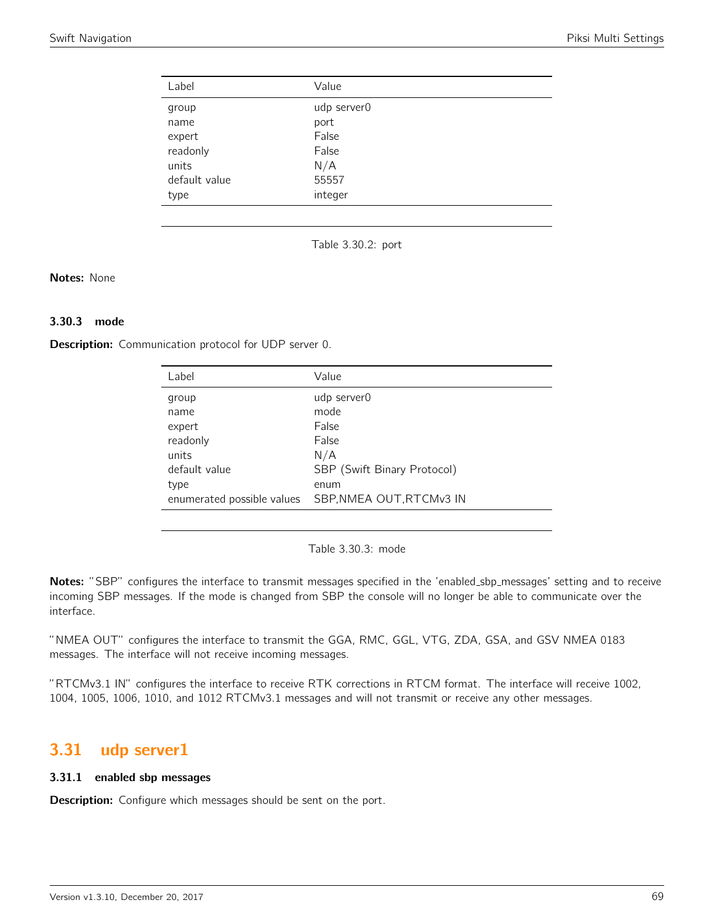| Label         | Value       |
|---------------|-------------|
| group         | udp server0 |
| name          | port        |
| expert        | False       |
| readonly      | False       |
| units         | N/A         |
| default value | 55557       |
| type          | integer     |

Table 3.30.2: port

#### Notes: None

## 3.30.3 mode

**Description:** Communication protocol for UDP server 0.

| Label         | Value                                                  |
|---------------|--------------------------------------------------------|
| group         | udp server0                                            |
| name          | mode                                                   |
| expert        | False                                                  |
| readonly      | False                                                  |
| units         | N/A                                                    |
| default value | SBP (Swift Binary Protocol)                            |
| type          | enum                                                   |
|               | enumerated possible values    SBP, NMEA OUT, RTCMv3 IN |
|               |                                                        |

Table 3.30.3: mode

Notes: "SBP" configures the interface to transmit messages specified in the 'enabled\_sbp\_messages' setting and to receive incoming SBP messages. If the mode is changed from SBP the console will no longer be able to communicate over the interface.

"NMEA OUT" configures the interface to transmit the GGA, RMC, GGL, VTG, ZDA, GSA, and GSV NMEA 0183 messages. The interface will not receive incoming messages.

"RTCMv3.1 IN" configures the interface to receive RTK corrections in RTCM format. The interface will receive 1002, 1004, 1005, 1006, 1010, and 1012 RTCMv3.1 messages and will not transmit or receive any other messages.

## 3.31 udp server1

#### 3.31.1 enabled sbp messages

**Description:** Configure which messages should be sent on the port.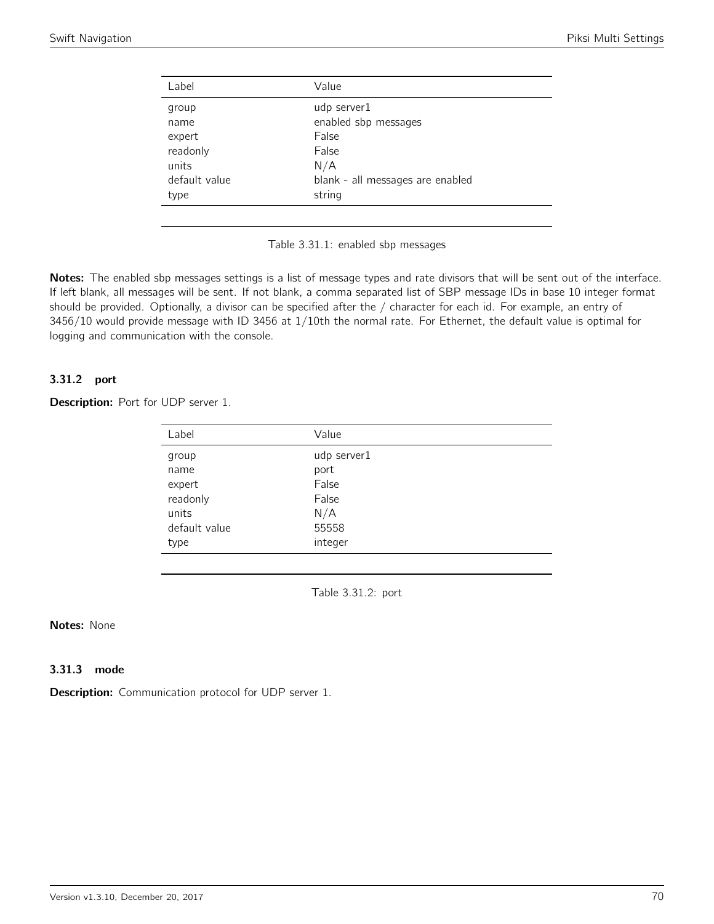| Label         | Value                            |
|---------------|----------------------------------|
| group         | udp server1                      |
| name          | enabled sbp messages             |
| expert        | False                            |
| readonly      | False                            |
| units         | N/A                              |
| default value | blank - all messages are enabled |
| type          | string                           |
|               |                                  |



Notes: The enabled sbp messages settings is a list of message types and rate divisors that will be sent out of the interface. If left blank, all messages will be sent. If not blank, a comma separated list of SBP message IDs in base 10 integer format should be provided. Optionally, a divisor can be specified after the / character for each id. For example, an entry of 3456/10 would provide message with ID 3456 at 1/10th the normal rate. For Ethernet, the default value is optimal for logging and communication with the console.

## 3.31.2 port

Description: Port for UDP server 1.

| Label         | Value       |
|---------------|-------------|
| group         | udp server1 |
| name          | port        |
| expert        | False       |
| readonly      | False       |
| units         | N/A         |
| default value | 55558       |
| type          | integer     |
|               |             |

Table 3.31.2: port

### Notes: None

### 3.31.3 mode

**Description:** Communication protocol for UDP server 1.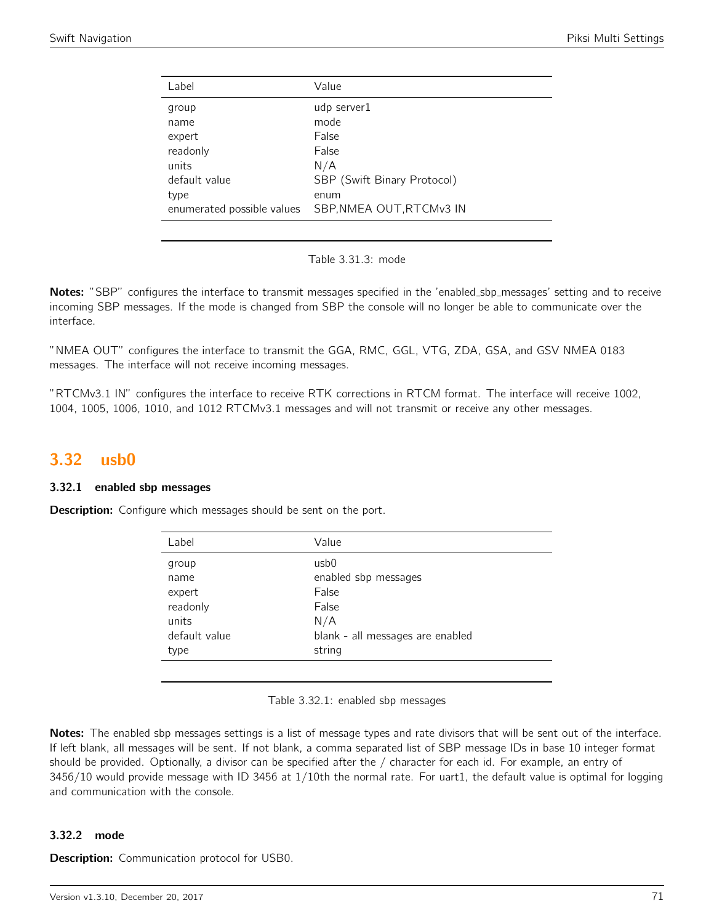| Label                              | Value                            |
|------------------------------------|----------------------------------|
| group<br>name                      | udp server1<br>mode              |
| expert                             | False                            |
| readonly<br>units                  | False<br>N/A                     |
| default value                      | SBP (Swift Binary Protocol)      |
| type<br>enumerated possible values | enum<br>SBP, NMEA OUT, RTCMv3 IN |
|                                    |                                  |

Table 3.31.3: mode

Notes: "SBP" configures the interface to transmit messages specified in the 'enabled\_sbp\_messages' setting and to receive incoming SBP messages. If the mode is changed from SBP the console will no longer be able to communicate over the interface.

"NMEA OUT" configures the interface to transmit the GGA, RMC, GGL, VTG, ZDA, GSA, and GSV NMEA 0183 messages. The interface will not receive incoming messages.

"RTCMv3.1 IN" configures the interface to receive RTK corrections in RTCM format. The interface will receive 1002, 1004, 1005, 1006, 1010, and 1012 RTCMv3.1 messages and will not transmit or receive any other messages.

## 3.32 usb0

#### 3.32.1 enabled sbp messages

**Description:** Configure which messages should be sent on the port.

| Label         | Value                            |
|---------------|----------------------------------|
| group         | usb <sub>0</sub>                 |
| name          | enabled sbp messages             |
| expert        | False                            |
| readonly      | False                            |
| units         | N/A                              |
| default value | blank - all messages are enabled |
| type          | string                           |
|               |                                  |

Table 3.32.1: enabled sbp messages

Notes: The enabled sbp messages settings is a list of message types and rate divisors that will be sent out of the interface. If left blank, all messages will be sent. If not blank, a comma separated list of SBP message IDs in base 10 integer format should be provided. Optionally, a divisor can be specified after the / character for each id. For example, an entry of 3456/10 would provide message with ID 3456 at 1/10th the normal rate. For uart1, the default value is optimal for logging and communication with the console.

#### 3.32.2 mode

**Description:** Communication protocol for USB0.